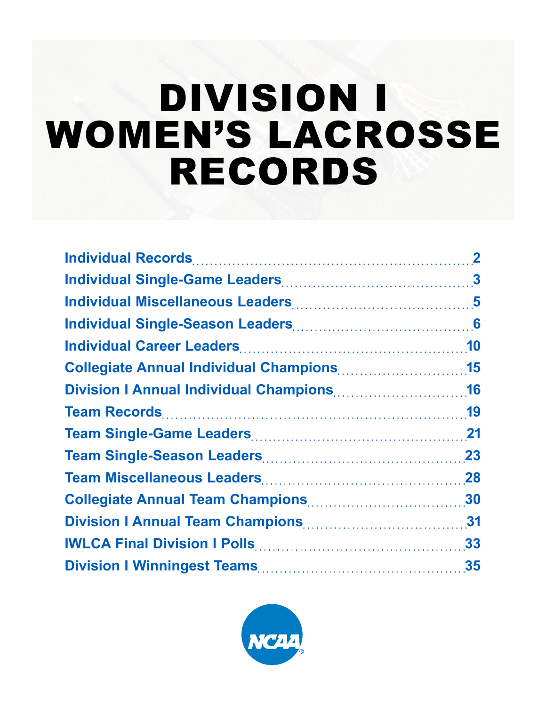# DIVISION I WOMEN'S LACROSSE RECORDS

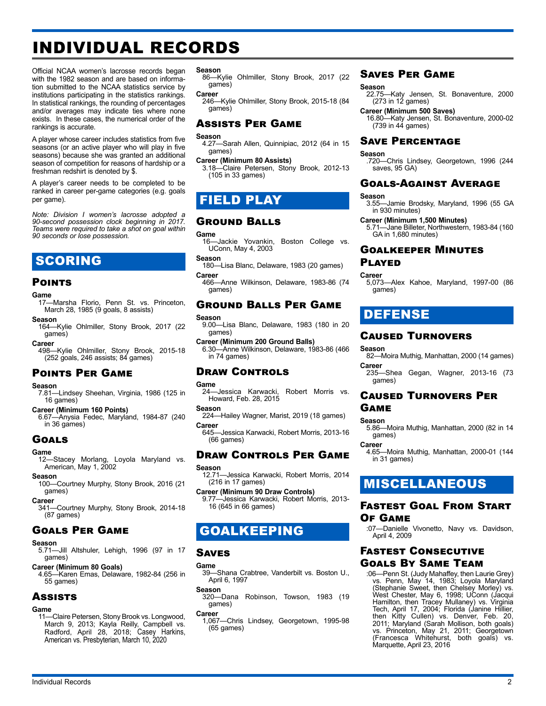## <span id="page-1-0"></span>INDIVIDUAL RECORDS

Official NCAA women's lacrosse records began with the 1982 season and are based on information submitted to the NCAA statistics service by institutions participating in the statistics rankings. In statistical rankings, the rounding of percentages and/or averages may indicate ties where none exists. In these cases, the numerical order of the rankings is accurate.

A player whose career includes statistics from five seasons (or an active player who will play in five seasons) because she was granted an additional season of competition for reasons of hardship or a freshman redshirt is denoted by \$.

A player's career needs to be completed to be ranked in career per-game categories (e.g. goals per game).

*Note: Division I women's lacrosse adopted a 90-second possession clock beginning in 2017. Teams were required to take a shot on goal within 90 seconds or lose possession.*

### SCORING

#### **POINTS**

#### **Game**

17—Marsha Florio, Penn St. vs. Princeton, March 28, 1985 (9 goals, 8 assists)

**Season** 164—Kylie Ohlmiller, Stony Brook, 2017 (22 games)

#### **Career**

498—Kylie Ohlmiller, Stony Brook, 2015-18 (252 goals, 246 assists; 84 games)

#### Points Per Game

#### **Season**

7.81—Lindsey Sheehan, Virginia, 1986 (125 in 16 games)

#### **Career (Minimum 160 Points)**

6.67—Anysia Fedec, Maryland, 1984-87 (240 in 36 games)

#### Goals

#### **Game**

12—Stacey Morlang, Loyola Maryland vs. American, May 1, 2002

#### **Season**

100—Courtney Murphy, Stony Brook, 2016 (21 games)

#### **Career**

341—Courtney Murphy, Stony Brook, 2014-18 (87 games)

### Goals Per Game

#### **Season**

- 5.71—Jill Altshuler, Lehigh, 1996 (97 in 17 games)
- **Career (Minimum 80 Goals)**
- 4.65—Karen Emas, Delaware, 1982-84 (256 in 55 games)

#### **Assists**

### **Game**

-<br>11 — Claire Petersen, Stony Brook vs. Longwood, March 9, 2013; Kayla Reilly, Campbell vs. Radford, April 28, 2018; Casey Harkins, American vs. Presbyterian, March 10, 2020

#### **Season**

86—Kylie Ohlmiller, Stony Brook, 2017 (22 games)

#### **Career**

246—Kylie Ohlmiller, Stony Brook, 2015-18 (84 games)

#### Assists Per Game

#### **Season**

4.27—Sarah Allen, Quinnipiac, 2012 (64 in 15 games)

#### **Career (Minimum 80 Assists)**

3.18—Claire Petersen, Stony Brook, 2012-13 (105 in 33 games)

### FIELD PLAY

#### Ground Balls

### Game<br>
16

-Jackie Yovankin, Boston College vs. UConn, May 4, 2003

#### **Season**

- 180—Lisa Blanc, Delaware, 1983 (20 games) **Career**
- 466—Anne Wilkinson, Delaware, 1983-86 (74 games)

### Ground Balls Per Game

#### **Season**

- 9.00—Lisa Blanc, Delaware, 1983 (180 in 20 games)
- **Career (Minimum 200 Ground Balls)** 6.30—Anne Wilkinson, Delaware, 1983-86 (466 in 74 games)

### Draw Controls

#### **Game**

- 24—Jessica Karwacki, Robert Morris vs. Howard, Feb. 28, 2015
- **Season** 224—Hailey Wagner, Marist, 2019 (18 games)
- **Career** 645—Jessica Karwacki, Robert Morris, 2013-16
- (66 games)

#### Draw Controls Per Game **Season**

- 12.71—Jessica Karwacki, Robert Morris, 2014 (216 in 17 games)
- **Career (Minimum 90 Draw Controls)** 9.77—Jessica Karwacki, Robert Morris, 2013- 16 (645 in 66 games)

### GOALKEEPING

#### Saves

#### **Game**

39—Shana Crabtree, Vanderbilt vs. Boston U., April 6, 1997

#### **Season**

320—Dana Robinson, Towson, 1983 (19 games)

#### **Career**

1,067—Chris Lindsey, Georgetown, 1995-98 (65 games)

Individual Records 2

#### Saves Per Game

#### **Season**

22.75—Katy Jensen, St. Bonaventure, 2000 (273 in 12 games)

#### **Career (Minimum 500 Saves)**

16.80—Katy Jensen, St. Bonaventure, 2000-02 (739 in 44 games)

### Save Percentage

#### **Season**

.720—Chris Lindsey, Georgetown, 1996 (244 saves, 95 GA)

### Goals-Against Average

#### **Season**

3.55—Jamie Brodsky, Maryland, 1996 (55 GA in 930 minutes)

#### **Career (Minimum 1,500 Minutes)**

5.71—Jane Billeter, Northwestern, 1983-84 (160 GA in 1,680 minutes)

### Goalkeeper Minutes

### **PLAYED**

**Career** 5,073—Alex Kahoe, Maryland, 1997-00 (86 games)

### DEFENSE

#### Caused Turnovers

**Season** 82—Moira Muthig, Manhattan, 2000 (14 games) **Career**

235—Shea Gegan, Wagner, 2013-16 (73 games)

### Caused Turnovers Per Game

#### **Season**

5.86—Moira Muthig, Manhattan, 2000 (82 in 14 games)

**Career**

4.65—Moira Muthig, Manhattan, 2000-01 (144 in 31 games)

### MISCELLANEOUS

#### Fastest Goal From Start Of Game

:07—Danielle Vivonetto, Navy vs. Davidson, April 4, 2009

### Fastest Consecutive Goals By Same Team

:06—Penn St. (Judy Mahaffey, then Laurie Grey) vs. Penn, May 14, 1983; Loyola Maryland (Stephanie Sweet, then Chelsey Morley) vs. West Chester, May 6, 1998; UConn (Jacqui Hamilton, then Tracey Mullaney) vs. Virginia Tech, April 17, 2004; Florida (Janine Hillier, then Kitty Cullen) vs. Denver, Feb. 20, 2011; Maryland (Sarah Mollison, both goals) vs. Princeton, May 21, 2011; Georgetown (Francesca Whitehurst, both goals) vs. Marquette, April 23, 2016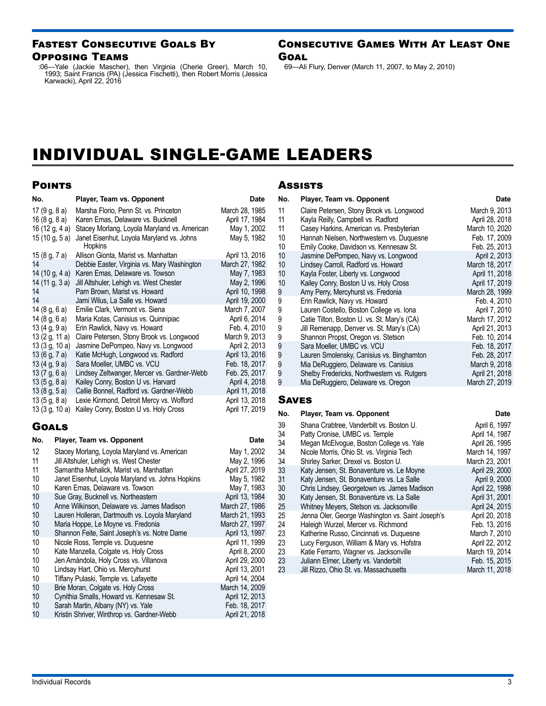### <span id="page-2-0"></span>Fastest Consecutive Goals By Opposing Teams

:06—Yale (Jackie Mascher), then Virginia (Cherie Greer), March 10, 1993; Saint Francis (PA) (Jessica Fischetti), then Robert Morris (Jessica Karwacki), April 22, 2016

#### Consecutive Games With At Least One **GOAL**

69—Ali Flury, Denver (March 11, 2007, to May 2, 2010)

## INDIVIDUAL SINGLE-GAME LEADERS

### **POINTS**

| No.              | Player, Team vs. Opponent                            | Date           |
|------------------|------------------------------------------------------|----------------|
| 17 $(9g, 8a)$    | Marsha Florio, Penn St. vs. Princeton                | March 28, 1985 |
| 16(8 g, 8 a)     | Karen Emas, Delaware vs. Bucknell                    | April 17, 1984 |
| 16 (12 g, 4 a)   | Stacey Morlang, Loyola Maryland vs. American         | May 1, 2002    |
| 15 (10 g, 5 a)   | Janet Eisenhut, Loyola Maryland vs. Johns<br>Hopkins | May 5, 1982    |
| 15 (8 g, 7 a)    | Allison Gionta, Marist vs. Manhattan                 | April 13, 2016 |
| 14               | Debbie Easter, Virginia vs. Mary Washington          | March 27, 1982 |
| 14 (10 g, 4 a)   | Karen Emas, Delaware vs. Towson                      | May 7, 1983    |
| 14 (11 g, 3 a)   | Jill Altshuler, Lehigh vs. West Chester              | May 2, 1996    |
| 14               | Pam Brown, Marist vs. Howard                         | April 10, 1998 |
| 14               | Jami Wilus, La Salle vs. Howard                      | April 19, 2000 |
| 14 (8 g, 6 a)    | Emilie Clark, Vermont vs. Siena                      | March 7, 2007  |
| 14(8 g, 6 a)     | Maria Kotas, Canisius vs. Quinnipiac                 | April 6, 2014  |
| 13(4g, 9a)       | Erin Rawlick, Navy vs. Howard                        | Feb. 4, 2010   |
| 13 $(2 g, 11 g)$ | Claire Petersen, Stony Brook vs. Longwood            | March 9, 2013  |
| 13 (3 g, 10 a)   | Jasmine DePompeo, Navy vs. Longwood                  | April 2, 2013  |
| 13 (6 g, 7 a)    | Katie McHugh, Longwood vs. Radford                   | April 13, 2016 |
| 13(4g, 9a)       | Sara Moeller, UMBC vs. VCU                           | Feb. 18, 2017  |
| 13 $(7 g, 6 g)$  | Lindsey Zeltwanger, Mercer vs. Gardner-Webb          | Feb. 25, 2017  |
| 13(5g, 8a)       | Kailey Conry, Boston U vs. Harvard                   | April 4, 2018  |
| 13(8g, 5a)       | Callie Bonnel, Radford vs. Gardner-Webb              | April 11, 2018 |
| 13(5g, 8a)       | Lexie Kinmond, Detroit Mercy vs. Wofford             | April 13, 2018 |
| 13 (3 g, 10 a)   | Kailey Conry, Boston U vs. Holy Cross                | April 17, 2019 |

### **GOALS**

| No. | Player, Team vs. Opponent                         | Date           |
|-----|---------------------------------------------------|----------------|
| 12  | Stacey Morlang, Loyola Maryland vs. American      | May 1, 2002    |
| 11  | Jill Altshuler, Lehigh vs. West Chester           | May 2, 1996    |
| 11  | Samantha Mehalick, Marist vs. Manhattan           | April 27, 2019 |
| 10  | Janet Eisenhut, Loyola Maryland vs. Johns Hopkins | May 5, 1982    |
| 10  | Karen Emas, Delaware vs. Towson                   | May 7, 1983    |
| 10  | Sue Gray, Bucknell vs. Northeastern               | April 13, 1984 |
| 10  | Anne Wilkinson, Delaware vs. James Madison        | March 27, 1986 |
| 10  | Lauren Holleran, Dartmouth vs. Loyola Maryland    | March 21, 1993 |
| 10  | Maria Hoppe, Le Moyne vs. Fredonia                | March 27, 1997 |
| 10  | Shannon Feite, Saint Joseph's vs. Notre Dame      | April 13, 1997 |
| 10  | Nicole Ross, Temple vs. Duquesne                  | April 11, 1999 |
| 10  | Kate Manzella, Colgate vs. Holy Cross             | April 8, 2000  |
| 10  | Jen Amándola, Holy Cross vs. Villanova            | April 29, 2000 |
| 10  | Lindsay Hart, Ohio vs. Mercyhurst                 | April 13, 2001 |
| 10  | Tiffany Pulaski, Temple vs. Lafayette             | April 14, 2004 |
| 10  | Brie Moran, Colgate vs. Holy Cross                | March 14, 2009 |
| 10  | Cynithia Smalls, Howard vs. Kennesaw St.          | April 12, 2013 |
| 10  | Sarah Martin, Albany (NY) vs. Yale                | Feb. 18, 2017  |
| 10  | Kristin Shriver, Winthrop vs. Gardner-Webb        | April 21, 2018 |

#### **Assists**

| No.    | Player, Team vs. Opponent                                                                | Date                             |
|--------|------------------------------------------------------------------------------------------|----------------------------------|
| 11     | Claire Petersen, Stony Brook vs. Longwood                                                | March 9, 2013                    |
| 11     | Kayla Reilly, Campbell vs. Radford                                                       | April 28, 2018                   |
| 11     | Casey Harkins, American vs. Presbyterian                                                 | March 10, 2020                   |
| 10     | Hannah Nielsen, Northwestern vs. Duguesne                                                | Feb. 17, 2009                    |
| 10     | Emily Cooke, Davidson vs. Kennesaw St.                                                   | Feb. 25, 2013                    |
| 10     | Jasmine DePompeo, Navy vs. Longwood                                                      | April 2, 2013                    |
| 10     | Lindsey Carroll, Radford vs. Howard                                                      | March 18, 2017                   |
| 10     | Kayla Foster, Liberty vs. Longwood                                                       | April 11, 2018                   |
| 10     | Kailey Conry, Boston U vs. Holy Cross                                                    | April 17, 2019                   |
| 9      | Amy Perry, Mercyhurst vs. Fredonia                                                       | March 28, 1999                   |
| 9      | Erin Rawlick, Navy vs. Howard                                                            | Feb. 4, 2010                     |
| 9      | Lauren Costello, Boston College vs. Iona                                                 | April 7, 2010                    |
| 9<br>9 | Catie Tilton, Boston U. vs. St. Mary's (CA)<br>Jill Remenapp, Denver vs. St. Mary's (CA) | March 17, 2012<br>April 21, 2013 |
| 9      | Shannon Propst, Oregon vs. Stetson                                                       | Feb. 10, 2014                    |
| 9      | Sara Moeller, UMBC vs. VCU                                                               | Feb. 18, 2017                    |
| 9      | Lauren Smolensky, Canisius vs. Binghamton                                                | Feb. 28, 2017                    |
| 9      | Mia DeRuggiero, Delaware vs. Canisius                                                    | March 9, 2018                    |
| 9      | Shelby Fredericks, Northwestern vs. Rutgers                                              | April 21, 2018                   |
| 9      | Mia DeRuggiero, Delaware vs. Oregon                                                      | March 27, 2019                   |
| SAVES  |                                                                                          |                                  |

**No.** Player, Team vs. Opponent **Date Date** 

| 39 | Shana Crabtree, Vanderbilt vs. Boston U.         | April 6, 1997  |
|----|--------------------------------------------------|----------------|
| 34 | Patty Cronise, UMBC vs. Temple                   | April 14, 1987 |
| 34 | Megan McElvogue, Boston College vs. Yale         | April 26, 1995 |
| 34 | Nicole Morris, Ohio St. vs. Virginia Tech        | March 14, 1997 |
| 34 | Shirley Sarker, Drexel vs. Boston U.             | March 23, 2001 |
| 33 | Katy Jensen, St. Bonaventure vs. Le Moyne        | April 29, 2000 |
| 31 | Katy Jensen, St. Bonaventure vs. La Salle        | April 9, 2000  |
| 30 | Chris Lindsey, Georgetown vs. James Madison      | April 22, 1998 |
| 30 | Katy Jensen, St. Bonaventure vs. La Salle        | April 31, 2001 |
| 25 | Whitney Meyers, Stetson vs. Jacksonville         | April 24, 2015 |
| 25 | Jenna Oler, George Washington vs. Saint Joseph's | April 20, 2018 |
| 24 | Haleigh Wurzel, Mercer vs. Richmond              | Feb. 13, 2016  |
| 23 | Katherine Russo, Cincinnati vs. Duquesne         | March 7, 2010  |
| 23 | Lucy Ferguson, William & Mary vs. Hofstra        | April 22, 2012 |
| 23 | Katie Ferrarro, Wagner vs. Jacksonville          | March 19, 2014 |
| 23 | Juliann Elmer, Liberty vs. Vanderbilt            | Feb. 15, 2015  |
| 23 | Jill Rizzo, Ohio St. vs. Massachusetts           | March 11, 2018 |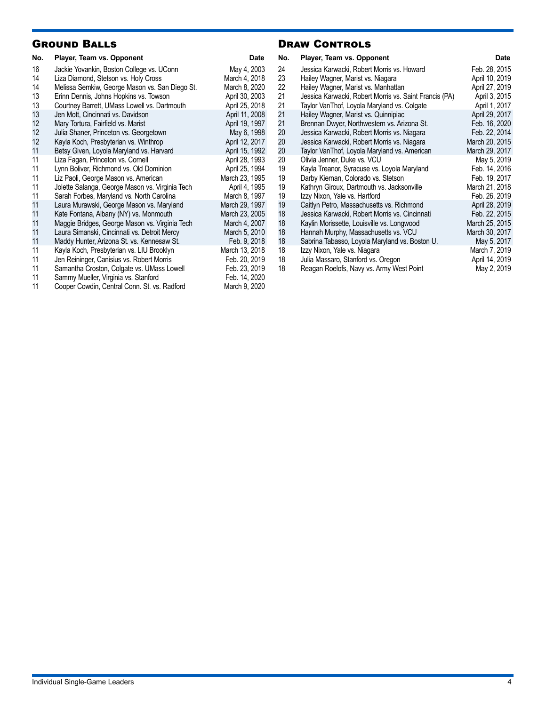### Ground Balls

| No.      | Player, Team vs. Opponent                                                         | <b>Date</b>                  |
|----------|-----------------------------------------------------------------------------------|------------------------------|
| 16<br>14 | Jackie Yovankin, Boston College vs. UConn<br>Liza Diamond, Stetson vs. Holy Cross | May 4, 2003<br>March 4, 2018 |
| 14       | Melissa Semkiw, George Mason vs. San Diego St.                                    | March 8, 2020                |
| 13       | Erinn Dennis, Johns Hopkins vs. Towson                                            | April 30, 2003               |
| 13       | Courtney Barrett, UMass Lowell vs. Dartmouth                                      | April 25, 2018               |
| 13       | Jen Mott, Cincinnati vs. Davidson                                                 | April 11, 2008               |
| 12       | Mary Tortura, Fairfield vs. Marist                                                | April 19, 1997               |
| 12       | Julia Shaner, Princeton vs. Georgetown                                            | May 6, 1998                  |
| 12       | Kayla Koch, Presbyterian vs. Winthrop                                             | April 12, 2017               |
| 11       | Betsy Given, Loyola Maryland vs. Harvard                                          | April 15, 1992               |
| 11       | Liza Fagan, Princeton vs. Cornell                                                 | April 28, 1993               |
| 11       | Lynn Boliver, Richmond vs. Old Dominion                                           | April 25, 1994               |
| 11       | Liz Paoli, George Mason vs. American                                              | March 23, 1995               |
| 11       | Jolette Salanga, George Mason vs. Virginia Tech                                   | April 4, 1995                |
| 11       | Sarah Forbes, Maryland vs. North Carolina                                         | March 8, 1997                |
| 11       | Laura Murawski, George Mason vs. Maryland                                         | March 29, 1997               |
| 11       | Kate Fontana, Albany (NY) vs. Monmouth                                            | March 23, 2005               |
| 11       | Maggie Bridges, George Mason vs. Virginia Tech                                    | March 4, 2007                |
| 11       | Laura Simanski, Cincinnati vs. Detroit Mercy                                      | March 5, 2010                |
| 11       | Maddy Hunter, Arizona St. vs. Kennesaw St.                                        | Feb. 9, 2018                 |
| 11       | Kayla Koch, Presbyterian vs. LIU Brooklyn                                         | March 13, 2018               |
| 11       | Jen Reininger, Canisius vs. Robert Morris                                         | Feb. 20, 2019                |
| 11       | Samantha Croston, Colgate vs. UMass Lowell                                        | Feb. 23, 2019                |
| 11       | Sammy Mueller, Virginia vs. Stanford                                              | Feb. 14, 2020                |
| 11       | Cooper Cowdin, Central Conn. St. vs. Radford                                      | March 9, 2020                |

### **DRAW CONTROLS**

| Date          | No. | Player, Team vs. Opponent                              | <b>Date</b>    |
|---------------|-----|--------------------------------------------------------|----------------|
| May 4, 2003   | 24  | Jessica Karwacki, Robert Morris vs. Howard             | Feb. 28, 2015  |
| arch 4, 2018  | 23  | Hailey Wagner, Marist vs. Niagara                      | April 10, 2019 |
| arch 8, 2020  | 22  | Hailey Wagner, Marist vs. Manhattan                    | April 27, 2019 |
| pril 30, 2003 | 21  | Jessica Karwacki, Robert Morris vs. Saint Francis (PA) | April 3, 2015  |
| pril 25, 2018 | 21  | Taylor VanThof, Loyola Maryland vs. Colgate            | April 1, 2017  |
| pril 11, 2008 | 21  | Hailey Wagner, Marist vs. Quinnipiac                   | April 29, 2017 |
| pril 19, 1997 | 21  | Brennan Dwyer, Northwestern vs. Arizona St.            | Feb. 16, 2020  |
| May 6, 1998   | 20  | Jessica Karwacki, Robert Morris vs. Niagara            | Feb. 22, 2014  |
| pril 12, 2017 | 20  | Jessica Karwacki, Robert Morris vs. Niagara            | March 20, 2015 |
| pril 15, 1992 | 20  | Taylor VanThof, Loyola Maryland vs. American           | March 29, 2017 |
| pril 28, 1993 | 20  | Olivia Jenner, Duke vs. VCU                            | May 5, 2019    |
| pril 25, 1994 | 19  | Kayla Treanor, Syracuse vs. Loyola Maryland            | Feb. 14, 2016  |
| rch 23, 1995  | 19  | Darby Kiernan, Colorado vs. Stetson                    | Feb. 19, 2017  |
| April 4, 1995 | 19  | Kathryn Giroux, Dartmouth vs. Jacksonville             | March 21, 2018 |
| arch 8, 1997  | 19  | Izzy Nixon, Yale vs. Hartford                          | Feb. 26, 2019  |
| rch 29, 1997  | 19  | Caitlyn Petro, Massachusetts vs. Richmond              | April 28, 2019 |
| rch 23, 2005  | 18  | Jessica Karwacki, Robert Morris vs. Cincinnati         | Feb. 22, 2015  |
| arch 4, 2007  | 18  | Kaylin Morissette, Louisville vs. Longwood             | March 25, 2015 |
| arch 5, 2010  | 18  | Hannah Murphy, Massachusetts vs. VCU                   | March 30, 2017 |
| Feb. 9, 2018  | 18  | Sabrina Tabasso, Loyola Maryland vs. Boston U.         | May 5, 2017    |
| rch 13, 2018  | 18  | Izzy Nixon, Yale vs. Niagara                           | March 7, 2019  |
| eb. 20, 2019  | 18  | Julia Massaro, Stanford vs. Oregon                     | April 14, 2019 |
| eb. 23, 2019  | 18  | Reagan Roelofs, Navy vs. Army West Point               | May 2, 2019    |
|               |     |                                                        |                |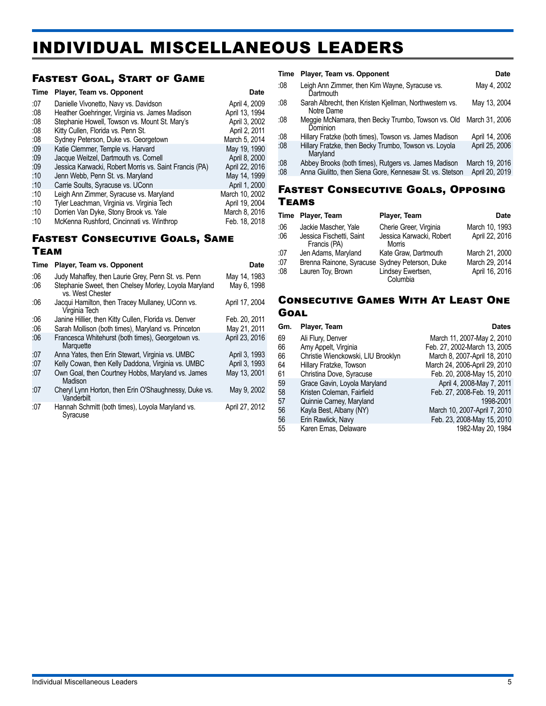## <span id="page-4-0"></span>INDIVIDUAL MISCELLANEOUS LEADERS

### Fastest Goal, Start of Game

| Time | Player, Team vs. Opponent                              | <b>Date</b>    |
|------|--------------------------------------------------------|----------------|
| :07  | Danielle Vivonetto, Navy vs. Davidson                  | April 4, 2009  |
| :08  | Heather Goehringer, Virginia vs. James Madison         | April 13, 1994 |
| :08  | Stephanie Howell, Towson vs. Mount St. Mary's          | April 3, 2002  |
| :08  | Kitty Cullen, Florida vs. Penn St.                     | April 2, 2011  |
| :08  | Sydney Peterson, Duke vs. Georgetown                   | March 5, 2014  |
| :09  | Katie Clemmer, Temple vs. Harvard                      | May 19, 1990   |
| :09  | Jacque Weitzel, Dartmouth vs. Cornell                  | April 8, 2000  |
| :09  | Jessica Karwacki, Robert Morris vs. Saint Francis (PA) | April 22, 2016 |
| :10  | Jenn Webb, Penn St. vs. Maryland                       | May 14, 1999   |
| :10  | Carrie Soults, Syracuse vs. UConn                      | April 1, 2000  |
| :10  | Leigh Ann Zimmer, Syracuse vs. Maryland                | March 10, 2002 |
| :10  | Tyler Leachman, Virginia vs. Virginia Tech             | April 19, 2004 |
| :10  | Dorrien Van Dyke, Stony Brook vs. Yale                 | March 8, 2016  |
| :10  | McKenna Rushford, Cincinnati vs. Winthrop              | Feb. 18, 2018  |

## Fastest Consecutive Goals, Same

### Team

| <b>Time</b> | Player, Team vs. Opponent                                                 | Date           |
|-------------|---------------------------------------------------------------------------|----------------|
| :06         | Judy Mahaffey, then Laurie Grey, Penn St. vs. Penn                        | May 14, 1983   |
| :06         | Stephanie Sweet, then Chelsey Morley, Loyola Maryland<br>vs. West Chester | May 6, 1998    |
| :06         | Jacqui Hamilton, then Tracey Mullaney, UConn vs.<br>Virginia Tech         | April 17, 2004 |
| :06         | Janine Hillier, then Kitty Cullen, Florida vs. Denver                     | Feb. 20, 2011  |
| :06         | Sarah Mollison (both times), Maryland vs. Princeton                       | May 21, 2011   |
| :06         | Francesca Whitehurst (both times), Georgetown vs.<br>Marquette            | April 23, 2016 |
| :07         | Anna Yates, then Erin Stewart, Virginia vs. UMBC                          | April 3, 1993  |
| :07         | Kelly Cowan, then Kelly Daddona, Virginia vs. UMBC                        | April 3, 1993  |
| :07         | Own Goal, then Courtney Hobbs, Maryland vs. James<br>Madison              | May 13, 2001   |
| :07         | Cheryl Lynn Horton, then Erin O'Shaughnessy, Duke vs.<br>Vanderbilt       | May 9, 2002    |
| :07         | Hannah Schmitt (both times), Loyola Maryland vs.<br>Syracuse              | April 27, 2012 |

#### **Time Player, Team vs. Opponent Date Date** :08 Leigh Ann Zimmer, then Kim Wayne, Syracuse vs. **Dartmouth** May 4, 2002 :08 Sarah Albrecht, then Kristen Kjellman, Northwestern vs. Notre Dame May 13, 2004 :08 Meggie McNamara, then Becky Trumbo, Towson vs. Old March 31, 2006 **Dominion** :08 Hillary Fratzke (both times), Towson vs. James Madison April 14, 2006 Hillary Fratzke, then Becky Trumbo, Towson vs. Loyola Maryland April 25, 2006 :08 Abbey Brooks (both times), Rutgers vs. James Madison March 19, 2016 :08 Anna Giulitto, then Siena Gore, Kennesaw St. vs. Stetson April 20, 2019

#### Fastest Consecutive Goals, Opposing Teams

| Time | Player, Team                                   | Player, Team                       | Date           |
|------|------------------------------------------------|------------------------------------|----------------|
| :06  | Jackie Mascher, Yale                           | Cherie Greer, Virginia             | March 10, 1993 |
| :06  | Jessica Fischetti, Saint<br>Francis (PA)       | Jessica Karwacki, Robert<br>Morris | April 22, 2016 |
| :07  | Jen Adams, Maryland                            | Kate Graw, Dartmouth               | March 21, 2000 |
| :07  | Brenna Rainone, Syracuse Sydney Peterson, Duke |                                    | March 29, 2014 |
| .08  | Lauren Toy, Brown                              | Lindsey Ewertsen,<br>Columbia      | April 16, 2016 |

### Consecutive Games With At Least One **GOAL**

| Gm. | Player, Team                       | Dates                         |
|-----|------------------------------------|-------------------------------|
| 69  | Ali Flury, Denver                  | March 11, 2007-May 2, 2010    |
| 66  | Amy Appelt, Virginia               | Feb. 27, 2002-March 13, 2005  |
| 66  | Christie Wienckowski, LIU Brooklyn | March 8, 2007-April 18, 2010  |
| 64  | Hillary Fratzke, Towson            | March 24, 2006-April 29, 2010 |
| 61  | Christina Dove, Syracuse           | Feb. 20, 2008-May 15, 2010    |
| 59  | Grace Gavin, Loyola Maryland       | April 4, 2008-May 7, 2011     |
| 58  | Kristen Coleman, Fairfield         | Feb. 27, 2008-Feb. 19, 2011   |
| 57  | Quinnie Carney, Maryland           | 1998-2001                     |
| 56  | Kayla Best, Albany (NY)            | March 10, 2007-April 7, 2010  |
| 56  | Erin Rawlick, Navy                 | Feb. 23, 2008-May 15, 2010    |
| 55  | Karen Emas, Delaware               | 1982-May 20, 1984             |
|     |                                    |                               |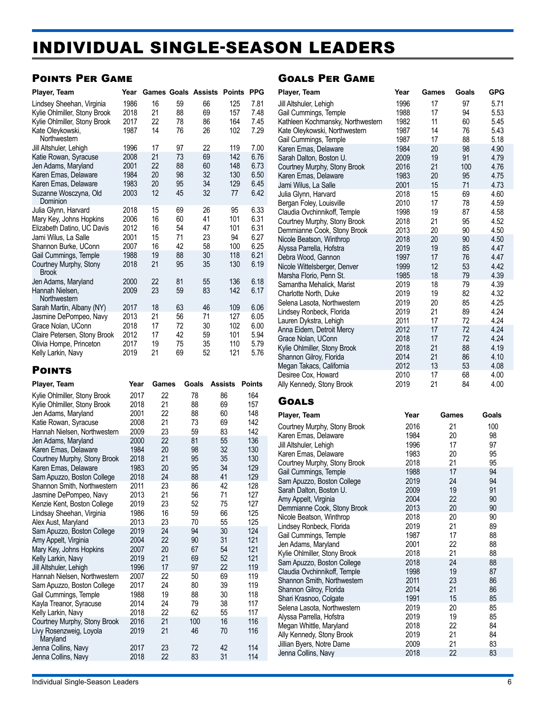## <span id="page-5-0"></span>INDIVIDUAL SINGLE-SEASON LEADERS

### Points Per Game

| Player, Team                           | Year |    |    | <b>Games Goals Assists</b> | <b>Points</b> | <b>PPG</b> |
|----------------------------------------|------|----|----|----------------------------|---------------|------------|
| Lindsey Sheehan, Virginia              | 1986 | 16 | 59 | 66                         | 125           | 7.81       |
| Kylie Ohlmiller, Stony Brook           | 2018 | 21 | 88 | 69                         | 157           | 7.48       |
| Kylie Ohlmiller, Stony Brook           | 2017 | 22 | 78 | 86                         | 164           | 7.45       |
| Kate Oleykowski,<br>Northwestern       | 1987 | 14 | 76 | 26                         | 102           | 7.29       |
| Jill Altshuler, Lehigh                 | 1996 | 17 | 97 | 22                         | 119           | 7.00       |
| Katie Rowan, Syracuse                  | 2008 | 21 | 73 | 69                         | 142           | 6.76       |
| Jen Adams, Maryland                    | 2001 | 22 | 88 | 60                         | 148           | 6.73       |
| Karen Emas, Delaware                   | 1984 | 20 | 98 | 32                         | 130           | 6.50       |
| Karen Emas, Delaware                   | 1983 | 20 | 95 | 34                         | 129           | 6.45       |
| Suzanne Wosczyna, Old<br>Dominion      | 2003 | 12 | 45 | 32                         | 77            | 6.42       |
| Julia Glynn, Harvard                   | 2018 | 15 | 69 | 26                         | 95            | 6.33       |
| Mary Key, Johns Hopkins                | 2006 | 16 | 60 | 41                         | 101           | 6.31       |
| Elizabeth Datino, UC Davis             | 2012 | 16 | 54 | 47                         | 101           | 6.31       |
| Jami Wilus, La Salle                   | 2001 | 15 | 71 | 23                         | 94            | 6.27       |
| Shannon Burke, UConn                   | 2007 | 16 | 42 | 58                         | 100           | 6.25       |
| Gail Cummings, Temple                  | 1988 | 19 | 88 | 30                         | 118           | 6.21       |
| Courtney Murphy, Stony<br><b>Brook</b> | 2018 | 21 | 95 | 35                         | 130           | 6.19       |
| Jen Adams, Maryland                    | 2000 | 22 | 81 | 55                         | 136           | 6.18       |
| Hannah Nielsen.<br>Northwestern        | 2009 | 23 | 59 | 83                         | 142           | 6.17       |
| Sarah Martin, Albany (NY)              | 2017 | 18 | 63 | 46                         | 109           | 6.06       |
| Jasmine DePompeo, Navy                 | 2013 | 21 | 56 | 71                         | 127           | 6.05       |
| Grace Nolan, UConn                     | 2018 | 17 | 72 | 30                         | 102           | 6.00       |
| Claire Petersen, Stony Brook           | 2012 | 17 | 42 | 59                         | 101           | 5.94       |
| Olivia Hompe, Princeton                | 2017 | 19 | 75 | 35                         | 110           | 5.79       |
| Kelly Larkin, Navy                     | 2019 | 21 | 69 | 52                         | 121           | 5.76       |

### **POINTS**

| Player, Team                                       | Year         | Games    | Goals    | <b>Assists</b> | <b>Points</b> |
|----------------------------------------------------|--------------|----------|----------|----------------|---------------|
| Kylie Ohlmiller, Stony Brook                       | 2017         | 22       | 78       | 86             | 164           |
| Kylie Ohlmiller, Stony Brook                       | 2018         | 21       | 88       | 69             | 157           |
| Jen Adams, Maryland                                | 2001         | 22       | 88       | 60             | 148           |
| Katie Rowan, Syracuse                              | 2008         | 21       | 73       | 69             | 142           |
| Hannah Nielsen, Northwestern                       | 2009         | 23       | 59       | 83             | 142           |
| Jen Adams, Maryland                                | 2000         | 22       | 81       | 55             | 136           |
| Karen Emas, Delaware                               | 1984         | 20       | 98       | 32             | 130           |
| Courtney Murphy, Stony Brook                       | 2018         | 21       | 95       | 35             | 130           |
| Karen Emas, Delaware                               | 1983         | 20       | 95       | 34             | 129           |
| Sam Apuzzo, Boston College                         | 2018         | 24       | 88       | 41             | 129           |
| Shannon Smith, Northwestern                        | 2011         | 23       | 86       | 42             | 128           |
| Jasmine DePompeo, Navy                             | 2013         | 21       | 56       | 71             | 127           |
| Kenzie Kent, Boston College                        | 2019         | 23       | 52       | 75             | 127           |
| Lindsay Sheehan, Virginia                          | 1986         | 16       | 59       | 66             | 125           |
| Alex Aust, Maryland                                | 2013         | 23       | 70       | 55             | 125           |
| Sam Apuzzo, Boston College                         | 2019         | 24       | 94       | 30             | 124           |
| Amy Appelt, Virginia                               | 2004         | 22       | 90       | 31             | 121           |
| Mary Key, Johns Hopkins                            | 2007         | 20       | 67       | 54             | 121           |
| Kelly Larkin, Navy                                 | 2019         | 21       | 69       | 52             | 121           |
| Jill Altshuler, Lehigh                             | 1996         | 17       | 97       | 22             | 119           |
| Hannah Nielsen, Northwestern                       | 2007         | 22<br>24 | 50       | 69             | 119<br>119    |
| Sam Apuzzo, Boston College                         | 2017<br>1988 | 19       | 80<br>88 | 39<br>30       | 118           |
| Gail Cummings, Temple<br>Kayla Treanor, Syracuse   | 2014         | 24       | 79       | 38             | 117           |
|                                                    | 2018         | 22       | 62       | 55             | 117           |
| Kelly Larkin, Navy<br>Courtney Murphy, Stony Brook | 2016         | 21       | 100      | 16             | 116           |
| Livy Rosenzweig, Loyola                            | 2019         | 21       | 46       | 70             | 116           |
| Maryland                                           |              |          |          |                |               |
| Jenna Collins, Navy                                | 2017         | 23       | 72       | 42             | 114           |
| Jenna Collins, Navy                                | 2018         | 22       | 83       | 31             | 114           |

### Goals Per Game

| Player, Team                      | Year | Games | Goals | <b>GPG</b> |
|-----------------------------------|------|-------|-------|------------|
| Jill Altshuler, Lehigh            | 1996 | 17    | 97    | 5.71       |
| Gail Cummings, Temple             | 1988 | 17    | 94    | 5.53       |
| Kathleen Kochmansky, Northwestern | 1982 | 11    | 60    | 5.45       |
| Kate Oleykowski, Northwestern     | 1987 | 14    | 76    | 5.43       |
| Gail Cummings, Temple             | 1987 | 17    | 88    | 5.18       |
| Karen Emas, Delaware              | 1984 | 20    | 98    | 4.90       |
| Sarah Dalton, Boston U.           | 2009 | 19    | 91    | 4.79       |
| Courtney Murphy, Stony Brook      | 2016 | 21    | 100   | 4.76       |
| Karen Emas, Delaware              | 1983 | 20    | 95    | 4.75       |
| Jami Wilus, La Salle              | 2001 | 15    | 71    | 4.73       |
| Julia Glynn, Harvard              | 2018 | 15    | 69    | 4.60       |
| Bergan Foley, Louisville          | 2010 | 17    | 78    | 4.59       |
| Claudia Ovchinnikoff, Temple      | 1998 | 19    | 87    | 4.58       |
| Courtney Murphy, Stony Brook      | 2018 | 21    | 95    | 4.52       |
| Demmianne Cook, Stony Brook       | 2013 | 20    | 90    | 4.50       |
| Nicole Beatson, Winthrop          | 2018 | 20    | 90    | 4.50       |
| Alyssa Parrella, Hofstra          | 2019 | 19    | 85    | 4.47       |
| Debra Wood, Gannon                | 1997 | 17    | 76    | 4.47       |
| Nicole Wittelsberger, Denver      | 1999 | 12    | 53    | 4.42       |
| Marsha Florio, Penn St.           | 1985 | 18    | 79    | 4.39       |
| Samantha Mehalick, Marist         | 2019 | 18    | 79    | 4.39       |
| Charlotte North, Duke             | 2019 | 19    | 82    | 4.32       |
| Selena Lasota, Northwestern       | 2019 | 20    | 85    | 4.25       |
| Lindsey Ronbeck, Florida          | 2019 | 21    | 89    | 4.24       |
| Lauren Dykstra, Lehigh            | 2011 | 17    | 72    | 4.24       |
| Anna Eidem, Detroit Mercy         | 2012 | 17    | 72    | 4.24       |
| Grace Nolan, UConn                | 2018 | 17    | 72    | 4.24       |
| Kylie Ohlmiller, Stony Brook      | 2018 | 21    | 88    | 4.19       |
| Shannon Gilroy, Florida           | 2014 | 21    | 86    | 4.10       |
| Megan Takacs, California          | 2012 | 13    | 53    | 4.08       |
| Desiree Cox, Howard               | 2010 | 17    | 68    | 4.00       |
| Ally Kennedy, Stony Brook         | 2019 | 21    | 84    | 4.00       |

### **GOALS**

| Player, Team                 | Year | Games | Goals |
|------------------------------|------|-------|-------|
| Courtney Murphy, Stony Brook | 2016 | 21    | 100   |
| Karen Emas, Delaware         | 1984 | 20    | 98    |
| Jill Altshuler, Lehigh       | 1996 | 17    | 97    |
| Karen Emas, Delaware         | 1983 | 20    | 95    |
| Courtney Murphy, Stony Brook | 2018 | 21    | 95    |
| Gail Cummings, Temple        | 1988 | 17    | 94    |
| Sam Apuzzo, Boston College   | 2019 | 24    | 94    |
| Sarah Dalton, Boston U.      | 2009 | 19    | 91    |
| Amy Appelt, Virginia         | 2004 | 22    | 90    |
| Demmianne Cook, Stony Brook  | 2013 | 20    | 90    |
| Nicole Beatson, Winthrop     | 2018 | 20    | 90    |
| Lindsey Ronbeck, Florida     | 2019 | 21    | 89    |
| Gail Cummings, Temple        | 1987 | 17    | 88    |
| Jen Adams, Maryland          | 2001 | 22    | 88    |
| Kylie Ohlmiller, Stony Brook | 2018 | 21    | 88    |
| Sam Apuzzo, Boston College   | 2018 | 24    | 88    |
| Claudia Ovchinnikoff, Temple | 1998 | 19    | 87    |
| Shannon Smith, Northwestern  | 2011 | 23    | 86    |
| Shannon Gilroy, Florida      | 2014 | 21    | 86    |
| Shari Krasnoo, Colgate       | 1991 | 15    | 85    |
| Selena Lasota, Northwestern  | 2019 | 20    | 85    |
| Alyssa Parrella, Hofstra     | 2019 | 19    | 85    |
| Megan Whittle, Maryland      | 2018 | 22    | 84    |
| Ally Kennedy, Stony Brook    | 2019 | 21    | 84    |
| Jillian Byers, Notre Dame    | 2009 | 21    | 83    |
| Jenna Collins, Navy          | 2018 | 22    | 83    |
|                              |      |       |       |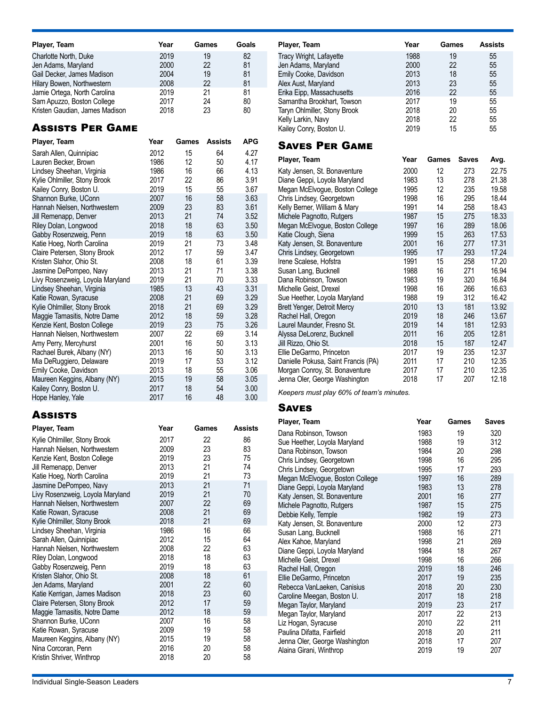| Player, Team                   | Year | Games | Goals |
|--------------------------------|------|-------|-------|
| Charlotte North, Duke          | 2019 | 19    | 82    |
| Jen Adams, Maryland            | 2000 | 22    | 81    |
| Gail Decker, James Madison     | 2004 | 19    | 81    |
| Hilary Bowen, Northwestern     | 2008 | 22    | 81    |
| Jamie Ortega, North Carolina   | 2019 | 21    | 81    |
| Sam Apuzzo, Boston College     | 2017 | 24    | 80    |
| Kristen Gaudian, James Madison | 2018 | 23    | 80    |

### Assists Per Game

| Player, Team                     | Year | Games | <b>Assists</b> | <b>APG</b> |
|----------------------------------|------|-------|----------------|------------|
| Sarah Allen, Quinnipiac          | 2012 | 15    | 64             | 4.27       |
| Lauren Becker, Brown             | 1986 | 12    | 50             | 4.17       |
| Lindsey Sheehan, Virginia        | 1986 | 16    | 66             | 4.13       |
| Kylie Ohlmiller, Stony Brook     | 2017 | 22    | 86             | 3.91       |
| Kailey Conry, Boston U.          | 2019 | 15    | 55             | 3.67       |
| Shannon Burke, UConn             | 2007 | 16    | 58             | 3.63       |
| Hannah Nielsen, Northwestern     | 2009 | 23    | 83             | 3.61       |
| Jill Remenapp, Denver            | 2013 | 21    | 74             | 3.52       |
| Riley Dolan, Longwood            | 2018 | 18    | 63             | 3.50       |
| Gabby Rosenzweig, Penn           | 2019 | 18    | 63             | 3.50       |
| Katie Hoeg, North Carolina       | 2019 | 21    | 73             | 3.48       |
| Claire Petersen, Stony Brook     | 2012 | 17    | 59             | 3.47       |
| Kristen Slahor, Ohio St.         | 2008 | 18    | 61             | 3.39       |
| Jasmine DePompeo, Navy           | 2013 | 21    | 71             | 3.38       |
| Livy Rosenzweig, Loyola Maryland | 2019 | 21    | 70             | 3.33       |
| Lindsey Sheehan, Virginia        | 1985 | 13    | 43             | 3.31       |
| Katie Rowan, Syracuse            | 2008 | 21    | 69             | 3.29       |
| Kylie Ohlmiller, Stony Brook     | 2018 | 21    | 69             | 3.29       |
| Maggie Tamasitis, Notre Dame     | 2012 | 18    | 59             | 3.28       |
| Kenzie Kent, Boston College      | 2019 | 23    | 75             | 3.26       |
| Hannah Nielsen, Northwestern     | 2007 | 22    | 69             | 3.14       |
| Amy Perry, Mercyhurst            | 2001 | 16    | 50             | 3.13       |
| Rachael Burek, Albany (NY)       | 2013 | 16    | 50             | 3.13       |
| Mia DeRuggiero, Delaware         | 2019 | 17    | 53             | 3.12       |
| Emily Cooke, Davidson            | 2013 | 18    | 55             | 3.06       |
| Maureen Keggins, Albany (NY)     | 2015 | 19    | 58             | 3.05       |
| Kailey Conry, Boston U.          | 2017 | 18    | 54             | 3.00       |
| Hope Hanley, Yale                | 2017 | 16    | 48             | 3.00       |

### **Assists**

| Player, Team                     | Year | Games | <b>Assists</b> |
|----------------------------------|------|-------|----------------|
| Kylie Ohlmiller, Stony Brook     | 2017 | 22    | 86             |
| Hannah Nielsen, Northwestern     | 2009 | 23    | 83             |
| Kenzie Kent, Boston College      | 2019 | 23    | 75             |
| Jill Remenapp, Denver            | 2013 | 21    | 74             |
| Katie Hoeg, North Carolina       | 2019 | 21    | 73             |
| Jasmine DePompeo, Navy           | 2013 | 21    | 71             |
| Livy Rosenzweig, Loyola Maryland | 2019 | 21    | 70             |
| Hannah Nielsen, Northwestern     | 2007 | 22    | 69             |
| Katie Rowan, Syracuse            | 2008 | 21    | 69             |
| Kylie Ohlmiller, Stony Brook     | 2018 | 21    | 69             |
| Lindsey Sheehan, Virginia        | 1986 | 16    | 66             |
| Sarah Allen, Quinnipiac          | 2012 | 15    | 64             |
| Hannah Nielsen, Northwestern     | 2008 | 22    | 63             |
| Riley Dolan, Longwood            | 2018 | 18    | 63             |
| Gabby Rosenzweig, Penn           | 2019 | 18    | 63             |
| Kristen Slahor, Ohio St.         | 2008 | 18    | 61             |
| Jen Adams, Maryland              | 2001 | 22    | 60             |
| Katie Kerrigan, James Madison    | 2018 | 23    | 60             |
| Claire Petersen, Stony Brook     | 2012 | 17    | 59             |
| Maggie Tamasitis, Notre Dame     | 2012 | 18    | 59             |
| Shannon Burke, UConn             | 2007 | 16    | 58             |
| Katie Rowan, Syracuse            | 2009 | 19    | 58             |
| Maureen Keggins, Albany (NY)     | 2015 | 19    | 58             |
| Nina Corcoran, Penn              | 2016 | 20    | 58             |
| Kristin Shriver, Winthrop        | 2018 | 20    | 58             |

| Player, Team                 | Year | Games | <b>Assists</b> |
|------------------------------|------|-------|----------------|
| Tracy Wright, Lafayette      | 1988 | 19    | 55             |
| Jen Adams, Maryland          | 2000 | 22    | 55             |
| Emily Cooke, Davidson        | 2013 | 18    | 55             |
| Alex Aust, Maryland          | 2013 | 23    | 55             |
| Erika Eipp, Massachusetts    | 2016 | 22    | 55             |
| Samantha Brookhart, Towson   | 2017 | 19    | 55             |
| Taryn Ohlmiller, Stony Brook | 2018 | 20    | 55             |
| Kelly Larkin, Navy           | 2018 | 22    | 55             |
| Kailey Conry, Boston U.      | 2019 | 15    | 55             |

### Saves Per Game

| Player, Team                        | Year | Games | <b>Saves</b> | Avg.  |
|-------------------------------------|------|-------|--------------|-------|
| Katy Jensen, St. Bonaventure        | 2000 | 12    | 273          | 22.75 |
| Diane Geppi, Loyola Maryland        | 1983 | 13    | 278          | 21.38 |
| Megan McElvogue, Boston College     | 1995 | 12    | 235          | 19.58 |
| Chris Lindsey, Georgetown           | 1998 | 16    | 295          | 18.44 |
| Kelly Berner, William & Mary        | 1991 | 14    | 258          | 18.43 |
| Michele Pagnotto, Rutgers           | 1987 | 15    | 275          | 18.33 |
| Megan McElvogue, Boston College     | 1997 | 16    | 289          | 18.06 |
| Katie Clough, Siena                 | 1999 | 15    | 263          | 17.53 |
| Katy Jensen, St. Bonaventure        | 2001 | 16    | 277          | 17.31 |
| Chris Lindsey, Georgetown           | 1995 | 17    | 293          | 17.24 |
| Irene Scalese, Hofstra              | 1991 | 15    | 258          | 17.20 |
| Susan Lang, Bucknell                | 1988 | 16    | 271          | 16.94 |
| Dana Robinson, Towson               | 1983 | 19    | 320          | 16.84 |
| Michelle Geist, Drexel              | 1998 | 16    | 266          | 16.63 |
| Sue Heether, Loyola Maryland        | 1988 | 19    | 312          | 16.42 |
| Brett Yenger, Detroit Mercy         | 2010 | 13    | 181          | 13.92 |
| Rachel Hall, Oregon                 | 2019 | 18    | 246          | 13.67 |
| Laurel Maunder, Fresno St.          | 2019 | 14    | 181          | 12.93 |
| Alyssa DeLorenz, Bucknell           | 2011 | 16    | 205          | 12.81 |
| Jill Rizzo, Ohio St.                | 2018 | 15    | 187          | 12.47 |
| Ellie DeGarmo, Princeton            | 2017 | 19    | 235          | 12.37 |
| Danielle Pokusa, Saint Francis (PA) | 2011 | 17    | 210          | 12.35 |
| Morgan Conroy, St. Bonaventure      | 2017 | 17    | 210          | 12.35 |
| Jenna Oler, George Washington       | 2018 | 17    | 207          | 12.18 |

*Keepers must play 60% of team's minutes.*

### **SAVES**

| Player, Team                    | Year | Games | <b>Saves</b> |
|---------------------------------|------|-------|--------------|
| Dana Robinson, Towson           | 1983 | 19    | 320          |
| Sue Heether, Loyola Maryland    | 1988 | 19    | 312          |
| Dana Robinson, Towson           | 1984 | 20    | 298          |
| Chris Lindsey, Georgetown       | 1998 | 16    | 295          |
| Chris Lindsey, Georgetown       | 1995 | 17    | 293          |
| Megan McElvogue, Boston College | 1997 | 16    | 289          |
| Diane Geppi, Loyola Maryland    | 1983 | 13    | 278          |
| Katy Jensen, St. Bonaventure    | 2001 | 16    | 277          |
| Michele Pagnotto, Rutgers       | 1987 | 15    | 275          |
| Debbie Kelly, Temple            | 1982 | 19    | 273          |
| Katy Jensen, St. Bonaventure    | 2000 | 12    | 273          |
| Susan Lang, Bucknell            | 1988 | 16    | 271          |
| Alex Kahoe, Maryland            | 1998 | 21    | 269          |
| Diane Geppi, Loyola Maryland    | 1984 | 18    | 267          |
| Michelle Geist, Drexel          | 1998 | 16    | 266          |
| Rachel Hall, Oregon             | 2019 | 18    | 246          |
| Ellie DeGarmo, Princeton        | 2017 | 19    | 235          |
| Rebecca VanLaeken, Canisius     | 2018 | 20    | 230          |
| Caroline Meegan, Boston U.      | 2017 | 18    | 218          |
| Megan Taylor, Maryland          | 2019 | 23    | 217          |
| Megan Taylor, Maryland          | 2017 | 22    | 213          |
| Liz Hogan, Syracuse             | 2010 | 22    | 211          |
| Paulina Difatta, Fairfield      | 2018 | 20    | 211          |
| Jenna Oler, George Washington   | 2018 | 17    | 207          |
| Alaina Girani, Winthrop         | 2019 | 19    | 207          |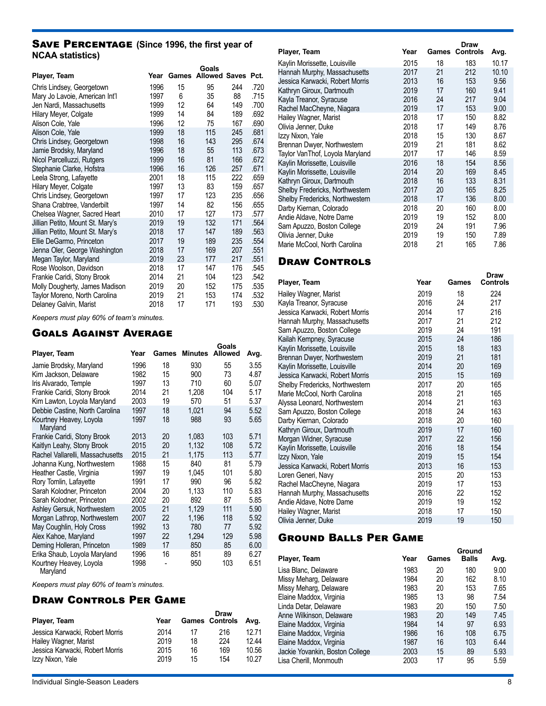### SAVE PERCENTAGE (Since 1996, the first year of **NCAA statistics)**

|                                  |      |            | Goals                |     |      |
|----------------------------------|------|------------|----------------------|-----|------|
| Player, Team                     |      | Year Games | <b>Allowed Saves</b> |     | Pct. |
| Chris Lindsey, Georgetown        | 1996 | 15         | 95                   | 244 | .720 |
| Mary Jo Lavoie, American Int'l   | 1997 | 6          | 35                   | 88  | .715 |
| Jen Nardi, Massachusetts         | 1999 | 12         | 64                   | 149 | .700 |
| Hilary Meyer, Colgate            | 1999 | 14         | 84                   | 189 | .692 |
| Alison Cole, Yale                | 1996 | 12         | 75                   | 167 | .690 |
| Alison Cole, Yale                | 1999 | 18         | 115                  | 245 | .681 |
| Chris Lindsey, Georgetown        | 1998 | 16         | 143                  | 295 | .674 |
| Jamie Brodsky, Maryland          | 1996 | 18         | 55                   | 113 | .673 |
| Nicol Parcelluzzi, Rutgers       | 1999 | 16         | 81                   | 166 | .672 |
| Stephanie Clarke, Hofstra        | 1996 | 16         | 126                  | 257 | .671 |
| Leela Strong, Lafayette          | 2001 | 18         | 115                  | 222 | .659 |
| Hilary Meyer, Colgate            | 1997 | 13         | 83                   | 159 | .657 |
| Chris Lindsey, Georgetown        | 1997 | 17         | 123                  | 235 | .656 |
| Shana Crabtree, Vanderbilt       | 1997 | 14         | 82                   | 156 | .655 |
| Chelsea Wagner, Sacred Heart     | 2010 | 17         | 127                  | 173 | .577 |
| Jillian Petito, Mount St. Mary's | 2019 | 19         | 132                  | 171 | .564 |
| Jillian Petito, Mount St. Mary's | 2018 | 17         | 147                  | 189 | .563 |
| Ellie DeGarmo, Princeton         | 2017 | 19         | 189                  | 235 | .554 |
| Jenna Oler, George Washington    | 2018 | 17         | 169                  | 207 | .551 |
| Megan Taylor, Maryland           | 2019 | 23         | 177                  | 217 | .551 |
| Rose Woolson, Davidson           | 2018 | 17         | 147                  | 176 | .545 |
| Frankie Caridi, Stony Brook      | 2014 | 21         | 104                  | 123 | .542 |
| Molly Dougherty, James Madison   | 2019 | 20         | 152                  | 175 | .535 |
| Taylor Moreno, North Carolina    | 2019 | 21         | 153                  | 174 | .532 |
| Delaney Galvin, Marist           | 2018 | 17         | 171                  | 193 | .530 |

*Keepers must play 60% of team's minutes.*

### Goals Against Average

|                                     |      |       |                | Goals          |      |
|-------------------------------------|------|-------|----------------|----------------|------|
| Player, Team                        | Year | Games | <b>Minutes</b> | <b>Allowed</b> | Avg. |
| Jamie Brodsky, Maryland             | 1996 | 18    | 930            | 55             | 3.55 |
| Kim Jackson, Delaware               | 1982 | 15    | 900            | 73             | 4.87 |
| Iris Alvarado, Temple               | 1997 | 13    | 710            | 60             | 5.07 |
| Frankie Caridi, Stony Brook         | 2014 | 21    | 1,208          | 104            | 5.17 |
| Kim Lawton, Loyola Maryland         | 2003 | 19    | 570            | 51             | 5.37 |
| Debbie Castine, North Carolina      | 1997 | 18    | 1,021          | 94             | 5.52 |
| Kourtney Heavey, Loyola<br>Maryland | 1997 | 18    | 988            | 93             | 5.65 |
| Frankie Caridi, Stony Brook         | 2013 | 20    | 1,083          | 103            | 5.71 |
| Kaitlyn Leahy, Stony Brook          | 2015 | 20    | 1,132          | 108            | 5.72 |
| Rachel Vallarelli, Massachusetts    | 2015 | 21    | 1,175          | 113            | 5.77 |
| Johanna Kung, Northwestern          | 1988 | 15    | 840            | 81             | 5.79 |
| Heather Castle, Virginia            | 1997 | 19    | 1,045          | 101            | 5.80 |
| Rory Tomlin, Lafayette              | 1991 | 17    | 990            | 96             | 5.82 |
| Sarah Kolodner, Princeton           | 2004 | 20    | 1,133          | 110            | 5.83 |
| Sarah Kolodner, Princeton           | 2002 | 20    | 892            | 87             | 5.85 |
| Ashley Gersuk, Northwestern         | 2005 | 21    | 1,129          | 111            | 5.90 |
| Morgan Lathrop, Northwestern        | 2007 | 22    | 1,196          | 118            | 5.92 |
| May Coughlin, Holy Cross            | 1992 | 13    | 780            | 77             | 5.92 |
| Alex Kahoe, Maryland                | 1997 | 22    | 1,294          | 129            | 5.98 |
| Deming Holleran, Princeton          | 1989 | 17    | 850            | 85             | 6.00 |
| Erika Shaub, Loyola Maryland        | 1996 | 16    | 851            | 89             | 6.27 |
| Kourtney Heavey, Loyola             | 1998 | -     | 950            | 103            | 6.51 |

Maryland

*Keepers must play 60% of team's minutes.*

### Draw Controls Per Game

| Player, Team                    | Year |    | Draw<br><b>Games Controls</b> | Avg.  |
|---------------------------------|------|----|-------------------------------|-------|
| Jessica Karwacki. Robert Morris | 2014 | 17 | 216                           | 12 71 |
| Hailey Wagner, Marist           | 2019 | 18 | 224                           | 12.44 |
| Jessica Karwacki. Robert Morris | 2015 | 16 | 169                           | 10.56 |
| Izzy Nixon, Yale                | 2019 | 15 | 154                           | 10.27 |

|                                 |      |       | Draw            |       |
|---------------------------------|------|-------|-----------------|-------|
| Player, Team                    | Year | Games | <b>Controls</b> | Avg.  |
| Kaylin Morissette, Louisville   | 2015 | 18    | 183             | 10.17 |
| Hannah Murphy, Massachusetts    | 2017 | 21    | 212             | 10.10 |
| Jessica Karwacki, Robert Morris | 2013 | 16    | 153             | 9.56  |
| Kathryn Giroux, Dartmouth       | 2019 | 17    | 160             | 9.41  |
| Kayla Treanor, Syracuse         | 2016 | 24    | 217             | 9.04  |
| Rachel MacCheyne, Niagara       | 2019 | 17    | 153             | 9.00  |
| Hailey Wagner, Marist           | 2018 | 17    | 150             | 8.82  |
| Olivia Jenner, Duke             | 2018 | 17    | 149             | 8.76  |
| Izzy Nixon, Yale                | 2018 | 15    | 130             | 8.67  |
| Brennan Dwyer, Northwestern     | 2019 | 21    | 181             | 8.62  |
| Taylor VanThof, Loyola Maryland | 2017 | 17    | 146             | 8.59  |
| Kaylin Morissette, Louisville   | 2016 | 18    | 154             | 8.56  |
| Kaylin Morissette, Louisville   | 2014 | 20    | 169             | 8.45  |
| Kathryn Giroux, Dartmouth       | 2018 | 16    | 133             | 8.31  |
| Shelby Fredericks, Northwestern | 2017 | 20    | 165             | 8.25  |
| Shelby Fredericks, Northwestern | 2018 | 17    | 136             | 8.00  |
| Darby Kiernan, Colorado         | 2018 | 20    | 160             | 8.00  |
| Andie Aldave, Notre Dame        | 2019 | 19    | 152             | 8.00  |
| Sam Apuzzo, Boston College      | 2019 | 24    | 191             | 7.96  |
| Olivia Jenner, Duke             | 2019 | 19    | 150             | 7.89  |
| Marie McCool, North Carolina    | 2018 | 21    | 165             | 7.86  |

### **DRAW CONTROLS**

| Player, Team                    | Year | Games | Draw<br><b>Controls</b> |
|---------------------------------|------|-------|-------------------------|
| Hailey Wagner, Marist           | 2019 | 18    | 224                     |
| Kayla Treanor, Syracuse         | 2016 | 24    | 217                     |
| Jessica Karwacki, Robert Morris | 2014 | 17    | 216                     |
| Hannah Murphy, Massachusetts    | 2017 | 21    | 212                     |
| Sam Apuzzo, Boston College      | 2019 | 24    | 191                     |
| Kailah Kempney, Syracuse        | 2015 | 24    | 186                     |
| Kaylin Morissette, Louisville   | 2015 | 18    | 183                     |
| Brennan Dwyer, Northwestern     | 2019 | 21    | 181                     |
| Kaylin Morissette, Louisville   | 2014 | 20    | 169                     |
| Jessica Karwacki, Robert Morris | 2015 | 15    | 169                     |
| Shelby Fredericks, Northwestern | 2017 | 20    | 165                     |
| Marie McCool, North Carolina    | 2018 | 21    | 165                     |
| Alyssa Leonard, Northwestern    | 2014 | 21    | 163                     |
| Sam Apuzzo, Boston College      | 2018 | 24    | 163                     |
| Darby Kiernan, Colorado         | 2018 | 20    | 160                     |
| Kathryn Giroux, Dartmouth       | 2019 | 17    | 160                     |
| Morgan Widner, Syracuse         | 2017 | 22    | 156                     |
| Kaylin Morissette, Louisville   | 2016 | 18    | 154                     |
| Izzy Nixon, Yale                | 2019 | 15    | 154                     |
| Jessica Karwacki, Robert Morris | 2013 | 16    | 153                     |
| Loren Generi, Navy              | 2015 | 20    | 153                     |
| Rachel MacCheyne, Niagara       | 2019 | 17    | 153                     |
| Hannah Murphy, Massachusetts    | 2016 | 22    | 152                     |
| Andie Aldave, Notre Dame        | 2019 | 19    | 152                     |
| Hailey Wagner, Marist           | 2018 | 17    | 150                     |
| Olivia Jenner, Duke             | 2019 | 19    | 150                     |

### Ground Balls Per Game

|      |       | Ground       |      |
|------|-------|--------------|------|
| Year | Games | <b>Balls</b> | Avg. |
| 1983 | 20    | 180          | 9.00 |
| 1984 | 20    | 162          | 8.10 |
| 1983 | 20    | 153          | 7.65 |
| 1985 | 13    | 98           | 7.54 |
| 1983 | 20    | 150          | 7.50 |
| 1983 | 20    | 149          | 7.45 |
| 1984 | 14    | 97           | 6.93 |
| 1986 | 16    | 108          | 6.75 |
| 1987 | 16    | 103          | 6.44 |
| 2003 | 15    | 89           | 5.93 |
| 2003 | 17    | 95           | 5.59 |
|      |       |              |      |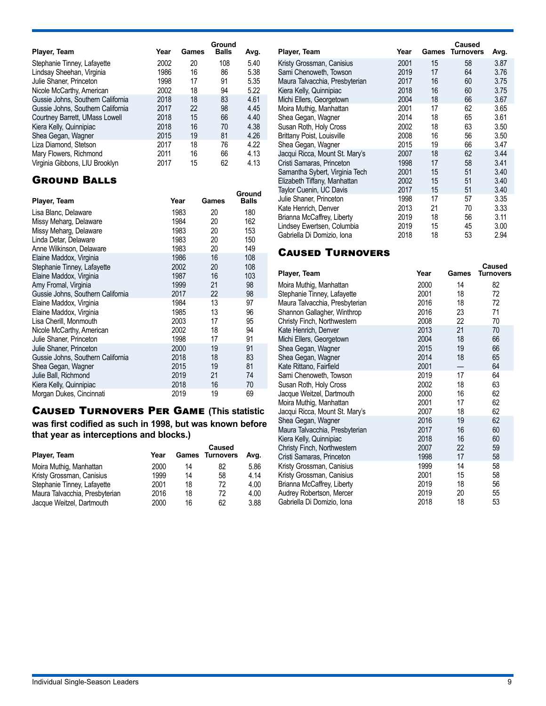| Player, Team                      | Year | Games | Ground<br><b>Balls</b> | Avg. |
|-----------------------------------|------|-------|------------------------|------|
| Stephanie Tinney, Lafayette       | 2002 | 20    | 108                    | 5.40 |
| Lindsay Sheehan, Virginia         | 1986 | 16    | 86                     | 5.38 |
| Julie Shaner, Princeton           | 1998 | 17    | 91                     | 5.35 |
| Nicole McCarthy, American         | 2002 | 18    | 94                     | 5.22 |
| Gussie Johns, Southern California | 2018 | 18    | 83                     | 4.61 |
| Gussie Johns, Southern California | 2017 | 22    | 98                     | 4.45 |
| Courtney Barrett, UMass Lowell    | 2018 | 15    | 66                     | 4.40 |
| Kiera Kelly, Quinnipiac           | 2018 | 16    | 70                     | 4.38 |
| Shea Gegan, Wagner                | 2015 | 19    | 81                     | 4.26 |
| Liza Diamond, Stetson             | 2017 | 18    | 76                     | 4.22 |
| Mary Flowers, Richmond            | 2011 | 16    | 66                     | 4.13 |
| Virginia Gibbons, LIU Brooklyn    | 2017 | 15    | 62                     | 4.13 |

### Ground Balls

| Player, Team                      | Year | Games | Ground<br>Balls |
|-----------------------------------|------|-------|-----------------|
| Lisa Blanc, Delaware              | 1983 | 20    | 180             |
| Missy Meharg, Delaware            | 1984 | 20    | 162             |
| Missy Meharg, Delaware            | 1983 | 20    | 153             |
| Linda Detar, Delaware             | 1983 | 20    | 150             |
| Anne Wilkinson, Delaware          | 1983 | 20    | 149             |
| Elaine Maddox, Virginia           | 1986 | 16    | 108             |
| Stephanie Tinney, Lafayette       | 2002 | 20    | 108             |
| Elaine Maddox, Virginia           | 1987 | 16    | 103             |
| Amy Fromal, Virginia              | 1999 | 21    | 98              |
| Gussie Johns, Southern California | 2017 | 22    | 98              |
| Elaine Maddox, Virginia           | 1984 | 13    | 97              |
| Elaine Maddox, Virginia           | 1985 | 13    | 96              |
| Lisa Cherill, Monmouth            | 2003 | 17    | 95              |
| Nicole McCarthy, American         | 2002 | 18    | 94              |
| Julie Shaner, Princeton           | 1998 | 17    | 91              |
| Julie Shaner, Princeton           | 2000 | 19    | 91              |
| Gussie Johns, Southern California | 2018 | 18    | 83              |
| Shea Gegan, Wagner                | 2015 | 19    | 81              |
| Julie Ball, Richmond              | 2019 | 21    | 74              |
| Kiera Kelly, Quinnipiac           | 2018 | 16    | 70              |
| Morgan Dukes, Cincinnati          | 2019 | 19    | 69              |

## Caused Turnovers Per Game **(This statistic**

**was first codified as such in 1998, but was known before that year as interceptions and blocks.)**

| Player, Team                   | Year |    | Caused<br><b>Games Turnovers</b> | Avg. |
|--------------------------------|------|----|----------------------------------|------|
| Moira Muthig, Manhattan        | 2000 | 14 | 82                               | 5.86 |
| Kristy Grossman, Canisius      | 1999 | 14 | 58                               | 4.14 |
| Stephanie Tinney, Lafayette    | 2001 | 18 | 72                               | 4.00 |
| Maura Talvacchia, Presbyterian | 2016 | 18 | 72                               | 4.00 |
| Jacque Weitzel, Dartmouth      | 2000 | 16 | 62                               | 3.88 |

| Player, Team                      | Year | Games | <b>Caused</b><br><b>Turnovers</b> | Avg. |
|-----------------------------------|------|-------|-----------------------------------|------|
| Kristy Grossman, Canisius         | 2001 | 15    | 58                                | 3.87 |
| Sami Chenoweth, Towson            | 2019 | 17    | 64                                | 3.76 |
| Maura Talvacchia, Presbyterian    | 2017 | 16    | 60                                | 3.75 |
| Kiera Kelly, Quinnipiac           | 2018 | 16    | 60                                | 3.75 |
| Michi Ellers, Georgetown          | 2004 | 18    | 66                                | 3.67 |
| Moira Muthig, Manhattan           | 2001 | 17    | 62                                | 3.65 |
| Shea Gegan, Wagner                | 2014 | 18    | 65                                | 3.61 |
| Susan Roth, Holy Cross            | 2002 | 18    | 63                                | 3.50 |
| <b>Brittany Poist, Louisville</b> | 2008 | 16    | 56                                | 3.50 |
| Shea Gegan, Wagner                | 2015 | 19    | 66                                | 3.47 |
| Jacqui Ricca, Mount St. Mary's    | 2007 | 18    | 62                                | 3.44 |
| Cristi Samaras, Princeton         | 1998 | 17    | 58                                | 3.41 |
| Samantha Sybert, Virginia Tech    | 2001 | 15    | 51                                | 3.40 |
| Elizabeth Tiffany, Manhattan      | 2002 | 15    | 51                                | 3.40 |
| Taylor Cuenin, UC Davis           | 2017 | 15    | 51                                | 3.40 |
| Julie Shaner, Princeton           | 1998 | 17    | 57                                | 3.35 |
| Kate Henrich, Denver              | 2013 | 21    | 70                                | 3.33 |
| Brianna McCaffrey, Liberty        | 2019 | 18    | 56                                | 3.11 |
| Lindsey Ewertsen, Columbia        | 2019 | 15    | 45                                | 3.00 |
| Gabriella Di Domizio, Iona        | 2018 | 18    | 53                                | 2.94 |

### Caused Turnovers

| Player, Team                   | Year | Games | Caused<br><b>Turnovers</b> |
|--------------------------------|------|-------|----------------------------|
| Moira Muthig, Manhattan        | 2000 | 14    | 82                         |
| Stephanie Tinney, Lafayette    | 2001 | 18    | 72                         |
| Maura Talvacchia, Presbyterian | 2016 | 18    | 72                         |
| Shannon Gallagher, Winthrop    | 2016 | 23    | 71                         |
| Christy Finch, Northwestern    | 2008 | 22    | 70                         |
| Kate Henrich, Denver           | 2013 | 21    | 70                         |
| Michi Ellers, Georgetown       | 2004 | 18    | 66                         |
| Shea Gegan, Wagner             | 2015 | 19    | 66                         |
| Shea Gegan, Wagner             | 2014 | 18    | 65                         |
| Kate Rittano, Fairfield        | 2001 |       | 64                         |
| Sami Chenoweth, Towson         | 2019 | 17    | 64                         |
| Susan Roth, Holy Cross         | 2002 | 18    | 63                         |
| Jacque Weitzel, Dartmouth      | 2000 | 16    | 62                         |
| Moira Muthig, Manhattan        | 2001 | 17    | 62                         |
| Jacqui Ricca, Mount St. Mary's | 2007 | 18    | 62                         |
| Shea Gegan, Wagner             | 2016 | 19    | 62                         |
| Maura Talvacchia, Presbyterian | 2017 | 16    | 60                         |
| Kiera Kelly, Quinnipiac        | 2018 | 16    | 60                         |
| Christy Finch, Northwestern    | 2007 | 22    | 59                         |
| Cristi Samaras, Princeton      | 1998 | 17    | 58                         |
| Kristy Grossman, Canisius      | 1999 | 14    | 58                         |
| Kristy Grossman, Canisius      | 2001 | 15    | 58                         |
| Brianna McCaffrey, Liberty     | 2019 | 18    | 56                         |
| Audrey Robertson, Mercer       | 2019 | 20    | 55                         |
| Gabriella Di Domizio, Iona     | 2018 | 18    | 53                         |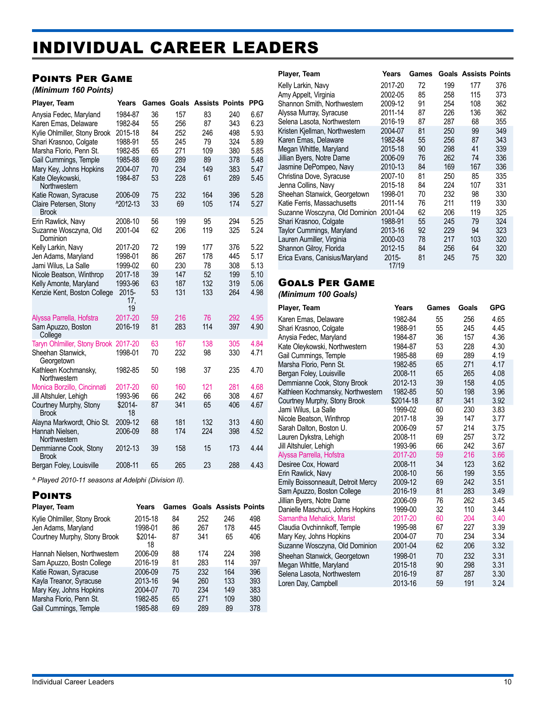## <span id="page-9-0"></span>INDIVIDUAL CAREER LEADERS

### Points Per Game

#### *(Minimum 160 Points)*

| Player, Team                           | Years                 | Games |     | <b>Goals Assists Points</b> |     | <b>PPG</b> |
|----------------------------------------|-----------------------|-------|-----|-----------------------------|-----|------------|
| Anysia Fedec, Maryland                 | 1984-87               | 36    | 157 | 83                          | 240 | 6.67       |
| Karen Emas, Delaware                   | 1982-84               | 55    | 256 | 87                          | 343 | 6.23       |
| Kylie Ohlmiller, Stony Brook           | 2015-18               | 84    | 252 | 246                         | 498 | 5.93       |
| Shari Krasnoo, Colgate                 | 1988-91               | 55    | 245 | 79                          | 324 | 5.89       |
| Marsha Florio, Penn St.                | 1982-85               | 65    | 271 | 109                         | 380 | 5.85       |
| Gail Cummings, Temple                  | 1985-88               | 69    | 289 | 89                          | 378 | 5.48       |
| Mary Key, Johns Hopkins                | 2004-07               | 70    | 234 | 149                         | 383 | 5.47       |
| Kate Oleykowski,<br>Northwestern       | 1984-87               | 53    | 228 | 61                          | 289 | 5.45       |
| Katie Rowan, Syracuse                  | 2006-09               | 75    | 232 | 164                         | 396 | 5.28       |
| Claire Petersen, Stony<br><b>Brook</b> | ^2012-13              | 33    | 69  | 105                         | 174 | 5.27       |
| Erin Rawlick, Navy                     | 2008-10               | 56    | 199 | 95                          | 294 | 5.25       |
| Suzanne Wosczyna, Old<br>Dominion      | 2001-04               | 62    | 206 | 119                         | 325 | 5.24       |
| Kelly Larkin, Navy                     | 2017-20               | 72    | 199 | 177                         | 376 | 5.22       |
| Jen Adams, Maryland                    | 1998-01               | 86    | 267 | 178                         | 445 | 5.17       |
| Jami Wilus, La Salle                   | 1999-02               | 60    | 230 | 78                          | 308 | 5.13       |
| Nicole Beatson, Winthrop               | 2017-18               | 39    | 147 | 52                          | 199 | 5.10       |
| Kelly Amonte, Maryland                 | 1993-96               | 63    | 187 | 132                         | 319 | 5.06       |
| Kenzie Kent, Boston College            | $2015 -$<br>17,<br>19 | 53    | 131 | 133                         | 264 | 4.98       |
| Alyssa Parrella, Hofstra               | 2017-20               | 59    | 216 | 76                          | 292 | 4.95       |
| Sam Apuzzo, Boston<br>College          | 2016-19               | 81    | 283 | 114                         | 397 | 4.90       |
| Taryn Ohlmiller, Stony Brook 2017-20   |                       | 63    | 167 | 138                         | 305 | 4.84       |
| Sheehan Stanwick.<br>Georgetown        | 1998-01               | 70    | 232 | 98                          | 330 | 4.71       |
| Kathleen Kochmansky,<br>Northwestern   | 1982-85               | 50    | 198 | 37                          | 235 | 4.70       |
| Monica Borzillo, Cincinnati            | 2017-20               | 60    | 160 | 121                         | 281 | 4.68       |
| Jill Altshuler, Lehigh                 | 1993-96               | 66    | 242 | 66                          | 308 | 4.67       |
| Courtney Murphy, Stony<br><b>Brook</b> | \$2014-<br>18         | 87    | 341 | 65                          | 406 | 4.67       |
| Alayna Markwordt, Ohio St.             | 2009-12               | 68    | 181 | 132                         | 313 | 4.60       |
| Hannah Nielsen.<br>Northwestern        | 2006-09               | 88    | 174 | 224                         | 398 | 4.52       |
| Demmianne Cook, Stony<br><b>Brook</b>  | 2012-13               | 39    | 158 | 15                          | 173 | 4.44       |
| Bergan Foley, Louisville               | 2008-11               | 65    | 265 | 23                          | 288 | 4.43       |

*^ Played 2010-11 seasons at Adelphi (Division II).* 

### **POINTS**

| Years         | Games |     |     |                             |
|---------------|-------|-----|-----|-----------------------------|
| 2015-18       | 84    | 252 | 246 | 498                         |
| 1998-01       | 86    | 267 | 178 | 445                         |
| \$2014-<br>18 | 87    | 341 | 65  | 406                         |
| 2006-09       | 88    | 174 | 224 | 398                         |
| 2016-19       | 81    | 283 | 114 | 397                         |
| 2006-09       | 75    | 232 | 164 | 396                         |
| 2013-16       | 94    | 260 | 133 | 393                         |
| 2004-07       | 70    | 234 | 149 | 383                         |
| 1982-85       | 65    | 271 | 109 | 380                         |
| 1985-88       | 69    | 289 | 89  | 378                         |
|               |       |     |     | <b>Goals Assists Points</b> |

| Player, Team                   | Years          | Games |     | <b>Goals Assists Points</b> |     |
|--------------------------------|----------------|-------|-----|-----------------------------|-----|
| Kelly Larkin, Navy             | 2017-20        | 72    | 199 | 177                         | 376 |
| Amy Appelt, Virginia           | 2002-05        | 85    | 258 | 115                         | 373 |
| Shannon Smith, Northwestern    | 2009-12        | 91    | 254 | 108                         | 362 |
| Alyssa Murray, Syracuse        | 2011-14        | 87    | 226 | 136                         | 362 |
| Selena Lasota, Northwestern    | 2016-19        | 87    | 287 | 68                          | 355 |
| Kristen Kjellman, Northwestern | 2004-07        | 81    | 250 | 99                          | 349 |
| Karen Emas, Delaware           | 1982-84        | 55    | 256 | 87                          | 343 |
| Megan Whittle, Maryland        | 2015-18        | 90    | 298 | 41                          | 339 |
| Jillian Byers, Notre Dame      | 2006-09        | 76    | 262 | 74                          | 336 |
| Jasmine DePompeo, Navy         | 2010-13        | 84    | 169 | 167                         | 336 |
| Christina Dove, Syracuse       | 2007-10        | 81    | 250 | 85                          | 335 |
| Jenna Collins, Navy            | 2015-18        | 84    | 224 | 107                         | 331 |
| Sheehan Stanwick, Georgetown   | 1998-01        | 70    | 232 | 98                          | 330 |
| Katie Ferris, Massachusetts    | 2011-14        | 76    | 211 | 119                         | 330 |
| Suzanne Wosczyna, Old Dominion | 2001-04        | 62    | 206 | 119                         | 325 |
| Shari Krasnoo, Colgate         | 1988-91        | 55    | 245 | 79                          | 324 |
| Taylor Cummings, Maryland      | 2013-16        | 92    | 229 | 94                          | 323 |
| Lauren Aumiller, Virginia      | 2000-03        | 78    | 217 | 103                         | 320 |
| Shannon Gilroy, Florida        | 2012-15        | 84    | 256 | 64                          | 320 |
| Erica Evans, Canisius/Maryland | 2015-<br>17/19 | 81    | 245 | 75                          | 320 |

### Goals Per Game

*(Minimum 100 Goals)*

| Player, Team                       | Years     | Games | Goals | <b>GPG</b> |
|------------------------------------|-----------|-------|-------|------------|
| Karen Emas, Delaware               | 1982-84   | 55    | 256   | 4.65       |
| Shari Krasnoo, Colgate             | 1988-91   | 55    | 245   | 4.45       |
| Anysia Fedec, Maryland             | 1984-87   | 36    | 157   | 4.36       |
| Kate Oleykowski, Northwestern      | 1984-87   | 53    | 228   | 4.30       |
| Gail Cummings, Temple              | 1985-88   | 69    | 289   | 4.19       |
| Marsha Florio, Penn St.            | 1982-85   | 65    | 271   | 4.17       |
| Bergan Foley, Louisville           | 2008-11   | 65    | 265   | 4.08       |
| Demmianne Cook, Stony Brook        | 2012-13   | 39    | 158   | 4.05       |
| Kathleen Kochmansky, Northwestern  | 1982-85   | 50    | 198   | 3.96       |
| Courtney Murphy, Stony Brook       | \$2014-18 | 87    | 341   | 3.92       |
| Jami Wilus, La Salle               | 1999-02   | 60    | 230   | 3.83       |
| Nicole Beatson, Winthrop           | 2017-18   | 39    | 147   | 3.77       |
| Sarah Dalton, Boston U.            | 2006-09   | 57    | 214   | 3.75       |
| Lauren Dykstra, Lehigh             | 2008-11   | 69    | 257   | 3.72       |
| Jill Altshuler, Lehigh             | 1993-96   | 66    | 242   | 3.67       |
| Alyssa Parrella, Hofstra           | 2017-20   | 59    | 216   | 3.66       |
| Desiree Cox, Howard                | 2008-11   | 34    | 123   | 3.62       |
| Erin Rawlick, Navy                 | 2008-10   | 56    | 199   | 3.55       |
| Emily Boissonneault, Detroit Mercy | 2009-12   | 69    | 242   | 3.51       |
| Sam Apuzzo, Boston College         | 2016-19   | 81    | 283   | 3.49       |
| Jillian Byers, Notre Dame          | 2006-09   | 76    | 262   | 3.45       |
| Danielle Maschuci, Johns Hopkins   | 1999-00   | 32    | 110   | 3.44       |
| Samantha Mehalick, Marist          | 2017-20   | 60    | 204   | 3.40       |
| Claudia Ovchinnikoff, Temple       | 1995-98   | 67    | 227   | 3.39       |
| Mary Key, Johns Hopkins            | 2004-07   | 70    | 234   | 3.34       |
| Suzanne Wosczyna, Old Dominion     | 2001-04   | 62    | 206   | 3.32       |
| Sheehan Stanwick, Georgetown       | 1998-01   | 70    | 232   | 3.31       |
| Megan Whittle, Maryland            | 2015-18   | 90    | 298   | 3.31       |
| Selena Lasota, Northwestern        | 2016-19   | 87    | 287   | 3.30       |
| Loren Day, Campbell                | 2013-16   | 59    | 191   | 3.24       |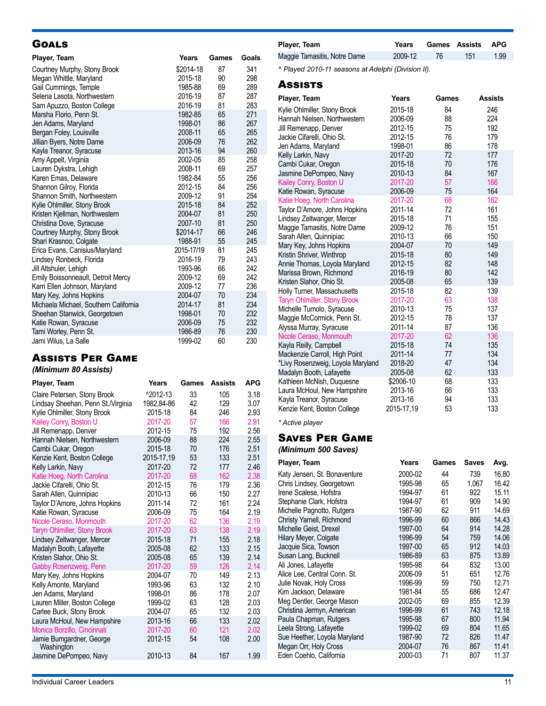### **GOALS**

| Player, Team                          | Years      | Games | Goals |
|---------------------------------------|------------|-------|-------|
| Courtney Murphy, Stony Brook          | \$2014-18  | 87    | 341   |
| Megan Whittle, Maryland               | 2015-18    | 90    | 298   |
| Gail Cummings, Temple                 | 1985-88    | 69    | 289   |
| Selena Lasota, Northwestern           | 2016-19    | 87    | 287   |
| Sam Apuzzo, Boston College            | 2016-19    | 81    | 283   |
| Marsha Florio, Penn St.               | 1982-85    | 65    | 271   |
| Jen Adams, Maryland                   | 1998-01    | 86    | 267   |
| Bergan Foley, Louisville              | 2008-11    | 65    | 265   |
| Jillian Byers, Notre Dame             | 2006-09    | 76    | 262   |
| Kayla Treanor, Syracuse               | 2013-16    | 94    | 260   |
| Amy Appelt, Virginia                  | 2002-05    | 85    | 258   |
| Lauren Dykstra, Lehigh                | 2008-11    | 69    | 257   |
| Karen Emas, Delaware                  | 1982-84    | 55    | 256   |
| Shannon Gilroy, Florida               | 2012-15    | 84    | 256   |
| Shannon Smith, Northwestern           | 2009-12    | 91    | 254   |
| Kylie Ohlmiller, Stony Brook          | 2015-18    | 84    | 252   |
| Kristen Kjellman, Northwestern        | 2004-07    | 81    | 250   |
| Christina Dove, Syracuse              | 2007-10    | 81    | 250   |
| Courtney Murphy, Stony Brook          | \$2014-17  | 66    | 246   |
| Shari Krasnoo, Colgate                | 1988-91    | 55    | 245   |
| Erica Evans, Canisius/Maryland        | 2015-17/19 | 81    | 245   |
| Lindsey Ronbeck, Florida              | 2016-19    | 79    | 243   |
| Jill Altshuler, Lehigh                | 1993-96    | 66    | 242   |
| Emily Boissonneault, Detroit Mercy    | 2009-12    | 69    | 242   |
| Karri Ellen Johnson, Maryland         | 2009-12    | 77    | 236   |
| Mary Key, Johns Hopkins               | 2004-07    | 70    | 234   |
| Michaela Michael, Southern California | 2014-17    | 81    | 234   |
| Sheehan Stanwick, Georgetown          | 1998-01    | 70    | 232   |
| Katie Rowan, Syracuse                 | 2006-09    | 75    | 232   |
| Tami Worley, Penn St.                 | 1986-89    | 76    | 230   |
| Jami Wilus, La Salle                  | 1999-02    | 60    | 230   |

### Assists Per Game

### *(Minimum 80 Assists)*

| Player, Team                           | Years      | Games | <b>Assists</b> | <b>APG</b> |
|----------------------------------------|------------|-------|----------------|------------|
| Claire Petersen, Stony Brook           | ^2012-13   | 33    | 105            | 3.18       |
| Lindsay Sheehan, Penn St./Virginia     | 1982,84-86 | 42    | 129            | 3.07       |
| Kylie Ohlmiller, Stony Brook           | 2015-18    | 84    | 246            | 2.93       |
| Kailey Conry, Boston U                 | 2017-20    | 57    | 166            | 2.91       |
| Jill Remenapp, Denver                  | 2012-15    | 75    | 192            | 2.56       |
| Hannah Nielsen, Northwestern           | 2006-09    | 88    | 224            | 2.55       |
| Cambi Cukar, Oregon                    | 2015-18    | 70    | 176            | 2.51       |
| Kenzie Kent, Boston College            | 2015-17.19 | 53    | 133            | 2.51       |
| Kelly Larkin, Navy                     | 2017-20    | 72    | 177            | 2.46       |
| Katie Hoeg, North Carolina             | 2017-20    | 68    | 162            | 2.38       |
| Jackie Cifarelli, Ohio St.             | 2012-15    | 76    | 179            | 2.36       |
| Sarah Allen, Quinnipiac                | 2010-13    | 66    | 150            | 2.27       |
| Taylor D'Amore, Johns Hopkins          | 2011-14    | 72    | 161            | 2.24       |
| Katie Rowan, Syracuse                  | 2006-09    | 75    | 164            | 2.19       |
| Nicole Ceraso, Monmouth                | 2017-20    | 62    | 136            | 2.19       |
| <b>Taryn Ohlmiller, Stony Brook</b>    | 2017-20    | 63    | 138            | 2.19       |
| Lindsey Zeltwanger, Mercer             | 2015-18    | 71    | 155            | 2.18       |
| Madalyn Booth, Lafayette               | 2005-08    | 62    | 133            | 2.15       |
| Kristen Slahor, Ohio St.               | 2005-08    | 65    | 139            | 2.14       |
| Gabby Rosenzweig, Penn                 | 2017-20    | 59    | 126            | 2.14       |
| Mary Key, Johns Hopkins                | 2004-07    | 70    | 149            | 2.13       |
| Kelly Amonte, Maryland                 | 1993-96    | 63    | 132            | 2.10       |
| Jen Adams, Maryland                    | 1998-01    | 86    | 178            | 2.07       |
| Lauren Miller, Boston College          | 1999-02    | 63    | 128            | 2.03       |
| Carlee Buck, Stony Brook               | 2004-07    | 65    | 132            | 2.03       |
| Laura McHoul, New Hampshire            | 2013-16    | 66    | 133            | 2.02       |
| Monica Borzillo, Cincinnati            | 2017-20    | 60    | 121            | 2.02       |
| Jamie Bumgardner, George<br>Washington | 2012-15    | 54    | 108            | 2.00       |
| Jasmine DePompeo, Navy                 | 2010-13    | 84    | 167            | 1.99       |

| Player, Team                 |         |     | Years Games Assists APG |      |
|------------------------------|---------|-----|-------------------------|------|
| Maggie Tamasitis, Notre Dame | 2009-12 | -76 | 151                     | 1.99 |

*^ Played 2010-11 seasons at Adelphi (Division II).*

#### **Assists**

| Player, Team                        | Years      | Games | <b>Assists</b> |
|-------------------------------------|------------|-------|----------------|
| Kylie Ohlmiller, Stony Brook        | 2015-18    | 84    | 246            |
| Hannah Nielsen, Northwestern        | 2006-09    | 88    | 224            |
| Jill Remenapp, Denver               | 2012-15    | 75    | 192            |
| Jackie Cifarelli, Ohio St.          | 2012-15    | 76    | 179            |
| Jen Adams, Maryland                 | 1998-01    | 86    | 178            |
| Kelly Larkin, Navy                  | 2017-20    | 72    | 177            |
| Cambi Cukar, Oregon                 | 2015-18    | 70    | 176            |
| Jasmine DePompeo, Navy              | 2010-13    | 84    | 167            |
| Kailey Conry, Boston U              | 2017-20    | 57    | 166            |
| Katie Rowan, Syracuse               | 2006-09    | 75    | 164            |
| Katie Hoeg, North Carolina          | 2017-20    | 68    | 162            |
| Taylor D'Amore, Johns Hopkins       | 2011-14    | 72    | 161            |
| Lindsey Zeltwanger, Mercer          | 2015-18    | 71    | 155            |
| Maggie Tamasitis, Notre Dame        | 2009-12    | 76    | 151            |
| Sarah Allen, Quinnipiac             | 2010-13    | 66    | 150            |
| Mary Key, Johns Hopkins             | 2004-07    | 70    | 149            |
| Kristin Shriver, Winthrop           | 2015-18    | 80    | 149            |
| Annie Thomas, Loyola Maryland       | 2012-15    | 82    | 148            |
| Marissa Brown, Richmond             | 2016-19    | 80    | 142            |
| Kristen Slahor, Ohio St.            | 2005-08    | 65    | 139            |
| Holly Turner, Massachusetts         | 2015-18    | 82    | 139            |
| <b>Taryn Ohlmiller, Stony Brook</b> | 2017-20    | 63    | 138            |
| Michelle Tumolo, Syracuse           | 2010-13    | 75    | 137            |
| Maggie McCormick, Penn St.          | 2012-15    | 78    | 137            |
| Alyssa Murray, Syracuse             | 2011-14    | 87    | 136            |
| Nicole Ceraso, Monmouth             | 2017-20    | 62    | 136            |
| Kayla Reilly, Campbell              | 2015-18    | 74    | 135            |
| Mackenzie Carroll, High Point       | 2011-14    | 77    | 134            |
| *Livy Rosenzweig, Loyola Maryland   | 2018-20    | 47    | 134            |
| Madalyn Booth, Lafayette            | 2005-08    | 62    | 133            |
| Kathleen McNish, Duquesne           | \$2006-10  | 68    | 133            |
| Laura McHoul, New Hampshire         | 2013-16    | 66    | 133            |
| Kayla Treanor, Syracuse             | 2013-16    | 94    | 133            |
| Kenzie Kent, Boston College         | 2015-17,19 | 53    | 133            |

*\* Active player*

### Saves Per Game

*(Minimum 500 Saves)*

| Player, Team                 | Years   | Games | <b>Saves</b> | Avg.  |
|------------------------------|---------|-------|--------------|-------|
| Katy Jensen, St. Bonaventure | 2000-02 | 44    | 739          | 16.80 |
| Chris Lindsey, Georgetown    | 1995-98 | 65    | 1.067        | 16.42 |
| Irene Scalese, Hofstra       | 1994-97 | 61    | 922          | 15.11 |
| Stephanie Clark, Hofstra     | 1994-97 | 61    | 909          | 14.90 |
| Michelle Pagnotto, Rutgers   | 1987-90 | 62    | 911          | 14.69 |
| Christy Yarnell, Richmond    | 1996-99 | 60    | 866          | 14.43 |
| Michelle Geist, Drexel       | 1997-00 | 64    | 914          | 14.28 |
| Hilary Meyer, Colgate        | 1996-99 | 54    | 759          | 14.06 |
| Jacquie Sica, Towson         | 1997-00 | 65    | 912          | 14.03 |
| Susan Lang, Bucknell         | 1986-89 | 63    | 875          | 13.89 |
| Ali Jones, Lafayette         | 1995-98 | 64    | 832          | 13.00 |
| Alice Lee, Central Conn. St. | 2006-09 | 51    | 651          | 12.76 |
| Julie Novak, Holy Cross      | 1996-99 | 59    | 750          | 12.71 |
| Kim Jackson, Delaware        | 1981-84 | 55    | 686          | 12.47 |
| Meg Dentler, George Mason    | 2002-05 | 69    | 855          | 12.39 |
| Christina Jermyn, American   | 1996-99 | 61    | 743          | 12.18 |
| Paula Chapman, Rutgers       | 1995-98 | 67    | 800          | 11.94 |
| Leela Strong, Lafayette      | 1999-02 | 69    | 804          | 11.65 |
| Sue Heether, Loyola Maryland | 1987-90 | 72    | 826          | 11.47 |
| Megan Orr, Holy Cross        | 2004-07 | 76    | 867          | 11.41 |
| Eden Coehlo, California      | 2000-03 | 71    | 807          | 11.37 |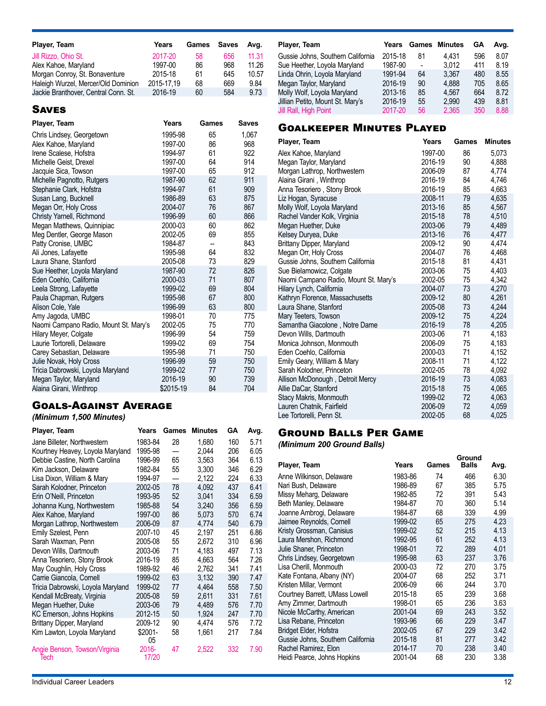| Player, Team                         | Years      | Games | <b>Saves</b> | Ava.  |
|--------------------------------------|------------|-------|--------------|-------|
| Jill Rizzo, Ohio St.                 | 2017-20    | 58    | 656          | 11.31 |
| Alex Kahoe, Maryland                 | 1997-00    | 86    | 968          | 11.26 |
| Morgan Conroy, St. Bonaventure       | 2015-18    | 61    | 645          | 10.57 |
| Haleigh Wurzel, Mercer/Old Dominion  | 2015-17.19 | 68    | 669          | 9.84  |
| Jackie Branthover, Central Conn. St. | 2016-19    | 60    | 584          | 9.73  |

### **SAVES**

| Player, Team                          | Years     | Games | Saves |
|---------------------------------------|-----------|-------|-------|
| Chris Lindsey, Georgetown             | 1995-98   | 65    | 1,067 |
| Alex Kahoe, Maryland                  | 1997-00   | 86    | 968   |
| Irene Scalese, Hofstra                | 1994-97   | 61    | 922   |
| Michelle Geist, Drexel                | 1997-00   | 64    | 914   |
| Jacquie Sica, Towson                  | 1997-00   | 65    | 912   |
| Michelle Pagnotto, Rutgers            | 1987-90   | 62    | 911   |
| Stephanie Clark, Hofstra              | 1994-97   | 61    | 909   |
| Susan Lang, Bucknell                  | 1986-89   | 63    | 875   |
| Megan Orr, Holy Cross                 | 2004-07   | 76    | 867   |
| Christy Yarnell, Richmond             | 1996-99   | 60    | 866   |
| Megan Matthews, Quinnipiac            | 2000-03   | 60    | 862   |
| Meg Dentler, George Mason             | 2002-05   | 69    | 855   |
| Patty Cronise, UMBC                   | 1984-87   | --    | 843   |
| Ali Jones, Lafayette                  | 1995-98   | 64    | 832   |
| Laura Shane, Stanford                 | 2005-08   | 73    | 829   |
| Sue Heether, Loyola Maryland          | 1987-90   | 72    | 826   |
| Eden Coehlo, California               | 2000-03   | 71    | 807   |
| Leela Strong, Lafayette               | 1999-02   | 69    | 804   |
| Paula Chapman, Rutgers                | 1995-98   | 67    | 800   |
| Alison Cole, Yale                     | 1996-99   | 63    | 800   |
| Amy Jagoda, UMBC                      | 1998-01   | 70    | 775   |
| Naomi Campano Radio, Mount St. Mary's | 2002-05   | 75    | 770   |
| Hilary Meyer, Colgate                 | 1996-99   | 54    | 759   |
| Laurie Tortorelli, Delaware           | 1999-02   | 69    | 754   |
| Carey Sebastian, Delaware             | 1995-98   | 71    | 750   |
| Julie Novak, Holy Cross               | 1996-99   | 59    | 750   |
| Tricia Dabrowski, Loyola Maryland     | 1999-02   | 77    | 750   |
| Megan Taylor, Maryland                | 2016-19   | 90    | 739   |
| Alaina Girani, Winthrop               | \$2015-19 | 84    | 704   |

### Goals-Against Average

### *(Minimum 1,500 Minutes)*

| Player, Team                          | Years             | Games | <b>Minutes</b> | GА  | Avg. |
|---------------------------------------|-------------------|-------|----------------|-----|------|
| Jane Billeter, Northwestern           | 1983-84           | 28    | 1,680          | 160 | 5.71 |
| Kourtney Heavey, Loyola Maryland      | 1995-98           |       | 2,044          | 206 | 6.05 |
| Debbie Castine, North Carolina        | 1996-99           | 65    | 3.563          | 364 | 6.13 |
| Kim Jackson, Delaware                 | 1982-84           | 55    | 3,300          | 346 | 6.29 |
| Lisa Dixon, William & Mary            | 1994-97           |       | 2,122          | 224 | 6.33 |
| Sarah Kolodner, Princeton             | 2002-05           | 78    | 4.092          | 437 | 6.41 |
| Erin O'Neill, Princeton               | 1993-95           | 52    | 3,041          | 334 | 6.59 |
| Johanna Kung, Northwestern            | 1985-88           | 54    | 3,240          | 356 | 6.59 |
| Alex Kahoe, Maryland                  | 1997-00           | 86    | 5,073          | 570 | 6.74 |
| Morgan Lathrop, Northwestern          | 2006-09           | 87    | 4,774          | 540 | 6.79 |
| Emily Szelest, Penn                   | 2007-10           | 45    | 2,197          | 251 | 6.86 |
| Sarah Waxman, Penn                    | 2005-08           | 55    | 2.672          | 310 | 6.96 |
| Devon Wills, Dartmouth                | 2003-06           | 71    | 4,183          | 497 | 7.13 |
| Anna Tesoriero, Stony Brook           | 2016-19           | 85    | 4,663          | 564 | 7.26 |
| May Coughlin, Holy Cross              | 1989-92           | 46    | 2,762          | 341 | 7.41 |
| Carrie Giancola, Cornell              | 1999-02           | 63    | 3.132          | 390 | 7.47 |
| Tricia Dabrowski, Loyola Maryland     | 1999-02           | 77    | 4.464          | 558 | 7.50 |
| Kendall McBreaty, Virginia            | 2005-08           | 59    | 2,611          | 331 | 7.61 |
| Megan Huether, Duke                   | 2003-06           | 79    | 4,489          | 576 | 7.70 |
| <b>KC Emerson, Johns Hopkins</b>      | 2012-15           | 50    | 1.924          | 247 | 7.70 |
| Brittany Dipper, Maryland             | 2009-12           | 90    | 4,474          | 576 | 7.72 |
| Kim Lawton, Loyola Maryland           | \$2001-<br>05     | 58    | 1,661          | 217 | 7.84 |
| Angie Benson, Towson/Virginia<br>Tech | $2016 -$<br>17/20 | 47    | 2,522          | 332 | 7.90 |

| Years   |                          |       | GА                   | Avg. |
|---------|--------------------------|-------|----------------------|------|
| 2015-18 | 81                       | 4.431 | 596                  | 8.07 |
| 1987-90 | $\overline{\phantom{a}}$ | 3.012 | 411                  | 8.19 |
| 1991-94 | 64                       | 3.367 | 480                  | 8.55 |
| 2016-19 | 90                       | 4.888 | 705                  | 8.65 |
| 2013-16 | 85                       | 4.567 | 664                  | 8.72 |
| 2016-19 | 55                       | 2.990 | 439                  | 8.81 |
| 2017-20 | 56                       | 2.365 | 350                  | 8.88 |
|         |                          |       | <b>Games Minutes</b> |      |

### Goalkeeper Minutes Played

| Player, Team                          | Years   | Games | <b>Minutes</b> |
|---------------------------------------|---------|-------|----------------|
| Alex Kahoe, Maryland                  | 1997-00 | 86    | 5,073          |
| Megan Taylor, Maryland                | 2016-19 | 90    | 4,888          |
| Morgan Lathrop, Northwestern          | 2006-09 | 87    | 4,774          |
| Alaina Girani, Winthrop               | 2016-19 | 84    | 4,746          |
| Anna Tesoriero, Stony Brook           | 2016-19 | 85    | 4,663          |
| Liz Hogan, Syracuse                   | 2008-11 | 79    | 4,635          |
| Molly Wolf, Loyola Maryland           | 2013-16 | 85    | 4,567          |
| Rachel Vander Kolk, Virginia          | 2015-18 | 78    | 4,510          |
| Megan Huether, Duke                   | 2003-06 | 79    | 4,489          |
| Kelsey Duryea, Duke                   | 2013-16 | 76    | 4,477          |
| Brittany Dipper, Maryland             | 2009-12 | 90    | 4,474          |
| Megan Orr, Holy Cross                 | 2004-07 | 76    | 4.468          |
| Gussie Johns, Southern California     | 2015-18 | 81    | 4,431          |
| Sue Bielamowicz, Colgate              | 2003-06 | 75    | 4,403          |
| Naomi Campano Radio, Mount St. Mary's | 2002-05 | 75    | 4,342          |
| Hilary Lynch, California              | 2004-07 | 73    | 4,270          |
| Kathryn Florence, Massachusetts       | 2009-12 | 80    | 4,261          |
| Laura Shane, Stanford                 | 2005-08 | 73    | 4,244          |
| Mary Teeters, Towson                  | 2009-12 | 75    | 4,224          |
| Samantha Giacolone, Notre Dame        | 2016-19 | 78    | 4,205          |
| Devon Wills, Dartmouth                | 2003-06 | 71    | 4,183          |
| Monica Johnson, Monmouth              | 2006-09 | 75    | 4,183          |
| Eden Coehlo, California               | 2000-03 | 71    | 4,152          |
| Emily Geary, William & Mary           | 2008-11 | 71    | 4,122          |
| Sarah Kolodner, Princeton             | 2002-05 | 78    | 4,092          |
| Allison McDonough, Detroit Mercy      | 2016-19 | 73    | 4,083          |
| Allie DaCar, Stanford                 | 2015-18 | 75    | 4,065          |
| Stacy Makris, Monmouth                | 1999-02 | 72    | 4,063          |
| Lauren Chatnik, Fairfield             | 2006-09 | 72    | 4,059          |
| Lee Tortorelli, Penn St.              | 2002-05 | 68    | 4,025          |

### Ground Balls Per Game

*(Minimum 200 Ground Balls)*

|                                   |         |       | Ground       |      |
|-----------------------------------|---------|-------|--------------|------|
| Player, Team                      | Years   | Games | <b>Balls</b> | Avg. |
| Anne Wilkinson, Delaware          | 1983-86 | 74    | 466          | 6.30 |
| Nari Bush, Delaware               | 1986-89 | 67    | 385          | 5.75 |
| Missy Meharg, Delaware            | 1982-85 | 72    | 391          | 5.43 |
| Beth Manley, Delaware             | 1984-87 | 70    | 360          | 5.14 |
| Joanne Ambrogi, Delaware          | 1984-87 | 68    | 339          | 4.99 |
| Jaimee Reynolds, Cornell          | 1999-02 | 65    | 275          | 4.23 |
| Kristy Grossman, Canisius         | 1999-02 | 52    | 215          | 4.13 |
| Laura Mershon, Richmond           | 1992-95 | 61    | 252          | 4.13 |
| Julie Shaner, Princeton           | 1998-01 | 72    | 289          | 4.01 |
| Chris Lindsey, Georgetown         | 1995-98 | 63    | 237          | 3.76 |
| Lisa Cherill, Monmouth            | 2000-03 | 72    | 270          | 3.75 |
| Kate Fontana, Albany (NY)         | 2004-07 | 68    | 252          | 3.71 |
| Kristen Millar, Vermont           | 2006-09 | 66    | 244          | 3.70 |
| Courtney Barrett, UMass Lowell    | 2015-18 | 65    | 239          | 3.68 |
| Amy Zimmer, Dartmouth             | 1998-01 | 65    | 236          | 3.63 |
| Nicole McCarthy, American         | 2001-04 | 69    | 243          | 3.52 |
| Lisa Rebane, Princeton            | 1993-96 | 66    | 229          | 3.47 |
| Bridget Elder, Hofstra            | 2002-05 | 67    | 229          | 3.42 |
| Gussie Johns, Southern California | 2015-18 | 81    | 277          | 3.42 |
| Rachel Ramirez, Elon              | 2014-17 | 70    | 238          | 3.40 |
| Heidi Pearce, Johns Hopkins       | 2001-04 | 68    | 230          | 3.38 |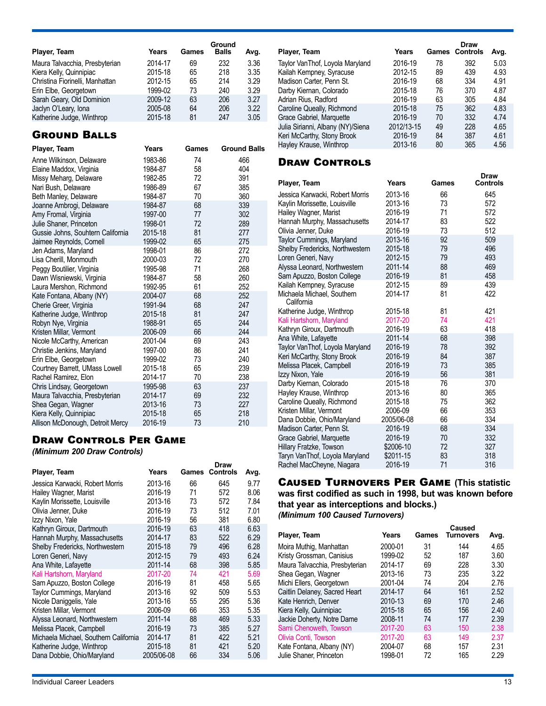| Player, Team                    | Years   | Games | Ground<br><b>Balls</b> | Avg. |
|---------------------------------|---------|-------|------------------------|------|
| Maura Talvacchia, Presbyterian  | 2014-17 | 69    | 232                    | 3.36 |
| Kiera Kelly, Quinnipiac         | 2015-18 | 65    | 218                    | 3.35 |
| Christina Fiorinelli, Manhattan | 2012-15 | 65    | 214                    | 3.29 |
| Erin Elbe, Georgetown           | 1999-02 | 73    | 240                    | 3.29 |
| Sarah Geary, Old Dominion       | 2009-12 | 63    | 206                    | 3.27 |
| Jaclyn O'Leary, Iona            | 2005-08 | 64    | 206                    | 3.22 |
| Katherine Judge, Winthrop       | 2015-18 | 81    | 247                    | 3.05 |

### Ground Balls

| Player, Team                      | Years   | Games | <b>Ground Balls</b> |
|-----------------------------------|---------|-------|---------------------|
| Anne Wilkinson, Delaware          | 1983-86 | 74    | 466                 |
| Elaine Maddox, Virginia           | 1984-87 | 58    | 404                 |
| Missy Meharg, Delaware            | 1982-85 | 72    | 391                 |
| Nari Bush, Delaware               | 1986-89 | 67    | 385                 |
| Beth Manley, Delaware             | 1984-87 | 70    | 360                 |
| Joanne Ambrogi, Delaware          | 1984-87 | 68    | 339                 |
| Amy Fromal, Virginia              | 1997-00 | 77    | 302                 |
| Julie Shaner, Princeton           | 1998-01 | 72    | 289                 |
| Gussie Johns, Souhtern California | 2015-18 | 81    | 277                 |
| Jaimee Reynolds, Cornell          | 1999-02 | 65    | 275                 |
| Jen Adams, Maryland               | 1998-01 | 86    | 272                 |
| Lisa Cherill, Monmouth            | 2000-03 | 72    | 270                 |
| Peggy Boutilier, Virginia         | 1995-98 | 71    | 268                 |
| Dawn Wisniewski, Virginia         | 1984-87 | 58    | 260                 |
| Laura Mershon, Richmond           | 1992-95 | 61    | 252                 |
| Kate Fontana, Albany (NY)         | 2004-07 | 68    | 252                 |
| Cherie Greer, Virginia            | 1991-94 | 68    | 247                 |
| Katherine Judge, Winthrop         | 2015-18 | 81    | 247                 |
| Robyn Nye, Virginia               | 1988-91 | 65    | 244                 |
| Kristen Millar, Vermont           | 2006-09 | 66    | 244                 |
| Nicole McCarthy, American         | 2001-04 | 69    | 243                 |
| Christie Jenkins, Maryland        | 1997-00 | 86    | 241                 |
| Erin Elbe, Georgetown             | 1999-02 | 73    | 240                 |
| Courtney Barrett, UMass Lowell    | 2015-18 | 65    | 239                 |
| Rachel Ramirez, Elon              | 2014-17 | 70    | 238                 |
| Chris Lindsay, Georgetown         | 1995-98 | 63    | 237                 |
| Maura Talvacchia, Presbyterian    | 2014-17 | 69    | 232                 |
| Shea Gegan, Wagner                | 2013-16 | 73    | 227                 |
| Kiera Kelly, Quinnipiac           | 2015-18 | 65    | 218                 |
| Allison McDonough, Detroit Mercy  | 2016-19 | 73    | 210                 |

### Draw Controls Per Game

*(Minimum 200 Draw Controls)*

|                                       |            |       | Draw            |      |
|---------------------------------------|------------|-------|-----------------|------|
| Player, Team                          | Years      | Games | <b>Controls</b> | Avg. |
| Jessica Karwacki, Robert Morris       | 2013-16    | 66    | 645             | 9.77 |
| Hailey Wagner, Marist                 | 2016-19    | 71    | 572             | 8.06 |
| Kaylin Morissette, Louisville         | 2013-16    | 73    | 572             | 7.84 |
| Olivia Jenner, Duke                   | 2016-19    | 73    | 512             | 7.01 |
| Izzy Nixon, Yale                      | 2016-19    | 56    | 381             | 6.80 |
| Kathryn Giroux, Dartmouth             | 2016-19    | 63    | 418             | 6.63 |
| Hannah Murphy, Massachusetts          | 2014-17    | 83    | 522             | 6.29 |
| Shelby Fredericks, Northwestern       | 2015-18    | 79    | 496             | 6.28 |
| Loren Generi, Navy                    | 2012-15    | 79    | 493             | 6.24 |
| Ana White, Lafayette                  | 2011-14    | 68    | 398             | 5.85 |
| Kali Hartshorn, Maryland              | 2017-20    | 74    | 421             | 5.69 |
| Sam Apuzzo, Boston College            | 2016-19    | 81    | 458             | 5.65 |
| Taylor Cummings, Maryland             | 2013-16    | 92    | 509             | 5.53 |
| Nicole Daniggelis, Yale               | 2013-16    | 55    | 295             | 5.36 |
| Kristen Millar, Vermont               | 2006-09    | 66    | 353             | 5.35 |
| Alyssa Leonard, Northwestern          | 2011-14    | 88    | 469             | 5.33 |
| Melissa Placek, Campbell              | 2016-19    | 73    | 385             | 5.27 |
| Michaela Michael, Southern California | 2014-17    | 81    | 422             | 5.21 |
| Katherine Judge, Winthrop             | 2015-18    | 81    | 421             | 5.20 |
| Dana Dobbie, Ohio/Maryland            | 2005/06-08 | 66    | 334             | 5.06 |
|                                       |            |       |                 |      |

| Player, Team                      | Years      |    | Draw<br><b>Games Controls</b> | Avg. |
|-----------------------------------|------------|----|-------------------------------|------|
| Taylor VanThof, Loyola Maryland   | 2016-19    | 78 | 392                           | 5.03 |
| Kailah Kempney, Syracuse          | 2012-15    | 89 | 439                           | 4.93 |
| Madison Carter, Penn St.          | 2016-19    | 68 | 334                           | 4.91 |
| Darby Kiernan, Colorado           | 2015-18    | 76 | 370                           | 4.87 |
| Adrian Rius, Radford              | 2016-19    | 63 | 305                           | 4.84 |
| Caroline Queally, Richmond        | 2015-18    | 75 | 362                           | 4.83 |
| Grace Gabriel, Marquette          | 2016-19    | 70 | 332                           | 4.74 |
| Julia Sirianni, Albany (NY)/Siena | 2012/13-15 | 49 | 228                           | 4.65 |
| Keri McCarthy, Stony Brook        | 2016-19    | 84 | 387                           | 4.61 |
| Hayley Krause, Winthrop           | 2013-16    | 80 | 365                           | 4.56 |

### **DRAW CONTROLS**

| Player, Team                             | Years      | Games | Draw<br><b>Controls</b> |
|------------------------------------------|------------|-------|-------------------------|
| Jessica Karwacki, Robert Morris          | 2013-16    | 66    | 645                     |
| Kaylin Morissette, Louisville            | 2013-16    | 73    | 572                     |
| Hailey Wagner, Marist                    | 2016-19    | 71    | 572                     |
| Hannah Murphy, Massachusetts             | 2014-17    | 83    | 522                     |
| Olivia Jenner, Duke                      | 2016-19    | 73    | 512                     |
| Taylor Cummings, Maryland                | 2013-16    | 92    | 509                     |
| Shelby Fredericks, Northwestern          | 2015-18    | 79    | 496                     |
| Loren Generi, Navy                       | 2012-15    | 79    | 493                     |
| Alyssa Leonard, Northwestern             | 2011-14    | 88    | 469                     |
| Sam Apuzzo, Boston College               | 2016-19    | 81    | 458                     |
| Kailah Kempney, Syracuse                 | 2012-15    | 89    | 439                     |
| Michaela Michael, Southern<br>California | 2014-17    | 81    | 422                     |
| Katherine Judge, Winthrop                | 2015-18    | 81    | 421                     |
| Kali Hartshorn, Maryland                 | 2017-20    | 74    | 421                     |
| Kathryn Giroux, Dartmouth                | 2016-19    | 63    | 418                     |
| Ana White, Lafayette                     | 2011-14    | 68    | 398                     |
| Taylor VanThof, Loyola Maryland          | 2016-19    | 78    | 392                     |
| Keri McCarthy, Stony Brook               | 2016-19    | 84    | 387                     |
| Melissa Placek, Campbell                 | 2016-19    | 73    | 385                     |
| Izzy Nixon, Yale                         | 2016-19    | 56    | 381                     |
| Darby Kiernan, Colorado                  | 2015-18    | 76    | 370                     |
| Hayley Krause, Winthrop                  | 2013-16    | 80    | 365                     |
| Caroline Queally, Richmond               | 2015-18    | 75    | 362                     |
| Kristen Millar, Vermont                  | 2006-09    | 66    | 353                     |
| Dana Dobbie, Ohio/Maryland               | 2005/06-08 | 66    | 334                     |
| Madison Carter, Penn St.                 | 2016-19    | 68    | 334                     |
| Grace Gabriel, Marquette                 | 2016-19    | 70    | 332                     |
| Hillary Fratzke, Towson                  | \$2006-10  | 72    | 327                     |
| Taryn VanThof, Loyola Maryland           | \$2011-15  | 83    | 318                     |
| Rachel MacCheyne, Niagara                | 2016-19    | 71    | 316                     |

Caused Turnovers Per Game **(This statistic was first codified as such in 1998, but was known before that year as interceptions and blocks.)** *(Minimum 100 Caused Turnovers)*

| Player, Team                   | Years   | Games | Caused<br><b>Turnovers</b> | Avg. |
|--------------------------------|---------|-------|----------------------------|------|
| Moira Muthig, Manhattan        | 2000-01 | 31    | 144                        | 4.65 |
| Kristy Grossman, Canisius      | 1999-02 | 52    | 187                        | 3.60 |
| Maura Talvacchia, Presbyterian | 2014-17 | 69    | 228                        | 3.30 |
| Shea Gegan, Wagner             | 2013-16 | 73    | 235                        | 3.22 |
| Michi Ellers, Georgetown       | 2001-04 | 74    | 204                        | 2.76 |
| Caitlin Delaney, Sacred Heart  | 2014-17 | 64    | 161                        | 2.52 |
| Kate Henrich, Denver           | 2010-13 | 69    | 170                        | 2.46 |
| Kiera Kelly, Quinnipiac        | 2015-18 | 65    | 156                        | 2.40 |
| Jackie Doherty, Notre Dame     | 2008-11 | 74    | 177                        | 2.39 |
| Sami Chenoweth, Towson         | 2017-20 | 63    | 150                        | 2.38 |
| Olivia Conti, Towson           | 2017-20 | 63    | 149                        | 2.37 |
| Kate Fontana, Albany (NY)      | 2004-07 | 68    | 157                        | 2.31 |
| Julie Shaner, Princeton        | 1998-01 | 72    | 165                        | 2.29 |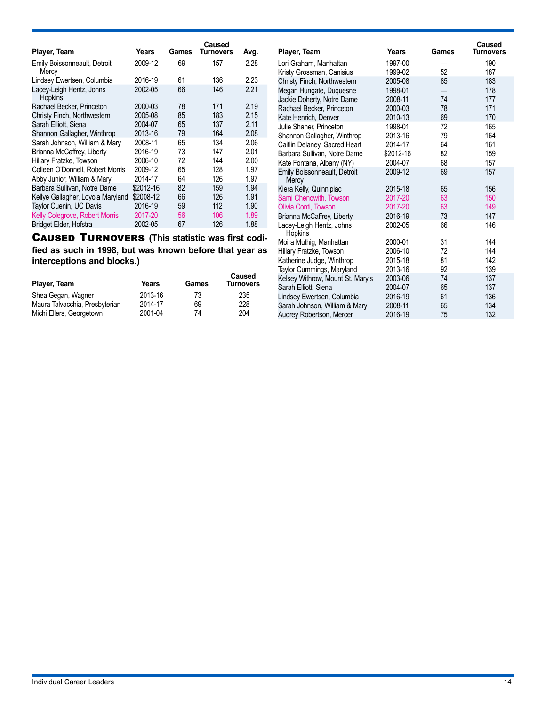|                                            |           |       | Caused    |      |
|--------------------------------------------|-----------|-------|-----------|------|
| Player, Team                               | Years     | Games | Turnovers | Avg. |
| Emily Boissonneault, Detroit<br>Mercy      | 2009-12   | 69    | 157       | 2.28 |
| Lindsey Ewertsen, Columbia                 | 2016-19   | 61    | 136       | 2.23 |
| Lacey-Leigh Hentz, Johns<br><b>Hopkins</b> | 2002-05   | 66    | 146       | 2.21 |
| Rachael Becker, Princeton                  | 2000-03   | 78    | 171       | 2.19 |
| Christy Finch, Northwestern                | 2005-08   | 85    | 183       | 2.15 |
| Sarah Elliott, Siena                       | 2004-07   | 65    | 137       | 2.11 |
| Shannon Gallagher, Winthrop                | 2013-16   | 79    | 164       | 2.08 |
| Sarah Johnson, William & Mary              | 2008-11   | 65    | 134       | 2.06 |
| Brianna McCaffrey, Liberty                 | 2016-19   | 73    | 147       | 2.01 |
| Hillary Fratzke, Towson                    | 2006-10   | 72    | 144       | 2.00 |
| Colleen O'Donnell, Robert Morris           | 2009-12   | 65    | 128       | 1.97 |
| Abby Junior, William & Mary                | 2014-17   | 64    | 126       | 1.97 |
| Barbara Sullivan, Notre Dame               | \$2012-16 | 82    | 159       | 1.94 |
| Kellye Gallagher, Loyola Maryland          | \$2008-12 | 66    | 126       | 1.91 |
| Taylor Cuenin, UC Davis                    | 2016-19   | 59    | 112       | 1.90 |
| Kelly Colegrove, Robert Morris             | 2017-20   | 56    | 106       | 1.89 |
| Bridget Elder, Hofstra                     | 2002-05   | 67    | 126       | 1.88 |

Caused Turnovers **(This statistic was first codified as such in 1998, but was known before that year as interceptions and blocks.)**

| Player, Team                   | Years   | Games | Caused<br><b>Turnovers</b> |
|--------------------------------|---------|-------|----------------------------|
| Shea Gegan, Wagner             | 2013-16 | 73    | 235                        |
| Maura Talvacchia, Presbyterian | 2014-17 | 69    | 228                        |
| Michi Ellers, Georgetown       | 2001-04 | 74    | 204                        |

| Player, Team                        | Years     | Games | Caused<br>Turnovers |
|-------------------------------------|-----------|-------|---------------------|
| Lori Graham, Manhattan              | 1997-00   |       | 190                 |
| Kristy Grossman, Canisius           | 1999-02   | 52    | 187                 |
| Christy Finch, Northwestern         | 2005-08   | 85    | 183                 |
| Megan Hungate, Duquesne             | 1998-01   |       | 178                 |
| Jackie Doherty, Notre Dame          | 2008-11   | 74    | 177                 |
| Rachael Becker, Princeton           | 2000-03   | 78    | 171                 |
| Kate Henrich, Denver                | 2010-13   | 69    | 170                 |
| Julie Shaner, Princeton             | 1998-01   | 72    | 165                 |
| Shannon Gallagher, Winthrop         | 2013-16   | 79    | 164                 |
| Caitlin Delaney, Sacred Heart       | 2014-17   | 64    | 161                 |
| Barbara Sullivan, Notre Dame        | \$2012-16 | 82    | 159                 |
| Kate Fontana, Albany (NY)           | 2004-07   | 68    | 157                 |
| Emily Boissonneault, Detroit        | 2009-12   | 69    | 157                 |
| Mercy                               |           |       |                     |
| Kiera Kelly, Quinnipiac             | 2015-18   | 65    | 156                 |
| Sami Chenowith, Towson              | 2017-20   | 63    | 150                 |
| Olivia Conti, Towson                | 2017-20   | 63    | 149                 |
| Brianna McCaffrey, Liberty          | 2016-19   | 73    | 147                 |
| Lacey-Leigh Hentz, Johns<br>Hopkins | 2002-05   | 66    | 146                 |
| Moira Muthig, Manhattan             | 2000-01   | 31    | 144                 |
| Hillary Fratzke, Towson             | 2006-10   | 72    | 144                 |
| Katherine Judge, Winthrop           | 2015-18   | 81    | 142                 |
| Taylor Cummings, Maryland           | 2013-16   | 92    | 139                 |
| Kelsey Withrow, Mount St. Mary's    | 2003-06   | 74    | 137                 |
| Sarah Elliott, Siena                | 2004-07   | 65    | 137                 |
| Lindsey Ewertsen, Columbia          | 2016-19   | 61    | 136                 |
| Sarah Johnson, William & Mary       | 2008-11   | 65    | 134                 |
| Audrey Robertson, Mercer            | 2016-19   | 75    | 132                 |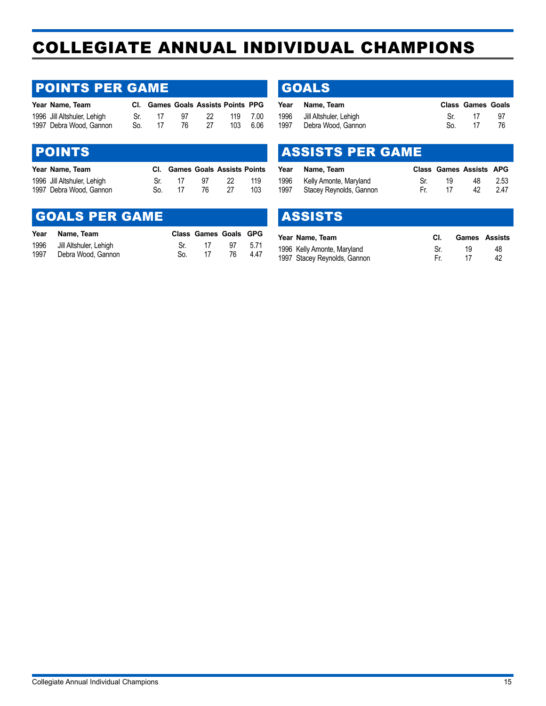## <span id="page-14-0"></span>COLLEGIATE ANNUAL INDIVIDUAL CHAMPIONS

### POINTS PER GAME

| Year Name, Team             |     |    |              | CI. Games Goals Assists Points PPG |          |  |
|-----------------------------|-----|----|--------------|------------------------------------|----------|--|
| 1996 Jill Altshuler, Lehigh | Sr. | 17 | $\mathbf{q}$ | -22 -                              | 119 7.00 |  |
| 1997 Debra Wood, Gannon     | So. | 17 | 76.          | -27                                | 103 6.06 |  |

### POINTS

| Year Name, Team             |     | <b>CI.</b> Games Goals Assists Points |     |     |     |
|-----------------------------|-----|---------------------------------------|-----|-----|-----|
| 1996 Jill Altshuler, Lehigh | .Sr | -17                                   | 97. | -22 | 119 |
| 1997 Debra Wood, Gannon     | So. | -17                                   | 76  |     | 103 |

### GOALS PER GAME

|      | Year Name, Team        |     | Class Games Goals GPG |    |      |
|------|------------------------|-----|-----------------------|----|------|
| 1996 | Jill Altshuler, Lehigh |     | -17                   | 97 | 5.71 |
| 1997 | Debra Wood, Gannon     | So. | 17                    | 76 | 4.47 |

### **GOALS**

| Year | Name, Team             |     | <b>Class Games Goals</b> |     |
|------|------------------------|-----|--------------------------|-----|
| 1996 | Jill Altshuler, Lehigh | .Sr | -17                      | -97 |
| 1997 | Debra Wood, Gannon     | So. |                          |     |

### ASSISTS PER GAME

| Year | Name. Team                  |     |    | <b>Class Games Assists APG</b> |      |
|------|-----------------------------|-----|----|--------------------------------|------|
|      | 1996 Kelly Amonte, Maryland | Sr. | 19 | 48                             | 2.53 |
| 1997 | Stacey Reynolds, Gannon     | Fr. | 17 | 42                             | 2.47 |

### ASSISTS

| Year Name, Team              |    | <b>Games</b> Assists |
|------------------------------|----|----------------------|
| 1996 Kelly Amonte, Maryland  | 19 | 48                   |
| 1997 Stacey Reynolds, Gannon |    | 42                   |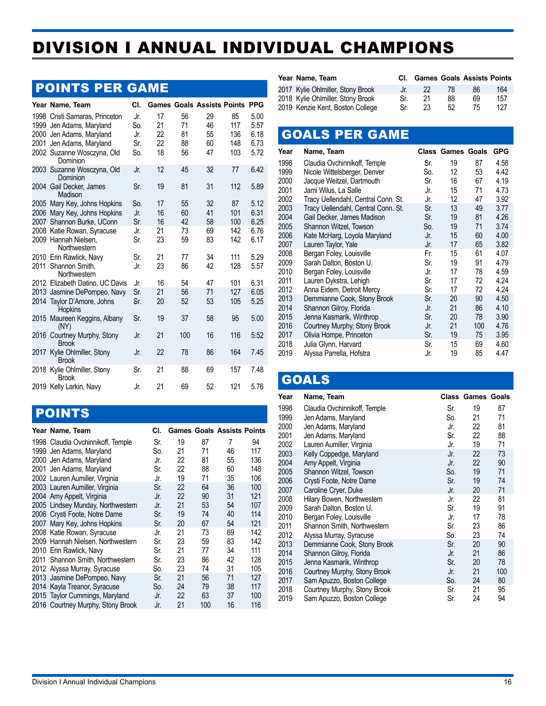## <span id="page-15-0"></span>DIVISION I ANNUAL INDIVIDUAL CHAMPIONS

### POINTS PER GAME

| Year Name, Team                                                                                                                                  | CI.                             |                            |                            | <b>Games Goals Assists Points PPG</b> |                                |                                      |
|--------------------------------------------------------------------------------------------------------------------------------------------------|---------------------------------|----------------------------|----------------------------|---------------------------------------|--------------------------------|--------------------------------------|
| 1998 Cristi Samaras, Princeton<br>1999 Jen Adams, Maryland<br>2000 Jen Adams, Maryland<br>2001 Jen Adams, Maryland<br>2002 Suzanne Wosczyna, Old | Jr.<br>So.<br>Jr.<br>Sr.<br>So. | 17<br>21<br>22<br>22<br>18 | 56<br>71<br>81<br>88<br>56 | 29<br>46<br>55<br>60<br>47            | 85<br>117<br>136<br>148<br>103 | 5.00<br>5.57<br>6.18<br>6.73<br>5.72 |
| Dominion<br>2003 Suzanne Wosczyna, Old<br>Dominion                                                                                               | Jr.                             | 12                         | 45                         | 32                                    | 77                             | 6.42                                 |
| 2004 Gail Decker, James<br>Madison                                                                                                               | Sr.                             | 19                         | 81                         | 31                                    | 112                            | 5.89                                 |
| 2005 Mary Key, Johns Hopkins<br>2006 Mary Key, Johns Hopkins<br>2007 Shannon Burke, UConn                                                        | So.<br>Jr.<br>Sr.               | 17<br>16<br>16             | 55<br>60<br>42             | 32<br>41<br>58                        | 87<br>101<br>100               | 5.12<br>6.31<br>6.25                 |
| 2008 Katie Rowan, Syracuse<br>2009 Hannah Nielsen,<br>Northwestern                                                                               | Jr.<br>Sr.                      | 21<br>23                   | 73<br>59                   | 69<br>83                              | 142<br>142                     | 6.76<br>6.17                         |
| 2010 Erin Rawlick, Navy<br>2011 Shannon Smith,<br>Northwestern                                                                                   | Sr.<br>Jr.                      | 21<br>23                   | 77<br>86                   | 34<br>42                              | 111<br>128                     | 5.29<br>5.57                         |
| 2012 Elizabeth Datino, UC Davis                                                                                                                  | Jr.                             | 16                         | 54                         | 47                                    | 101                            | 6.31                                 |
| 2013 Jasmine DePompeo, Navy<br>2014 Taylor D'Amore, Johns<br><b>Hopkins</b>                                                                      | Sr.<br>Sr.                      | 21<br>20                   | 56<br>52                   | 71<br>53                              | 127<br>105                     | 6.05<br>5.25                         |
| 2015 Maureen Keggins, Albany<br>(NY)                                                                                                             | Sr.                             | 19                         | 37                         | 58                                    | 95                             | 5.00                                 |
| 2016 Courtney Murphy, Stony<br><b>Brook</b>                                                                                                      | Jr.                             | 21                         | 100                        | 16                                    | 116                            | 5.52                                 |
| 2017 Kylie Ohlmiller, Stony<br><b>Brook</b>                                                                                                      | Jr.                             | 22                         | 78                         | 86                                    | 164                            | 7.45                                 |
| 2018 Kylie Ohlmiller, Stony<br><b>Brook</b>                                                                                                      | Sr.                             | 21                         | 88                         | 69                                    | 157                            | 7.48                                 |
| 2019 Kelly Larkin, Navy                                                                                                                          | Jr.                             | 21                         | 69                         | 52                                    | 121                            | 5.76                                 |

### POINTS

| Year Name, Team                   | CI. |    |     | <b>Games Goals Assists Points</b> |     |
|-----------------------------------|-----|----|-----|-----------------------------------|-----|
| 1998 Claudia Ovchinnikoff, Temple | Sr. | 19 | 87  | 7                                 | 94  |
| 1999 Jen Adams, Maryland          | So. | 21 | 71  | 46                                | 117 |
| 2000 Jen Adams, Maryland          | Jr. | 22 | 81  | 55                                | 136 |
| 2001 Jen Adams, Maryland          | Sr. | 22 | 88  | 60                                | 148 |
| 2002 Lauren Aumiller, Virginia    | Jr. | 19 | 71  | 35                                | 106 |
| 2003 Lauren Aumiller, Virginia    | Sr. | 22 | 64  | 36                                | 100 |
| 2004 Amy Appelt, Virginia         | Jr. | 22 | 90  | 31                                | 121 |
| 2005 Lindsey Munday, Northwestern | Jr. | 21 | 53  | 54                                | 107 |
| 2006 Crysti Foote, Notre Dame     | Sr. | 19 | 74  | 40                                | 114 |
| 2007 Mary Key, Johns Hopkins      | Sr. | 20 | 67  | 54                                | 121 |
| 2008 Katie Rowan, Syracuse        | Jr. | 21 | 73  | 69                                | 142 |
| 2009 Hannah Nielsen, Northwestern | Sr. | 23 | 59  | 83                                | 142 |
| 2010 Erin Rawlick, Navy           | Sr. | 21 | 77  | 34                                | 111 |
| 2011 Shannon Smith, Northwestern  | Sr. | 23 | 86  | 42                                | 128 |
| 2012 Alyssa Murray, Syracuse      | So. | 23 | 74  | 31                                | 105 |
| 2013 Jasmine DePompeo, Navy       | Sr. | 21 | 56  | 71                                | 127 |
| 2014 Kayla Treanor, Syracuse      | So. | 24 | 79  | 38                                | 117 |
| 2015 Taylor Cummings, Maryland    | Jr. | 22 | 63  | 37                                | 100 |
| 2016 Courtney Murphy, Stony Brook | Jr. | 21 | 100 | 16                                | 116 |

| Year Name. Team                   |      | <b>CI.</b> Games Goals Assists Points |    |    |     |
|-----------------------------------|------|---------------------------------------|----|----|-----|
| 2017 Kylie Ohlmiller, Stony Brook | √Jr∴ | 22                                    | 78 | 86 | 164 |
| 2018 Kylie Ohlmiller, Stony Brook | Sr.  | 21                                    | 88 | 69 | 157 |
| 2019 Kenzie Kent, Boston College  | Sr.  | 23                                    | 52 | 75 | 127 |

### GOALS PER GAME

| Year | Name, Team                          |     | <b>Class Games Goals</b> |     | <b>GPG</b> |
|------|-------------------------------------|-----|--------------------------|-----|------------|
| 1998 | Claudia Ovchinnikoff, Temple        | Sr. | 19                       | 87  | 4.58       |
| 1999 | Nicole Wittelsberger, Denver        | So. | 12                       | 53  | 4.42       |
| 2000 | Jacque Weitzel, Dartmouth           | Sr. | 16                       | 67  | 4.19       |
| 2001 | Jami Wilus, La Salle                | Jr. | 15                       | 71  | 4.73       |
| 2002 | Tracy Uellendahl, Central Conn. St. | Jr. | 12                       | 47  | 3.92       |
| 2003 | Tracy Uellendahl, Central Conn. St. | Sr. | 13                       | 49  | 3.77       |
| 2004 | Gail Decker, James Madison          | Sr. | 19                       | 81  | 4.26       |
| 2005 | Shannon Witzel, Towson              | So. | 19                       | 71  | 3.74       |
| 2006 | Kate McHarg, Loyola Maryland        | Jr. | 15                       | 60  | 4.00       |
| 2007 | Lauren Taylor, Yale                 | Jr. | 17                       | 65  | 3.82       |
| 2008 | Bergan Foley, Louisville            | Fr. | 15                       | 61  | 4.07       |
| 2009 | Sarah Dalton, Boston U.             | Sr. | 19                       | 91  | 4.79       |
| 2010 | Bergan Foley, Louisville            | Jr. | 17                       | 78  | 4.59       |
| 2011 | Lauren Dykstra, Lehigh              | Sr. | 17                       | 72. | 4.24       |
| 2012 | Anna Eidem, Detroit Mercy           | Sr. | 17                       | 72  | 4.24       |
| 2013 | Demmianne Cook, Stony Brook         | Sr. | 20                       | 90  | 4.50       |
| 2014 | Shannon Gilroy, Florida             | Jr. | 21                       | 86  | 4.10       |
| 2015 | Jenna Kasmarik, Winthrop            | Sr. | 20                       | 78  | 3.90       |
| 2016 | Courtney Murphy, Stony Brook        | Jr. | 21                       | 100 | 4.76       |
| 2017 | Olivia Hompe, Princeton             | Sr. | 19                       | 75  | 3.95       |
| 2018 | Julia Glynn, Harvard                | Sr. | 15                       | 69  | 4.60       |
| 2019 | Alyssa Parrella, Hofstra            | Jr. | 19                       | 85  | 4.47       |

### **GOALS**

| Year         | Name, Team                   |            | <b>Class Games Goals</b> |          |
|--------------|------------------------------|------------|--------------------------|----------|
| 1998         | Claudia Ovchinnikoff, Temple | Sr.        | 19                       | 87       |
| 1999         | Jen Adams, Maryland          | So.        | 21                       | 71       |
| 2000         | Jen Adams, Maryland          | Jr.        | 22                       | 81       |
| 2001         | Jen Adams, Maryland          | Sr.        | 22                       | 88       |
| 2002         | Lauren Aumiller, Virginia    | Jr.        | 19                       | 71       |
| 2003         | Kelly Coppedge, Maryland     | Jr.        | 22                       | 73       |
| 2004         | Amy Appelt, Virginia         | Jr.        | 22                       | 90       |
| 2005         | Shannon Witzel, Towson       | So.        | 19                       | 71       |
| 2006         | Crysti Foote, Notre Dame     | Sr.        | 19                       | 74       |
| 2007         | Caroline Cryer, Duke         | Jr.        | 20                       | 71       |
| 2008         | Hilary Bowen, Northwestern   | Jr.        | 22                       | 81       |
| 2009         | Sarah Dalton, Boston U.      | Sr.        | 19                       | 91       |
| 2010         | Bergan Foley, Louisville     | Jr.        | 17                       | 78       |
| 2011         | Shannon Smith, Northwestern  | Sr.        | 23                       | 86       |
| 2012         | Alyssa Murray, Syracuse      | So.        | 23                       | 74       |
| 2013         | Demmianne Cook, Stony Brook  | Sr.        | 20                       | 90       |
| 2014         | Shannon Gilroy, Florida      | Jr.        | 21                       | 86       |
| 2015         | Jenna Kasmarik, Winthrop     | Sr.        | 20                       | 78       |
| 2016         | Courtney Murphy, Stony Brook | Jr.        | 21<br>24                 | 100      |
| 2017         | Sam Apuzzo, Boston College   | So.        | 21                       | 80       |
| 2018<br>2019 | Courtney Murphy, Stony Brook | Sr.<br>Sr. | 24                       | 95<br>94 |
|              | Sam Apuzzo, Boston College   |            |                          |          |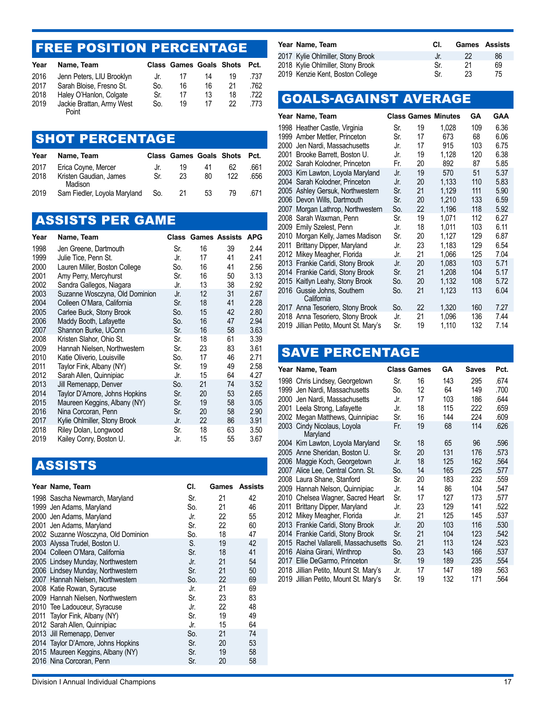### FREE POSITION PERCENTAGE

| Year | Name, Team                         |     | <b>Class Games Goals Shots</b> |    |    | Pct. |
|------|------------------------------------|-----|--------------------------------|----|----|------|
| 2016 | Jenn Peters, LIU Brooklyn          | Jr. | 17                             | 14 | 19 | .737 |
| 2017 | Sarah Bloise, Fresno St.           | So. | 16                             | 16 | 21 | 762  |
| 2018 | Haley O'Hanlon, Colgate            | Sr. | 17                             | 13 | 18 | 722  |
| 2019 | Jackie Brattan, Army West<br>Point | So. | 19                             | 17 | 22 | .773 |

### SHOT PERCENTAGE

| Year | Name, Team                        |       | <b>Class Games Goals Shots</b> |    |     | Pct. |
|------|-----------------------------------|-------|--------------------------------|----|-----|------|
| 2017 | Erica Coyne, Mercer               | Jr.   | 19                             | 41 | 62  | .661 |
| 2018 | Kristen Gaudian, James<br>Madison | Sr.   | 23                             | 80 | 122 | .656 |
| 2019 | Sam Fiedler, Loyola Maryland      | - So. | -21                            | 53 | 79  | .671 |

## ASSISTS PER GAME

| Year | Name, Team                     |     |    | <b>Class Games Assists</b> | APG  |
|------|--------------------------------|-----|----|----------------------------|------|
| 1998 | Jen Greene, Dartmouth          | Sr. | 16 | 39                         | 2.44 |
| 1999 | Julie Tice, Penn St.           | Jr. | 17 | 41                         | 2.41 |
| 2000 | Lauren Miller, Boston College  | So. | 16 | 41                         | 2.56 |
| 2001 | Amy Perry, Mercyhurst          | Sr. | 16 | 50                         | 3.13 |
| 2002 | Sandra Gallegos, Niagara       | Jr. | 13 | 38                         | 2.92 |
| 2003 | Suzanne Wosczyna, Old Dominion | Jr. | 12 | 31                         | 2.67 |
| 2004 | Colleen O'Mara, California     | Sr. | 18 | 41                         | 2.28 |
| 2005 | Carlee Buck, Stony Brook       | So. | 15 | 42                         | 2.80 |
| 2006 | Maddy Booth, Lafayette         | So. | 16 | 47                         | 2.94 |
| 2007 | Shannon Burke, UConn           | Sr. | 16 | 58                         | 3.63 |
| 2008 | Kristen Slahor, Ohio St.       | Sr. | 18 | 61                         | 3.39 |
| 2009 | Hannah Nielsen, Northwestern   | Sr. | 23 | 83                         | 3.61 |
| 2010 | Katie Oliverio, Louisville     | So. | 17 | 46                         | 2.71 |
| 2011 | Taylor Fink, Albany (NY)       | Sr. | 19 | 49                         | 2.58 |
| 2012 | Sarah Allen, Quinnipiac        | Jr. | 15 | 64                         | 4.27 |
| 2013 | Jill Remenapp, Denver          | So. | 21 | 74                         | 3.52 |
| 2014 | Taylor D'Amore, Johns Hopkins  | Sr. | 20 | 53                         | 2.65 |
| 2015 | Maureen Keggins, Albany (NY)   | Sr. | 19 | 58                         | 3.05 |
| 2016 | Nina Corcoran, Penn            | Sr. | 20 | 58                         | 2.90 |
| 2017 | Kylie Ohlmiller, Stony Brook   | Jr. | 22 | 86                         | 3.91 |
| 2018 | Riley Dolan, Longwood          | Sr. | 18 | 63                         | 3.50 |
| 2019 | Kailey Conry, Boston U.        | Jr. | 15 | 55                         | 3.67 |

## ASSISTS

| Year Name, Team                     | CI. |    | Games Assists |
|-------------------------------------|-----|----|---------------|
| 1998 Sascha Newmarch, Maryland      | Sr. | 21 | 42            |
| 1999 Jen Adams, Maryland            | So. | 21 | 46            |
| 2000 Jen Adams, Maryland            | Jr. | 22 | 55            |
| 2001 Jen Adams, Maryland            | Sr. | 22 | 60            |
| 2002 Suzanne Wosczyna, Old Dominion | So. | 18 | 47            |
| 2003 Alyssa Trudel, Boston U.       | S.  | 19 | 42            |
| 2004 Colleen O'Mara, California     | Sr. | 18 | 41            |
| 2005 Lindsey Munday, Northwestern   | Jr. | 21 | 54            |
| 2006 Lindsey Munday, Northwestern   | Sr. | 21 | 50            |
| 2007 Hannah Nielsen, Northwestern   | So. | 22 | 69            |
| 2008 Katie Rowan, Syracuse          | Jr. | 21 | 69            |
| 2009 Hannah Nielsen, Northwestern   | Sr. | 23 | 83            |
| 2010 Tee Ladouceur, Syracuse        | Jr. | 22 | 48            |
| 2011 Taylor Fink, Albany (NY)       | Sr. | 19 | 49            |
| 2012 Sarah Allen, Quinnipiac        | Jr. | 15 | 64            |
| 2013 Jill Remenapp, Denver          | So. | 21 | 74            |
| 2014 Taylor D'Amore, Johns Hopkins  | Sr. | 20 | 53            |
| 2015 Maureen Keggins, Albany (NY)   | Sr. | 19 | 58            |
| 2016 Nina Corcoran, Penn            | Sr. | 20 | 58            |

| <b>Games</b> Assists |
|----------------------|
| 86                   |
| 69                   |
| 75                   |
|                      |

## GOALS-AGAINST AVERAGE

|      | Year Name, Team                           |     |    | <b>Class Games Minutes</b> | GA  | <b>GAA</b> |
|------|-------------------------------------------|-----|----|----------------------------|-----|------------|
|      | 1998 Heather Castle, Virginia             | Sr. | 19 | 1,028                      | 109 | 6.36       |
|      | 1999 Amber Mettler, Princeton             | Sr. | 17 | 673                        | 68  | 6.06       |
| 2000 | Jen Nardi, Massachusetts                  | Jr. | 17 | 915                        | 103 | 6.75       |
| 2001 | Brooke Barrett, Boston U.                 | Jr. | 19 | 1,128                      | 120 | 6.38       |
|      | 2002 Sarah Kolodner, Princeton            | Fr. | 20 | 892                        | 87  | 5.85       |
|      | 2003 Kim Lawton, Loyola Maryland          | Jr. | 19 | 570                        | 51  | 5.37       |
|      | 2004 Sarah Kolodner, Princeton            | Jr. | 20 | 1,133                      | 110 | 5.83       |
|      | 2005 Ashley Gersuk, Northwestern          | Sr. | 21 | 1,129                      | 111 | 5.90       |
|      | 2006 Devon Wills, Dartmouth               | Sr. | 20 | 1.210                      | 133 | 6.59       |
|      | 2007 Morgan Lathrop, Northwestern         | So. | 22 | 1.196                      | 118 | 5.92       |
|      | 2008 Sarah Waxman, Penn                   | Sr. | 19 | 1.071                      | 112 | 6.27       |
|      | 2009 Emily Szelest, Penn                  | Jr. | 18 | 1.011                      | 103 | 6.11       |
| 2010 | Morgan Kelly, James Madison               | Sr. | 20 | 1,127                      | 129 | 6.87       |
| 2011 | Brittany Dipper, Maryland                 | Jr. | 23 | 1,183                      | 129 | 6.54       |
|      | 2012 Mikey Meagher, Florida               | Jr. | 21 | 1,066                      | 125 | 7.04       |
|      | 2013 Frankie Caridi, Stony Brook          | Jr. | 20 | 1,083                      | 103 | 5.71       |
|      | 2014 Frankie Caridi, Stony Brook          | Sr. | 21 | 1.208                      | 104 | 5.17       |
|      | 2015 Kaitlyn Leahy, Stony Brook           | So. | 20 | 1,132                      | 108 | 5.72       |
|      | 2016 Gussie Johns, Southern<br>California | So. | 21 | 1,123                      | 113 | 6.04       |
|      | 2017 Anna Tesoriero, Stony Brook          | So. | 22 | 1,320                      | 160 | 7.27       |
|      | 2018 Anna Tesoriero, Stony Brook          | Jr. | 21 | 1,096                      | 136 | 7.44       |
|      | 2019 Jillian Petito, Mount St. Mary's     | Sr. | 19 | 1,110                      | 132 | 7.14       |

### SAVE PERCENTAGE

|      | Year Name, Team                         |     | <b>Class Games</b> | GΑ  | <b>Saves</b> | Pct. |
|------|-----------------------------------------|-----|--------------------|-----|--------------|------|
|      | 1998 Chris Lindsey, Georgetown          | Sr. | 16                 | 143 | 295          | .674 |
|      | 1999 Jen Nardi, Massachusetts           | So. | 12                 | 64  | 149          | .700 |
|      | 2000 Jen Nardi, Massachusetts           | Jr. | 17                 | 103 | 186          | .644 |
|      | 2001 Leela Strong, Lafayette            | Jr. | 18                 | 115 | 222          | .659 |
|      | 2002 Megan Matthews, Quinnipiac         | Sr. | 16                 | 144 | 224          | .609 |
|      | 2003 Cindy Nicolaus, Loyola<br>Maryland | Fr. | 19                 | 68  | 114          | .626 |
|      | 2004 Kim Lawton, Loyola Maryland        | Sr. | 18                 | 65  | 96           | .596 |
|      | 2005 Anne Sheridan, Boston U.           | Sr. | 20                 | 131 | 176          | .573 |
|      | 2006 Maggie Koch, Georgetown            | Jr. | 18                 | 125 | 162          | .564 |
|      | 2007 Alice Lee, Central Conn. St.       | So. | 14                 | 165 | 225          | .577 |
|      | 2008 Laura Shane, Stanford              | Sr. | 20                 | 183 | 232          | .559 |
|      | 2009 Hannah Nelson, Quinnipiac          | Jr. | 14                 | 86  | 104          | .547 |
|      | 2010 Chelsea Wagner, Sacred Heart       | Sr. | 17                 | 127 | 173          | .577 |
| 2011 | Brittany Dipper, Maryland               | Jr. | 23                 | 129 | 141          | .522 |
|      | 2012 Mikey Meagher, Florida             | Jr. | 21                 | 125 | 145          | .537 |
|      | 2013 Frankie Caridi, Stony Brook        | Jr. | 20                 | 103 | 116          | .530 |
|      | 2014 Frankie Caridi, Stony Brook        | Sr. | 21                 | 104 | 123          | .542 |
|      | 2015 Rachel Vallarelli, Massachusetts   | So. | 21                 | 113 | 124          | .523 |
|      | 2016 Alaina Girani, Winthrop            | So. | 23                 | 143 | 166          | .537 |
|      | 2017 Ellie DeGarmo, Princeton           | Sr. | 19                 | 189 | 235          | .554 |
|      | 2018 Jillian Petito, Mount St. Mary's   | Jr. | 17                 | 147 | 189          | .563 |
|      | 2019 Jillian Petito, Mount St. Mary's   | Sr. | 19                 | 132 | 171          | .564 |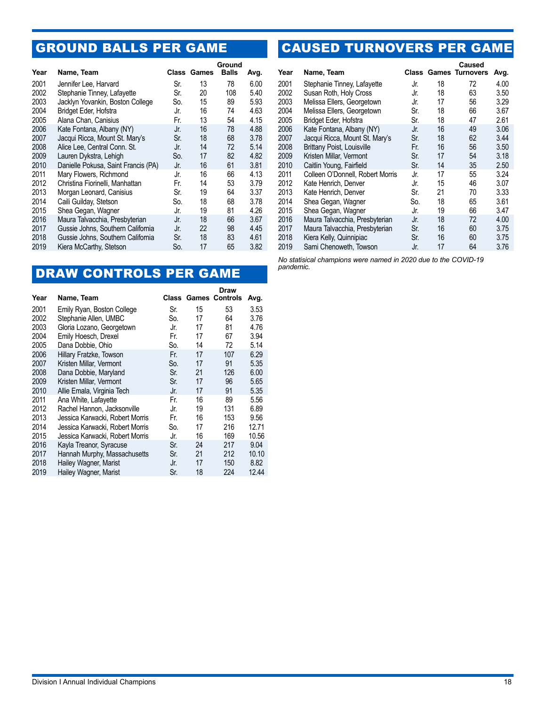## GROUND BALLS PER GAME

| Year | Name, Team                          |     | <b>Class Games</b> | Ground<br><b>Balls</b> | Avg. |
|------|-------------------------------------|-----|--------------------|------------------------|------|
| 2001 | Jennifer Lee, Harvard               | Sr. | 13                 | 78                     | 6.00 |
| 2002 | Stephanie Tinney, Lafayette         | Sr. | 20                 | 108                    | 5.40 |
| 2003 | Jacklyn Yovankin, Boston College    | So. | 15                 | 89                     | 5.93 |
| 2004 | Bridget Eder, Hofstra               | Jr. | 16                 | 74                     | 4.63 |
| 2005 | Alana Chan, Canisius                | Fr. | 13                 | 54                     | 4.15 |
| 2006 | Kate Fontana, Albany (NY)           | Jr. | 16                 | 78                     | 4.88 |
| 2007 | Jacqui Ricca, Mount St. Mary's      | Sr. | 18                 | 68                     | 3.78 |
| 2008 | Alice Lee, Central Conn. St.        | Jr. | 14                 | 72                     | 5.14 |
| 2009 | Lauren Dykstra, Lehigh              | So. | 17                 | 82                     | 4.82 |
| 2010 | Danielle Pokusa, Saint Francis (PA) | Jr. | 16                 | 61                     | 3.81 |
| 2011 | Mary Flowers, Richmond              | Jr. | 16                 | 66                     | 4.13 |
| 2012 | Christina Fiorinelli, Manhattan     | Fr. | 14                 | 53                     | 3.79 |
| 2013 | Morgan Leonard, Canisius            | Sr. | 19                 | 64                     | 3.37 |
| 2014 | Caili Guilday, Stetson              | So. | 18                 | 68                     | 3.78 |
| 2015 | Shea Gegan, Wagner                  | Jr. | 19                 | 81                     | 4.26 |
| 2016 | Maura Talvacchia, Presbyterian      | Jr. | 18                 | 66                     | 3.67 |
| 2017 | Gussie Johns, Southern California   | Jr. | 22                 | 98                     | 4.45 |
| 2018 | Gussie Johns, Southern California   | Sr. | 18                 | 83                     | 4.61 |
| 2019 | Kiera McCarthy, Stetson             | So. | 17                 | 65                     | 3.82 |

## DRAW CONTROLS PER GAME

| Year | Name, Team                      |     |    | Draw<br><b>Class Games Controls</b> | Avg.  |
|------|---------------------------------|-----|----|-------------------------------------|-------|
| 2001 | Emily Ryan, Boston College      | Sr. | 15 | 53                                  | 3.53  |
| 2002 | Stephanie Allen, UMBC           | So. | 17 | 64                                  | 3.76  |
| 2003 | Gloria Lozano, Georgetown       | Jr. | 17 | 81                                  | 4.76  |
| 2004 | Emily Hoesch, Drexel            | Fr. | 17 | 67                                  | 3.94  |
| 2005 | Dana Dobbie, Ohio               | So. | 14 | 72                                  | 5.14  |
| 2006 | Hillary Fratzke, Towson         | Fr. | 17 | 107                                 | 6.29  |
| 2007 | Kristen Millar, Vermont         | So. | 17 | 91                                  | 5.35  |
| 2008 | Dana Dobbie, Maryland           | Sr. | 21 | 126                                 | 6.00  |
| 2009 | Kristen Millar, Vermont         | Sr. | 17 | 96                                  | 5.65  |
| 2010 | Allie Emala, Virginia Tech      | Jr. | 17 | 91                                  | 5.35  |
| 2011 | Ana White, Lafayette            | Fr. | 16 | 89                                  | 5.56  |
| 2012 | Rachel Hannon, Jacksonville     | Jr. | 19 | 131                                 | 6.89  |
| 2013 | Jessica Karwacki, Robert Morris | Fr. | 16 | 153                                 | 9.56  |
| 2014 | Jessica Karwacki, Robert Morris | So. | 17 | 216                                 | 12.71 |
| 2015 | Jessica Karwacki, Robert Morris | Jr. | 16 | 169                                 | 10.56 |
| 2016 | Kayla Treanor, Syracuse         | Sr. | 24 | 217                                 | 9.04  |
| 2017 | Hannah Murphy, Massachusetts    | Sr. | 21 | 212                                 | 10.10 |
| 2018 | Hailey Wagner, Marist           | Jr. | 17 | 150                                 | 8.82  |
| 2019 | Hailey Wagner, Marist           | Sr. | 18 | 224                                 | 12.44 |

## CAUSED TURNOVERS PER GAME

| Year | Name, Team                        |     |    | <b>Caused</b><br><b>Class Games Turnovers</b> | Avg. |
|------|-----------------------------------|-----|----|-----------------------------------------------|------|
| 2001 | Stephanie Tinney, Lafayette       | Jr. | 18 | 72                                            | 4.00 |
| 2002 | Susan Roth, Holy Cross            | Jr. | 18 | 63                                            | 3.50 |
|      |                                   |     |    |                                               |      |
| 2003 | Melissa Ellers, Georgetown        | Jr. | 17 | 56                                            | 3.29 |
| 2004 | Melissa Ellers, Georgetown        | Sr. | 18 | 66                                            | 3.67 |
| 2005 | Bridget Eder, Hofstra             | Sr. | 18 | 47                                            | 2.61 |
| 2006 | Kate Fontana, Albany (NY)         | Jr. | 16 | 49                                            | 3.06 |
| 2007 | Jacqui Ricca, Mount St. Mary's    | Sr. | 18 | 62                                            | 3.44 |
| 2008 | <b>Brittany Poist, Louisville</b> | Fr. | 16 | 56                                            | 3.50 |
| 2009 | Kristen Millar, Vermont           | Sr. | 17 | 54                                            | 3.18 |
| 2010 | Caitlin Young, Fairfield          | Sr. | 14 | 35                                            | 2.50 |
| 2011 | Colleen O'Donnell, Robert Morris  | Jr. | 17 | 55                                            | 3.24 |
| 2012 | Kate Henrich, Denver              | Jr. | 15 | 46                                            | 3.07 |
| 2013 | Kate Henrich, Denver              | Sr. | 21 | 70                                            | 3.33 |
| 2014 | Shea Gegan, Wagner                | So. | 18 | 65                                            | 3.61 |
| 2015 | Shea Gegan, Wagner                | Jr. | 19 | 66                                            | 3.47 |
| 2016 | Maura Talvacchia, Presbyterian    | Jr. | 18 | 72                                            | 4.00 |
| 2017 | Maura Talvacchia, Presbyterian    | Sr. | 16 | 60                                            | 3.75 |
| 2018 | Kiera Kelly, Quinnipiac           | Sr. | 16 | 60                                            | 3.75 |
| 2019 | Sami Chenoweth, Towson            | Jr. | 17 | 64                                            | 3.76 |

*No statisical champions were named in 2020 due to the COVID-19 pandemic.*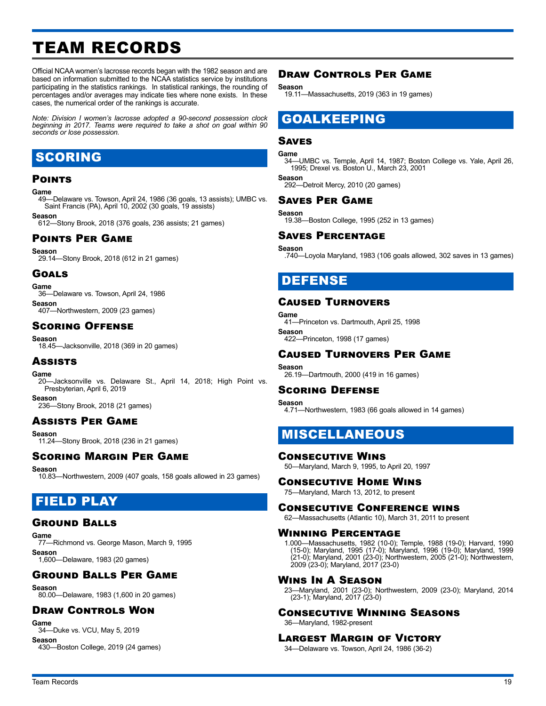## <span id="page-18-0"></span>TEAM RECORDS

Official NCAA women's lacrosse records began with the 1982 season and are based on information submitted to the NCAA statistics service by institutions participating in the statistics rankings. In statistical rankings, the rounding of percentages and/or averages may indicate ties where none exists. In these cases, the numerical order of the rankings is accurate.

*Note: Division I women's lacrosse adopted a 90-second possession clock beginning in 2017. Teams were required to take a shot on goal within 90 seconds or lose possession.*

### SCORING

#### **POINTS**

#### **Game**

49—Delaware vs. Towson, April 24, 1986 (36 goals, 13 assists); UMBC vs. Saint Francis (PA), April 10, 2002 (30 goals, 19 assists)

#### **Season**

612—Stony Brook, 2018 (376 goals, 236 assists; 21 games)

#### Points Per Game

**Season**

29.14—Stony Brook, 2018 (612 in 21 games)

#### Goals

**Game**

36—Delaware vs. Towson, April 24, 1986 **Season**

407—Northwestern, 2009 (23 games)

### Scoring Offense

**Season**<br>-18.45

-Jacksonville, 2018 (369 in 20 games)

#### Assists

### Game

-Jacksonville vs. Delaware St., April 14, 2018; High Point vs. Presbyterian, April 6, 2019

**Season**

236—Stony Brook, 2018 (21 games)

### Assists Per Game

**Season**

11.24—Stony Brook, 2018 (236 in 21 games)

#### Scoring Margin Per Game

**Season**

10.83—Northwestern, 2009 (407 goals, 158 goals allowed in 23 games)

### FIELD PLAY

### Ground Balls

**Game**

77—Richmond vs. George Mason, March 9, 1995 **Season** 1,600—Delaware, 1983 (20 games)

### Ground Balls Per Game

**Season**

80.00—Delaware, 1983 (1,600 in 20 games)

### Draw Controls Won

**Game**

34—Duke vs. VCU, May 5, 2019 **Season**

430—Boston College, 2019 (24 games)

### Draw Controls Per Game

**Season**

19.11—Massachusetts, 2019 (363 in 19 games)

### GOALKEEPING

### Saves

#### **Game**

34—UMBC vs. Temple, April 14, 1987; Boston College vs. Yale, April 26, 1995; Drexel vs. Boston U., March 23, 2001

**Season** 292—Detroit Mercy, 2010 (20 games)

#### Saves Per Game

**Season**

19.38—Boston College, 1995 (252 in 13 games)

#### Saves Percentage

**Season** .740—Loyola Maryland, 1983 (106 goals allowed, 302 saves in 13 games)

### DEFENSE

#### Caused Turnovers

**Game** 41—Princeton vs. Dartmouth, April 25, 1998 **Season** 422—Princeton, 1998 (17 games)

#### Caused Turnovers Per Game

#### **Season**

26.19—Dartmouth, 2000 (419 in 16 games)

#### Scoring Defense

**Season** 4.71—Northwestern, 1983 (66 goals allowed in 14 games)

### MISCELLANEOUS

#### Consecutive Wins

50—Maryland, March 9, 1995, to April 20, 1997

#### Consecutive Home Wins

75—Maryland, March 13, 2012, to present

#### Consecutive Conference wins

62—Massachusetts (Atlantic 10), March 31, 2011 to present

#### Winning Percentage

1.000—Massachusetts, 1982 (10-0); Temple, 1988 (19-0); Harvard, 1990 (15-0); Maryland, 1995 (17-0); Maryland, 1996 (19-0); Maryland, 1999 (21-0); Maryland, 2001 (23-0); Northwestern, 2005 (21-0); Northwestern, 2009 (23-0); Maryland, 2017 (23-0)

#### Wins In A Season

23—Maryland, 2001 (23-0); Northwestern, 2009 (23-0); Maryland, 2014 (23-1); Maryland, 2017 (23-0)

### Consecutive Winning Seasons

36—Maryland, 1982-present

#### Largest Margin of Victory

34—Delaware vs. Towson, April 24, 1986 (36-2)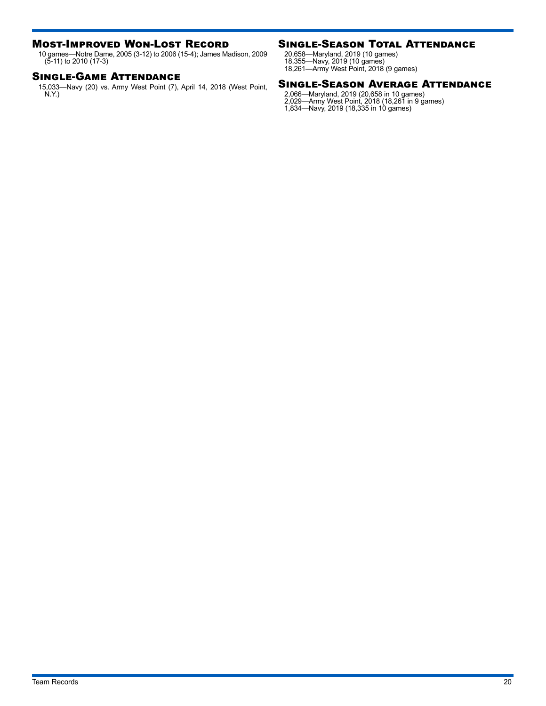#### Most-Improved Won-Lost Record

10 games—Notre Dame, 2005 (3-12) to 2006 (15-4); James Madison, 2009 (5-11) to 2010 (17-3)

#### Single-Game Attendance

15,033—Navy (20) vs. Army West Point (7), April 14, 2018 (West Point, N.Y.)

### Single-Season Total Attendance

20,658—Maryland, 2019 (10 games) 18,355—Navy, 2019 (10 games) 18,261—Army West Point, 2018 (9 games)

#### Single-Season Average Attendance

2,066—Maryland, 2019 (20,658 in 10 games) 2,029—Army West Point, 2018 (18,261 in 9 games) 1,834—Navy, 2019 (18,335 in 10 games)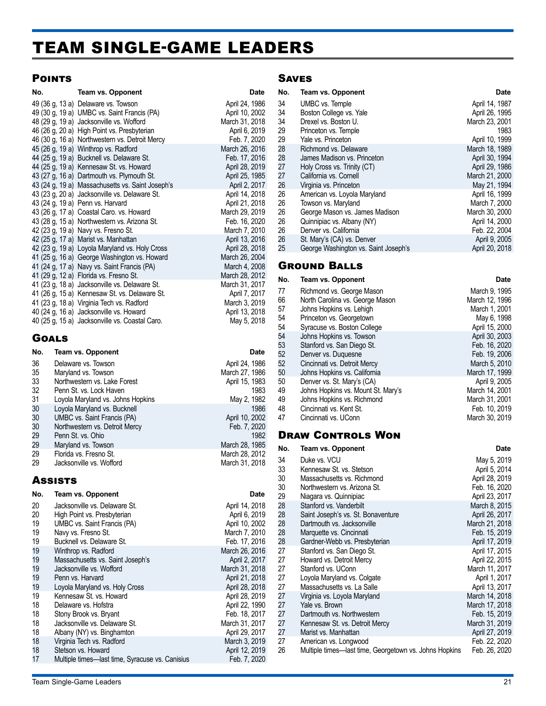## <span id="page-20-0"></span>TEAM SINGLE-GAME LEADERS

### **POINTS**

| No.          | <b>Team vs. Opponent</b>                                                    | <b>Date</b>                     |
|--------------|-----------------------------------------------------------------------------|---------------------------------|
|              | 49 (36 g, 13 a) Delaware vs. Towson                                         | April 24, 1986                  |
|              | 49 (30 g, 19 a) UMBC vs. Saint Francis (PA)                                 | April 10, 2002                  |
|              | 48 (29 g, 19 a) Jacksonville vs. Wofford                                    | March 31, 2018                  |
|              | 46 (26 g, 20 a) High Point vs. Presbyterian                                 | April 6, 2019                   |
|              | 46 (30 g, 16 a) Northwestern vs. Detroit Mercy                              | Feb. 7, 2020                    |
|              | 45 (26 g, 19 a) Winthrop vs. Radford                                        | March 26, 2016                  |
|              | 44 (25 g, 19 a) Bucknell vs. Delaware St.                                   | Feb. 17, 2016                   |
|              | 44 (25 g, 19 a) Kennesaw St. vs. Howard                                     | April 28, 2019                  |
|              | 43 (27 g, 16 a) Dartmouth vs. Plymouth St.                                  | April 25, 1985                  |
|              | 43 (24 g, 19 a) Massachusetts vs. Saint Joseph's                            | April 2, 2017                   |
|              | 43 (23 g, 20 a) Jacksonville vs. Delaware St.                               | April 14, 2018                  |
|              | 43 (24 g, 19 a) Penn vs. Harvard                                            | April 21, 2018                  |
|              | 43 (26 g, 17 a) Coastal Caro. vs. Howard                                    | March 29, 2019                  |
|              | 43 (28 g, 15 a) Northwestern vs. Arizona St.                                | Feb. 16, 2020                   |
|              | 42 (23 g, 19 a) Navy vs. Fresno St.<br>42 (25 g, 17 a) Marist vs. Manhattan | March 7, 2010<br>April 13, 2016 |
|              | 42 (23 g, 19 a) Loyola Maryland vs. Holy Cross                              | April 28, 2018                  |
|              | 41 (25 g, 16 a) George Washington vs. Howard                                | March 26, 2004                  |
|              | 41 (24 g, 17 a) Navy vs. Saint Francis (PA)                                 | March 4, 2008                   |
|              | 41 (29 g, 12 a) Florida vs. Fresno St.                                      | March 28, 2012                  |
|              | 41 (23 g, 18 a) Jacksonville vs. Delaware St.                               | March 31, 2017                  |
|              | 41 (26 g, 15 a) Kennesaw St. vs. Delaware St.                               | April 7, 2017                   |
|              | 41 (23 g, 18 a) Virginia Tech vs. Radford                                   | March 3, 2019                   |
|              | 40 (24 g, 16 a) Jacksonville vs. Howard                                     | April 13, 2018                  |
|              | 40 (25 g, 15 a) Jacksonville vs. Coastal Caro.                              | May 5, 2018                     |
|              |                                                                             |                                 |
| <b>GOALS</b> |                                                                             |                                 |
| No.          | <b>Team vs. Opponent</b>                                                    | <b>Date</b>                     |
| 36           | Delaware vs. Towson                                                         | April 24, 1986                  |
| 35           | Maryland vs. Towson                                                         | March 27, 1986                  |
| 33           | Northwestern vs. Lake Forest                                                | April 15, 1983                  |
| 32           | Penn St. vs. Lock Haven                                                     | 1983                            |
| 31           | Loyola Maryland vs. Johns Hopkins                                           | May 2, 1982                     |
| 30           | Loyola Maryland vs. Bucknell                                                | 1986                            |

| კე | Maryland vs. Towson               | March 27, 1986 |
|----|-----------------------------------|----------------|
| 33 | Northwestern vs. Lake Forest      | April 15, 1983 |
| 32 | Penn St. vs. Lock Haven           | 1983           |
| 31 | Loyola Maryland vs. Johns Hopkins | May 2, 1982    |
| 30 | Loyola Maryland vs. Bucknell      | 1986           |
| 30 | UMBC vs. Saint Francis (PA)       | April 10, 2002 |
| 30 | Northwestern vs. Detroit Mercy    | Feb. 7, 2020   |
| 29 | Penn St. vs. Ohio                 | 1982           |
| 29 | Maryland vs. Towson               | March 28, 1985 |
| 29 | Florida vs. Fresno St.            | March 28, 2012 |
| 29 | Jacksonville vs. Wofford          | March 31, 2018 |

### **Assists**

| No. | Team vs. Opponent                               | Date           |
|-----|-------------------------------------------------|----------------|
| 20  | Jacksonville vs. Delaware St.                   | April 14, 2018 |
| 20  | High Point vs. Presbyterian                     | April 6, 2019  |
| 19  | UMBC vs. Saint Francis (PA)                     | April 10, 2002 |
| 19  | Navy vs. Fresno St.                             | March 7, 2010  |
| 19  | Bucknell vs. Delaware St.                       | Feb. 17, 2016  |
| 19  | Winthrop vs. Radford                            | March 26, 2016 |
| 19  | Massachusetts vs. Saint Joseph's                | April 2, 2017  |
| 19  | Jacksonville vs. Wofford                        | March 31, 2018 |
| 19  | Penn vs. Harvard                                | April 21, 2018 |
| 19  | Loyola Maryland vs. Holy Cross                  | April 28, 2018 |
| 19  | Kennesaw St. vs. Howard                         | April 28, 2019 |
| 18  | Delaware vs. Hofstra                            | April 22, 1990 |
| 18  | Stony Brook vs. Bryant                          | Feb. 18, 2017  |
| 18  | Jacksonville vs. Delaware St.                   | March 31, 2017 |
| 18  | Albany (NY) vs. Binghamton                      | April 29, 2017 |
| 18  | Virginia Tech vs. Radford                       | March 3, 2019  |
| 18  | Stetson vs. Howard                              | April 12, 2019 |
| 17  | Multiple times—last time, Syracuse vs. Canisius | Feb. 7, 2020   |

### **SAVES**

| No. | <b>Team vs. Opponent</b>             | Date           |
|-----|--------------------------------------|----------------|
| 34  | UMBC vs. Temple                      | April 14, 1987 |
| 34  | Boston College vs. Yale              | April 26, 1995 |
| 34  | Drexel vs. Boston U.                 | March 23, 2001 |
| 29  | Princeton vs. Temple                 | 1983           |
| 29  | Yale vs. Princeton                   | April 10, 1999 |
| 28  | Richmond vs. Delaware                | March 18, 1989 |
| 28  | James Madison vs. Princeton          | April 30, 1994 |
| 27  | Holy Cross vs. Trinity (CT)          | April 29, 1986 |
| 27  | California vs. Cornell               | March 21, 2000 |
| 26  | Virginia vs. Princeton               | May 21, 1994   |
| 26  | American vs. Loyola Maryland         | April 16, 1999 |
| 26  | Towson vs. Maryland                  | March 7, 2000  |
| 26  | George Mason vs. James Madison       | March 30, 2000 |
| 26  | Quinnipiac vs. Albany (NY)           | April 14, 2000 |
| 26  | Denver vs. California                | Feb. 22, 2004  |
| 26  | St. Mary's (CA) vs. Denver           | April 9, 2005  |
| 25  | George Washington vs. Saint Joseph's | April 20, 2018 |

### Ground Balls

| No. | Team vs. Opponent                  | <b>Date</b>    |
|-----|------------------------------------|----------------|
| 77  | Richmond vs. George Mason          | March 9, 1995  |
| 66  | North Carolina vs. George Mason    | March 12, 1996 |
| 57  | Johns Hopkins vs. Lehigh           | March 1, 2001  |
| 54  | Princeton vs. Georgetown           | May 6, 1998    |
| 54  | Syracuse vs. Boston College        | April 15, 2000 |
| 54  | Johns Hopkins vs. Towson           | April 30, 2003 |
| 53  | Stanford vs. San Diego St.         | Feb. 16, 2020  |
| 52  | Denver vs. Duguesne                | Feb. 19, 2006  |
| 52  | Cincinnati vs. Detroit Mercy       | March 5, 2010  |
| 50  | Johns Hopkins vs. California       | March 17, 1999 |
| 50  | Denver vs. St. Mary's (CA)         | April 9, 2005  |
| 49  | Johns Hopkins vs. Mount St. Mary's | March 14, 2001 |
| 49  | Johns Hopkins vs. Richmond         | March 31, 2001 |
| 48  | Cincinnati vs. Kent St.            | Feb. 10, 2019  |
| 47  | Cincinnati vs. UConn               | March 30, 2019 |
|     |                                    |                |

### Draw Controls Won

| No. | Team vs. Opponent                                      | Date           |
|-----|--------------------------------------------------------|----------------|
| 34  | Duke vs. VCU                                           | May 5, 2019    |
| 33  | Kennesaw St. vs. Stetson                               | April 5, 2014  |
| 30  | Massachusetts vs. Richmond                             | April 28, 2019 |
| 30  | Northwestern vs. Arizona St.                           | Feb. 16, 2020  |
| 29  | Niagara vs. Quinnipiac                                 | April 23, 2017 |
| 28  | Stanford vs. Vanderbilt                                | March 8, 2015  |
| 28  | Saint Joseph's vs. St. Bonaventure                     | April 26, 2017 |
| 28  | Dartmouth vs. Jacksonville                             | March 21, 2018 |
| 28  | Marquette vs. Cincinnati                               | Feb. 15, 2019  |
| 28  | Gardner-Webb vs. Presbyterian                          | April 17, 2019 |
| 27  | Stanford vs. San Diego St.                             | April 17, 2015 |
| 27  | Howard vs. Detroit Mercy                               | April 22, 2015 |
| 27  | Stanford vs. UConn                                     | March 11, 2017 |
| 27  | Loyola Maryland vs. Colgate                            | April 1, 2017  |
| 27  | Massachusetts vs. La Salle                             | April 13, 2017 |
| 27  | Virginia vs. Loyola Maryland                           | March 14, 2018 |
| 27  | Yale vs. Brown                                         | March 17, 2018 |
| 27  | Dartmouth vs. Northwestern                             | Feb. 15, 2019  |
| 27  | Kennesaw St. vs. Detroit Mercy                         | March 31, 2019 |
| 27  | Marist vs. Manhattan                                   | April 27, 2019 |
| 27  | American vs. Longwood                                  | Feb. 22, 2020  |
| 26  | Multiple times—last time, Georgetown vs. Johns Hopkins | Feb. 26, 2020  |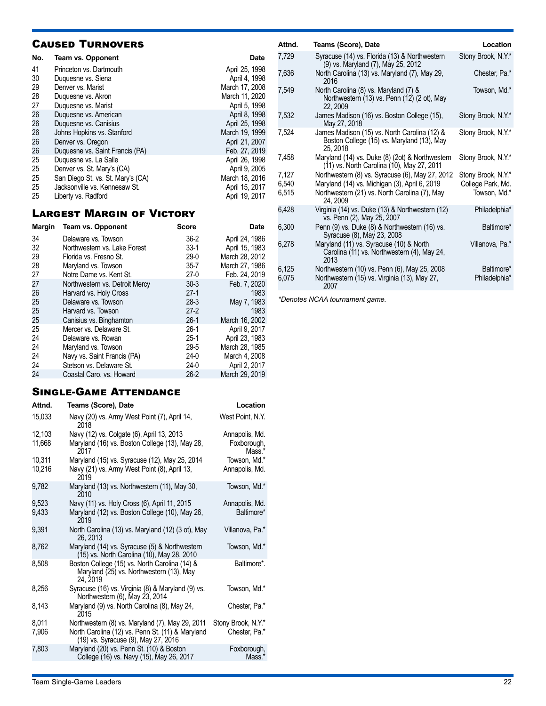|     | <b>CAUSED TURNOVERS</b>           |                |  |  |  |
|-----|-----------------------------------|----------------|--|--|--|
| No. | Team vs. Opponent                 | <b>Date</b>    |  |  |  |
| 41  | Princeton vs. Dartmouth           | April 25, 1998 |  |  |  |
| 30  | Duguesne vs. Siena                | April 4, 1998  |  |  |  |
| 29  | Denver vs. Marist                 | March 17, 2008 |  |  |  |
| 28  | Duguesne vs. Akron                | March 11, 2020 |  |  |  |
| 27  | Duquesne vs. Marist               | April 5, 1998  |  |  |  |
| 26  | Duquesne vs. American             | April 8, 1998  |  |  |  |
| 26  | Duquesne vs. Canisius             | April 25, 1998 |  |  |  |
| 26  | Johns Hopkins vs. Stanford        | March 19, 1999 |  |  |  |
| 26  | Denver vs. Oregon                 | April 21, 2007 |  |  |  |
| 26  | Duquesne vs. Saint Francis (PA)   | Feb. 27, 2019  |  |  |  |
| 25  | Duguesne vs. La Salle             | April 26, 1998 |  |  |  |
| 25  | Denver vs. St. Mary's (CA)        | April 9, 2005  |  |  |  |
| 25  | San Diego St. vs. St. Mary's (CA) | March 18, 2016 |  |  |  |
| 25  | Jacksonville vs. Kennesaw St.     | April 15, 2017 |  |  |  |
| 25  | Liberty vs. Radford               | April 19, 2017 |  |  |  |

### Largest Margin of Victory

| <b>Margin</b> | Team vs. Opponent              | Score    | Date           |
|---------------|--------------------------------|----------|----------------|
| 34            | Delaware vs. Towson            | $36-2$   | April 24, 1986 |
| 32            | Northwestern vs. Lake Forest   | $33-1$   | April 15, 1983 |
| 29            | Florida vs. Fresno St.         | $29-0$   | March 28, 2012 |
| 28            | Maryland vs. Towson            | $35 - 7$ | March 27, 1986 |
| 27            | Notre Dame vs. Kent St.        | $27-0$   | Feb. 24, 2019  |
| 27            | Northwestern vs. Detroit Mercy | $30-3$   | Feb. 7. 2020   |
| 26            | Harvard vs. Holy Cross         | $27-1$   | 1983           |
| 25            | Delaware vs. Towson            | $28-3$   | May 7, 1983    |
| 25            | Harvard vs. Towson             | $27-2$   | 1983           |
| 25            | Canisius vs. Binghamton        | $26-1$   | March 16, 2002 |
| 25            | Mercer vs. Delaware St.        | $26-1$   | April 9, 2017  |
| 24            | Delaware vs. Rowan             | $25-1$   | April 23, 1983 |
| 24            | Maryland vs. Towson            | $29 - 5$ | March 28, 1985 |
| 24            | Navy vs. Saint Francis (PA)    | $24-0$   | March 4, 2008  |
| 24            | Stetson vs. Delaware St.       | $24-0$   | April 2, 2017  |
| 24            | Coastal Caro, vs. Howard       | $26-2$   | March 29, 2019 |

### Single-Game Attendance

| Attnd.           | <b>Teams (Score), Date</b>                                                                                                                 | Location                                |
|------------------|--------------------------------------------------------------------------------------------------------------------------------------------|-----------------------------------------|
| 15,033           | Navy (20) vs. Army West Point (7), April 14,<br>2018                                                                                       | West Point, N.Y.                        |
| 12,103<br>11,668 | Navy (12) vs. Colgate (6), April 13, 2013<br>Maryland (16) vs. Boston College (13), May 28,<br>2017                                        | Annapolis, Md.<br>Foxborough,<br>Mass.* |
| 10.311<br>10,216 | Maryland (15) vs. Syracuse (12), May 25, 2014<br>Navy (21) vs. Army West Point (8), April 13,<br>2019                                      | Towson, Md.*<br>Annapolis, Md.          |
| 9,782            | Maryland (13) vs. Northwestern (11), May 30,<br>2010                                                                                       | Towson, Md.*                            |
| 9,523<br>9,433   | Navy (11) vs. Holy Cross (6), April 11, 2015<br>Maryland (12) vs. Boston College (10), May 26,<br>2019                                     | Annapolis, Md.<br>Baltimore*            |
| 9,391            | North Carolina (13) vs. Maryland (12) (3 ot), May<br>26.2013                                                                               | Villanova, Pa.*                         |
| 8,762            | Maryland (14) vs. Syracuse (5) & Northwestern<br>(15) vs. North Carolina (10), May 28, 2010                                                | Towson, Md.*                            |
| 8,508            | Boston College (15) vs. North Carolina (14) &<br>Maryland (25) vs. Northwestern (13), May<br>24, 2019                                      | Baltimore*.                             |
| 8,256            | Syracuse (16) vs. Virginia (8) & Maryland (9) vs.<br>Northwestern (6), May 23, 2014                                                        | Towson, Md.*                            |
| 8,143            | Maryland (9) vs. North Carolina (8), May 24,<br>2015                                                                                       | Chester, Pa.*                           |
| 8,011<br>7,906   | Northwestern (8) vs. Maryland (7), May 29, 2011<br>North Carolina (12) vs. Penn St. (11) & Maryland<br>(19) vs. Syracuse (9), May 27, 2016 | Stony Brook, N.Y.*<br>Chester, Pa.*     |
| 7,803            | Maryland (20) vs. Penn St. (10) & Boston<br>College (16) vs. Navy (15), May 26, 2017                                                       | Foxborough,<br>Mass.*                   |
|                  |                                                                                                                                            |                                         |

| Attnd. | Teams (Score), Date                                                                                    | Location           |
|--------|--------------------------------------------------------------------------------------------------------|--------------------|
| 7,729  | Syracuse (14) vs. Florida (13) & Northwestern<br>(9) vs. Maryland (7), May 25, 2012                    | Stony Brook, N.Y.* |
| 7,636  | North Carolina (13) vs. Maryland (7), May 29,<br>2016                                                  | Chester, Pa.*      |
| 7,549  | North Carolina (8) vs. Maryland (7) &<br>Northwestern (13) vs. Penn (12) (2 ot), May<br>22, 2009       | Towson, Md.*       |
| 7,532  | James Madison (16) vs. Boston College (15),<br>May 27, 2018                                            | Stony Brook, N.Y.* |
| 7,524  | James Madison (15) vs. North Carolina (12) &<br>Boston College (15) vs. Maryland (13), May<br>25, 2018 | Stony Brook, N.Y.* |
| 7,458  | Maryland (14) vs. Duke (8) (2ot) & Northwestern<br>(11) vs. North Carolina (10), May 27, 2011          | Stony Brook, N.Y.* |
| 7,127  | Northwestern (8) vs. Syracuse (6), May 27, 2012                                                        | Stony Brook, N.Y.* |
| 6.540  | Maryland (14) vs. Michigan (3), April 6, 2019                                                          | College Park, Md.  |
| 6,515  | Northwestern (21) vs. North Carolina (7), May<br>24, 2009                                              | Towson, Md.*       |
| 6.428  | Virginia (14) vs. Duke (13) & Northwestern (12)<br>vs. Penn (2), May 25, 2007                          | Philadelphia*      |
| 6,300  | Penn (9) vs. Duke (8) & Northwestern (16) vs.<br>Syracuse (8), May 23, 2008                            | Baltimore*         |
| 6,278  | Maryland (11) vs. Syracuse (10) & North<br>Carolina (11) vs. Northwestern (4), May 24,<br>2013         | Villanova, Pa.*    |
| 6,125  | Northwestern (10) vs. Penn (6), May 25, 2008                                                           | Baltimore*         |
| 6,075  | Northwestern (15) vs. Virginia (13), May 27,<br>2007                                                   | Philadelphia*      |

*\*Denotes NCAA tournament game.*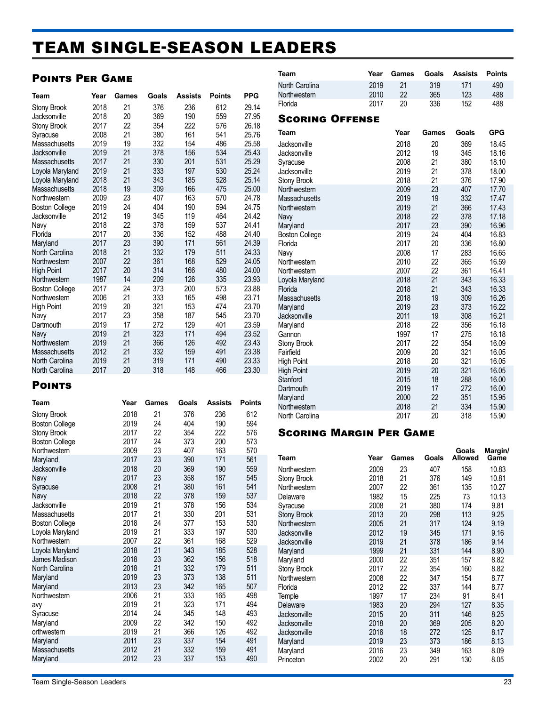## <span id="page-22-0"></span>TEAM SINGLE-SEASON LEADERS

### Points Per Game

| Team                  | Year | Games | Goals | <b>Assists</b> | <b>Points</b> | <b>PPG</b> |
|-----------------------|------|-------|-------|----------------|---------------|------------|
| <b>Stony Brook</b>    | 2018 | 21    | 376   | 236            | 612           | 29.14      |
| Jacksonville          | 2018 | 20    | 369   | 190            | 559           | 27.95      |
| Stony Brook           | 2017 | 22    | 354   | 222            | 576           | 26.18      |
| Syracuse              | 2008 | 21    | 380   | 161            | 541           | 25.76      |
| Massachusetts         | 2019 | 19    | 332   | 154            | 486           | 25.58      |
| Jacksonville          | 2019 | 21    | 378   | 156            | 534           | 25.43      |
| Massachusetts         | 2017 | 21    | 330   | 201            | 531           | 25.29      |
| Loyola Maryland       | 2019 | 21    | 333   | 197            | 530           | 25.24      |
| Loyola Maryland       | 2018 | 21    | 343   | 185            | 528           | 25.14      |
| Massachusetts         | 2018 | 19    | 309   | 166            | 475           | 25.00      |
| Northwestern          | 2009 | 23    | 407   | 163            | 570           | 24.78      |
| <b>Boston College</b> | 2019 | 24    | 404   | 190            | 594           | 24.75      |
| Jacksonville          | 2012 | 19    | 345   | 119            | 464           | 24.42      |
| Navy                  | 2018 | 22    | 378   | 159            | 537           | 24.41      |
| Florida               | 2017 | 20    | 336   | 152            | 488           | 24.40      |
| Maryland              | 2017 | 23    | 390   | 171            | 561           | 24.39      |
| North Carolina        | 2018 | 21    | 332   | 179            | 511           | 24.33      |
| Northwestern          | 2007 | 22    | 361   | 168            | 529           | 24.05      |
| <b>High Point</b>     | 2017 | 20    | 314   | 166            | 480           | 24.00      |
| Northwestern          | 1987 | 14    | 209   | 126            | 335           | 23.93      |
| <b>Boston College</b> | 2017 | 24    | 373   | 200            | 573           | 23.88      |
| Northwestern          | 2006 | 21    | 333   | 165            | 498           | 23.71      |
| <b>High Point</b>     | 2019 | 20    | 321   | 153            | 474           | 23.70      |
| Navy                  | 2017 | 23    | 358   | 187            | 545           | 23.70      |
| Dartmouth             | 2019 | 17    | 272   | 129            | 401           | 23.59      |
| Navy                  | 2019 | 21    | 323   | 171            | 494           | 23.52      |
| Northwestern          | 2019 | 21    | 366   | 126            | 492           | 23.43      |
| <b>Massachusetts</b>  | 2012 | 21    | 332   | 159            | 491           | 23.38      |
| North Carolina        | 2019 | 21    | 319   | 171            | 490           | 23.33      |
| North Carolina        | 2017 | 20    | 318   | 148            | 466           | 23.30      |

### **POINTS**

| Team                  | Year | Games | Goals | <b>Assists</b> | <b>Points</b> |
|-----------------------|------|-------|-------|----------------|---------------|
| Stony Brook           | 2018 | 21    | 376   | 236            | 612           |
| <b>Boston College</b> | 2019 | 24    | 404   | 190            | 594           |
| Stony Brook           | 2017 | 22    | 354   | 222            | 576           |
| <b>Boston College</b> | 2017 | 24    | 373   | 200            | 573           |
| Northwestern          | 2009 | 23    | 407   | 163            | 570           |
| Maryland              | 2017 | 23    | 390   | 171            | 561           |
| Jacksonville          | 2018 | 20    | 369   | 190            | 559           |
| Navy                  | 2017 | 23    | 358   | 187            | 545           |
| Syracuse              | 2008 | 21    | 380   | 161            | 541           |
| Navy                  | 2018 | 22    | 378   | 159            | 537           |
| Jacksonville          | 2019 | 21    | 378   | 156            | 534           |
| Massachusetts         | 2017 | 21    | 330   | 201            | 531           |
| <b>Boston College</b> | 2018 | 24    | 377   | 153            | 530           |
| Loyola Maryland       | 2019 | 21    | 333   | 197            | 530           |
| Northwestern          | 2007 | 22    | 361   | 168            | 529           |
| Loyola Maryland       | 2018 | 21    | 343   | 185            | 528           |
| <b>James Madison</b>  | 2018 | 23    | 362   | 156            | 518           |
| North Carolina        | 2018 | 21    | 332   | 179            | 511           |
| Maryland              | 2019 | 23    | 373   | 138            | 511           |
| Maryland              | 2013 | 23    | 342   | 165            | 507           |
| Northwestern          | 2006 | 21    | 333   | 165            | 498           |
| avy                   | 2019 | 21    | 323   | 171            | 494           |
| Syracuse              | 2014 | 24    | 345   | 148            | 493           |
| Maryland              | 2009 | 22    | 342   | 150            | 492           |
| orthwestern           | 2019 | 21    | 366   | 126            | 492           |
| Maryland              | 2011 | 23    | 337   | 154            | 491           |
| Massachusetts         | 2012 | 21    | 332   | 159            | 491           |
| Maryland              | 2012 | 23    | 337   | 153            | 490           |
|                       |      |       |       |                |               |

| Team                   | Year | Games | Goals | <b>Assists</b> | <b>Points</b> |
|------------------------|------|-------|-------|----------------|---------------|
| North Carolina         | 2019 | 21    | 319   | 171            | 490           |
| Northwestern           | 2010 | 22    | 365   | 123            | 488           |
| Florida                | 2017 | 20    | 336   | 152            | 488           |
| <b>SCORING OFFENSE</b> |      |       |       |                |               |
| Team                   |      | Year  | Games | Goals          | <b>GPG</b>    |
| Jacksonville           |      | 2018  | 20    | 369            | 18.45         |
| Jacksonville           |      | 2012  | 19    | 345            | 18.16         |
| Syracuse               |      | 2008  | 21    | 380            | 18.10         |
| Jacksonville           |      | 2019  | 21    | 378            | 18.00         |
| <b>Stony Brook</b>     |      | 2018  | 21    | 376            | 17.90         |
| Northwestern           |      | 2009  | 23    | 407            | 17.70         |
| <b>Massachusetts</b>   |      | 2019  | 19    | 332            | 17.47         |
| Northwestern           |      | 2019  | 21    | 366            | 17.43         |
| Navy                   |      | 2018  | 22    | 378            | 17.18         |
| Maryland               |      | 2017  | 23    | 390            | 16.96         |
| <b>Boston College</b>  |      | 2019  | 24    | 404            | 16.83         |
| Florida                |      | 2017  | 20    | 336            | 16.80         |
| Navy                   |      | 2008  | 17    | 283            | 16.65         |
| Northwestern           |      | 2010  | 22    | 365            | 16.59         |
| Northwestern           |      | 2007  | 22    | 361            | 16.41         |
| Loyola Maryland        |      | 2018  | 21    | 343            | 16.33         |
| Florida                |      | 2018  | 21    | 343            | 16.33         |
| Massachusetts          |      | 2018  | 19    | 309            | 16.26         |
| Maryland               |      | 2019  | 23    | 373            | 16.22         |
| Jacksonville           |      | 2011  | 19    | 308            | 16.21         |
| Maryland               |      | 2018  | 22    | 356            | 16.18         |
| Gannon                 |      | 1997  | 17    | 275            | 16.18         |
| Stony Brook            |      | 2017  | 22    | 354            | 16.09         |
| Fairfield              |      | 2009  | 20    | 321            | 16.05         |
| <b>High Point</b>      |      | 2018  | 20    | 321            | 16.05         |
| <b>High Point</b>      |      | 2019  | 20    | 321            | 16.05         |
| Stanford               |      | 2015  | 18    | 288            | 16.00         |
| Dartmouth              |      | 2019  | 17    | 272            | 16.00         |
| Maryland               |      | 2000  | 22    | 351            | 15.95         |
| Northwestern           |      | 2018  | 21    | 334            | 15.90         |
| North Carolina         |      | 2017  | 20    | 318            | 15.90         |

### Scoring Margin Per Game

| Team                         | Year         | Games    | Goals      | Goals<br><b>Allowed</b> | Margin/<br>Game |
|------------------------------|--------------|----------|------------|-------------------------|-----------------|
| Northwestern                 | 2009         | 23       | 407        | 158                     | 10.83           |
| <b>Stony Brook</b>           | 2018         | 21       | 376        | 149                     | 10.81           |
| Northwestern                 | 2007         | 22       | 361        | 135                     | 10.27           |
| Delaware                     | 1982         | 15       | 225        | 73                      | 10.13           |
| Syracuse                     | 2008         | 21       | 380        | 174                     | 9.81            |
| <b>Stony Brook</b>           | 2013         | 20       | 298        | 113                     | 9.25            |
| Northwestern                 | 2005<br>2012 | 21<br>19 | 317<br>345 | 124<br>171              | 9.19            |
| Jacksonville<br>Jacksonville | 2019         | 21       | 378        | 186                     | 9.16<br>9.14    |
| Maryland                     | 1999         | 21       | 331        | 144                     | 8.90            |
| Maryland                     | 2000         | 22       | 351        | 157                     | 8.82            |
| Stony Brook                  | 2017         | 22       | 354        | 160                     | 8.82            |
| Northwestern                 | 2008         | 22       | 347        | 154                     | 8.77            |
| Florida                      | 2012         | 22       | 337        | 144                     | 8.77            |
| Temple                       | 1997         | 17       | 234        | 91                      | 8.41            |
| Delaware                     | 1983         | 20       | 294        | 127                     | 8.35            |
| Jacksonville                 | 2015         | 20       | 311        | 146                     | 8.25            |
| Jacksonville                 | 2018         | 20       | 369        | 205                     | 8.20            |
| Jacksonville                 | 2016         | 18       | 272        | 125                     | 8.17            |
| Maryland                     | 2019         | 23       | 373        | 186                     | 8.13            |
| Maryland                     | 2016<br>2002 | 23<br>20 | 349<br>291 | 163<br>130              | 8.09<br>8.05    |
| Princeton                    |              |          |            |                         |                 |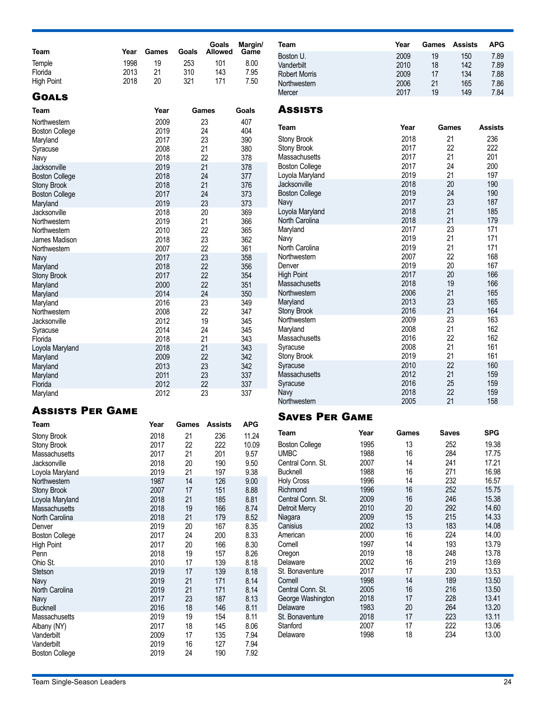| Team                                        | Year | Games        | Goals    | Goals<br><b>Allowed</b> | Margin/<br>Game | Team                                 |              | Year         | Games | Assists    | <b>APG</b>     |
|---------------------------------------------|------|--------------|----------|-------------------------|-----------------|--------------------------------------|--------------|--------------|-------|------------|----------------|
|                                             |      |              |          |                         |                 | Boston U.                            |              | 2009         | 19    | 150        | 7.89           |
| Temple                                      | 1998 | 19           | 253      | 101                     | 8.00            | Vanderbilt                           |              | 2010         | 18    | 142        | 7.89           |
| Florida                                     | 2013 | 21           | 310      | 143                     | 7.95            | <b>Robert Morris</b>                 |              | 2009         | 17    | 134        | 7.88           |
| <b>High Point</b>                           | 2018 | 20           | 321      | 171                     | 7.50            | Northwestern                         |              | 2006         | 21    | 165        | 7.86           |
| <b>GOALS</b>                                |      |              |          |                         |                 | Mercer                               |              | 2017         | 19    | 149        | 7.84           |
|                                             |      |              |          |                         |                 | <b>ASSISTS</b>                       |              |              |       |            |                |
| Team                                        |      | Year         |          | Games                   | Goals           |                                      |              |              |       |            |                |
| Northwestern                                |      | 2009         |          | 23                      | 407             | Team                                 |              | Year         |       | Games      | <b>Assists</b> |
| <b>Boston College</b>                       |      | 2019         |          | 24                      | 404             |                                      |              | 2018         |       | 21         | 236            |
| Maryland                                    |      | 2017         |          | 23                      | 390             | <b>Stony Brook</b>                   |              | 2017         |       | 22         | 222            |
| Syracuse                                    |      | 2008         |          | 21                      | 380             | Stony Brook<br>Massachusetts         |              | 2017         |       | 21         | 201            |
| Navy                                        |      | 2018         |          | 22<br>21                | 378             | <b>Boston College</b>                |              | 2017         |       | 24         | 200            |
| Jacksonville                                |      | 2019<br>2018 |          | 24                      | 378<br>377      | Loyola Maryland                      |              | 2019         |       | 21         | 197            |
| <b>Boston College</b><br><b>Stony Brook</b> |      | 2018         |          | 21                      | 376             | Jacksonville                         |              | 2018         |       | 20         | 190            |
| <b>Boston College</b>                       |      | 2017         |          | 24                      | 373             | <b>Boston College</b>                |              | 2019         |       | 24         | 190            |
| Maryland                                    |      | 2019         |          | 23                      | 373             | Navy                                 |              | 2017         |       | 23         | 187            |
| Jacksonville                                |      | 2018         |          | 20                      | 369             | Loyola Maryland                      |              | 2018         |       | 21         | 185            |
| Northwestern                                |      | 2019         |          | 21                      | 366             | North Carolina                       |              | 2018         |       | 21         | 179            |
| Northwestern                                |      | 2010         |          | 22                      | 365             | Maryland                             |              | 2017         |       | 23         | 171            |
| James Madison                               |      | 2018         |          | 23                      | 362             | Navy                                 |              | 2019         |       | 21         | 171            |
| Northwestern                                |      | 2007         |          | 22                      | 361             | North Carolina                       |              | 2019         |       | 21         | 171            |
| Navy                                        |      | 2017         |          | 23                      | 358             | Northwestern                         |              | 2007         |       | 22         | 168            |
| Maryland                                    |      | 2018         |          | 22                      | 356             | Denver                               |              | 2019         |       | 20         | 167            |
| <b>Stony Brook</b>                          |      | 2017         |          | 22                      | 354             | <b>High Point</b>                    |              | 2017         |       | 20         | 166            |
| Maryland                                    |      | 2000         |          | 22                      | 351             | <b>Massachusetts</b>                 |              | 2018         |       | 19         | 166            |
| Maryland                                    |      | 2014         |          | 24                      | 350             | Northwestern                         |              | 2006         |       | 21         | 165            |
| Maryland                                    |      | 2016         |          | 23                      | 349             | Maryland                             |              | 2013         |       | 23         | 165            |
| Northwestern                                |      | 2008         |          | 22                      | 347             | <b>Stony Brook</b>                   |              | 2016         |       | 21         | 164            |
| Jacksonville                                |      | 2012         |          | 19                      | 345             | Northwestern                         |              | 2009         |       | 23         | 163            |
| Syracuse                                    |      | 2014         |          | 24                      | 345             | Maryland                             |              | 2008         |       | 21         | 162            |
| Florida                                     |      | 2018         |          | 21                      | 343             | Massachusetts                        |              | 2016         |       | 22         | 162            |
| Loyola Maryland                             |      | 2018         |          | 21                      | 343             | Syracuse                             |              | 2008         |       | 21         | 161            |
| Maryland                                    |      | 2009         |          | 22                      | 342             | Stony Brook                          |              | 2019         |       | 21         | 161            |
| Maryland                                    |      | 2013         |          | 23                      | 342             | Syracuse                             |              | 2010         |       | 22         | 160            |
| Maryland                                    |      | 2011         |          | 23                      | 337             | Massachusetts                        |              | 2012         |       | 21         | 159            |
| Florida                                     |      | 2012         |          | 22                      | 337             | Syracuse                             |              | 2016<br>2018 |       | 25<br>22   | 159<br>159     |
| Maryland                                    |      | 2012         |          | 23                      | 337             | Navy<br>Northwestern                 |              | 2005         |       | 21         | 158            |
| <b>ASSISTS PER GAME</b>                     |      |              |          |                         |                 |                                      |              |              |       |            |                |
|                                             |      |              |          |                         |                 | <b>SAVES PER GAME</b>                |              |              |       |            |                |
| Team                                        |      | Year         | Games    | Assists                 | <b>APG</b>      | Team                                 | Year         | Games        |       | Saves      | <b>SPG</b>     |
| Stony Brook                                 |      | 2018         | 21       | 236                     | 11.24           |                                      |              |              |       |            |                |
| Stony Brook                                 |      | 2017         | 22       | 222                     | 10.09           | <b>Boston College</b>                | 1995         | 13           |       | 252        | 19.38          |
| Massachusetts                               |      | 2017         | 21       | 201                     | 9.57            | <b>UMBC</b>                          | 1988<br>2007 | 16           |       | 284        | 17.75          |
| Jacksonville                                |      | 2018<br>2019 | 20       | 190                     | 9.50            | Central Conn. St.<br><b>Bucknell</b> | 1988         | 14<br>16     |       | 241<br>271 | 17.21<br>16.98 |
| Loyola Maryland<br>Northwestern             |      | 1987         | 21<br>14 | 197<br>126              | 9.38<br>9.00    | <b>Holy Cross</b>                    | 1996         | 14           |       | 232        | 16.57          |
| <b>Stony Brook</b>                          |      | 2007         | 17       | 151                     | 8.88            | Richmond                             | 1996         | 16           |       | 252        | 15.75          |
| Loyola Maryland                             |      | 2018         | 21       | 185                     | 8.81            | Central Conn. St.                    | 2009         | 16           |       | 246        | 15.38          |
| Massachusetts                               |      | 2018         | 19       | 166                     | 8.74            | <b>Detroit Mercy</b>                 | 2010         | 20           |       | 292        | 14.60          |
| North Carolina                              |      | 2018         | 21       | 179                     | 8.52            | Niagara                              | 2009         | 15           |       | 215        | 14.33          |
| Denver                                      |      | 2019         | 20       | 167                     | 8.35            | Canisius                             | 2002         | 13           |       | 183        | 14.08          |
| <b>Boston College</b>                       |      | 2017         | 24       | 200                     | 8.33            | American                             | 2000         | 16           |       | 224        | 14.00          |
| <b>High Point</b>                           |      | 2017         | 20       | 166                     | 8.30            | Cornell                              | 1997         | 14           |       | 193        | 13.79          |
| Penn                                        |      | 2018         | 19       | 157                     | 8.26            | Oregon                               | 2019         | 18           |       | 248        | 13.78          |
| Ohio St.                                    |      | 2010         | 17       | 139                     | 8.18            | Delaware                             | 2002         | 16           |       | 219        | 13.69          |
| <b>Stetson</b>                              |      | 2019         | 17       | 139                     | 8.18            | St. Bonaventure                      | 2017         | 17           |       | 230        | 13.53          |
| Navy                                        |      | 2019         | 21       | 171                     | 8.14            | Cornell                              | 1998         | 14           |       | 189        | 13.50          |
| North Carolina                              |      | 2019         | 21       | 171                     | 8.14            | Central Conn. St.                    | 2005         | 16           |       | 216        | 13.50          |
| Navy                                        |      | 2017         | 23       | 187                     | 8.13            | George Washington                    | 2018         | 17           |       | 228        | 13.41          |
| <b>Bucknell</b>                             |      | 2016         | 18       | 146                     | 8.11            | Delaware                             | 1983         | 20           |       | 264        | 13.20          |
| Massachusetts                               |      | 2019         | 19       | 154                     | 8.11            | St. Bonaventure                      | 2018         | 17           |       | 223        | 13.11          |
| Albany (NY)                                 |      | 2017         | 18       | 145                     | 8.06            | Stanford                             | 2007         | 17           |       | 222        | 13.06          |

Boston College

Albany (NY) 2017 18 145 8.06 Vanderbilt 2009 17 135 7.94 Vanderbilt 2019 16 127 7.94<br>Boston College 2019 24 190 7.92

Stanford 2007 17 222 13.06 Delaware 1998 18 234 13.00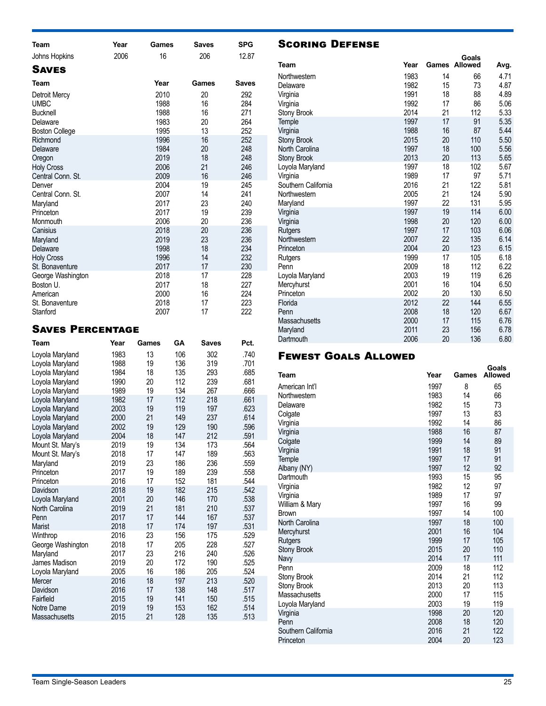| Team                                                                                                                                                                                                                     | Year | Games                                                                                                        | <b>Saves</b>                                                                     | <b>SPG</b>                                                                                     |
|--------------------------------------------------------------------------------------------------------------------------------------------------------------------------------------------------------------------------|------|--------------------------------------------------------------------------------------------------------------|----------------------------------------------------------------------------------|------------------------------------------------------------------------------------------------|
| Johns Hopkins                                                                                                                                                                                                            | 2006 | 16                                                                                                           | 206                                                                              | 12.87                                                                                          |
| <b>SAVES</b>                                                                                                                                                                                                             |      |                                                                                                              |                                                                                  |                                                                                                |
| Team                                                                                                                                                                                                                     |      | Year                                                                                                         | Games                                                                            | <b>Saves</b>                                                                                   |
| Detroit Mercy<br><b>UMBC</b><br><b>Bucknell</b><br>Delaware<br><b>Boston College</b><br>Richmond<br>Delaware<br>Oregon<br><b>Holy Cross</b><br>Central Conn. St.<br>Denver<br>Central Conn. St.<br>Maryland<br>Princeton |      | 2010<br>1988<br>1988<br>1983<br>1995<br>1996<br>1984<br>2019<br>2006<br>2009<br>2004<br>2007<br>2017<br>2017 | 20<br>16<br>16<br>20<br>13<br>16<br>20<br>18<br>21<br>16<br>19<br>14<br>23<br>19 | 292<br>284<br>271<br>264<br>252<br>252<br>248<br>248<br>246<br>246<br>245<br>241<br>240<br>239 |
| Monmouth<br>Canisius<br>Maryland<br>Delaware<br><b>Holy Cross</b><br>St. Bonaventure<br>George Washington<br>Boston U.<br>American<br>St. Bonaventure                                                                    |      | 2006<br>2018<br>2019<br>1998<br>1996<br>2017<br>2018<br>2017<br>2000<br>2018                                 | 20<br>20<br>23<br>18<br>14<br>17<br>17<br>18<br>16<br>17                         | 236<br>236<br>236<br>234<br>232<br>230<br>228<br>227<br>224<br>223                             |
| Stanford<br>Saves Percentage                                                                                                                                                                                             |      | 2007                                                                                                         | 17                                                                               | 222                                                                                            |

### WES PERCENTAGE

| Team                 | Year | Games | GΑ  | <b>Saves</b> | Pct. |
|----------------------|------|-------|-----|--------------|------|
| Loyola Maryland      | 1983 | 13    | 106 | 302          | .740 |
| Loyola Maryland      | 1988 | 19    | 136 | 319          | .701 |
| Loyola Maryland      | 1984 | 18    | 135 | 293          | .685 |
| Loyola Maryland      | 1990 | 20    | 112 | 239          | .681 |
| Loyola Maryland      | 1989 | 19    | 134 | 267          | .666 |
| Loyola Maryland      | 1982 | 17    | 112 | 218          | .661 |
| Loyola Maryland      | 2003 | 19    | 119 | 197          | .623 |
| Loyola Maryland      | 2000 | 21    | 149 | 237          | .614 |
| Loyola Maryland      | 2002 | 19    | 129 | 190          | .596 |
| Loyola Maryland      | 2004 | 18    | 147 | 212          | .591 |
| Mount St. Mary's     | 2019 | 19    | 134 | 173          | .564 |
| Mount St. Mary's     | 2018 | 17    | 147 | 189          | .563 |
| Maryland             | 2019 | 23    | 186 | 236          | .559 |
| Princeton            | 2017 | 19    | 189 | 239          | .558 |
| Princeton            | 2016 | 17    | 152 | 181          | .544 |
| Davidson             | 2018 | 19    | 182 | 215          | .542 |
| Loyola Maryland      | 2001 | 20    | 146 | 170          | .538 |
| North Carolina       | 2019 | 21    | 181 | 210          | .537 |
| Penn                 | 2017 | 17    | 144 | 167          | .537 |
| Marist               | 2018 | 17    | 174 | 197          | .531 |
| Winthrop             | 2016 | 23    | 156 | 175          | .529 |
| George Washington    | 2018 | 17    | 205 | 228          | .527 |
| Maryland             | 2017 | 23    | 216 | 240          | .526 |
| James Madison        | 2019 | 20    | 172 | 190          | .525 |
| Loyola Maryland      | 2005 | 16    | 186 | 205          | .524 |
| Mercer               | 2016 | 18    | 197 | 213          | .520 |
| Davidson             | 2016 | 17    | 138 | 148          | .517 |
| Fairfield            | 2015 | 19    | 141 | 150          | .515 |
| Notre Dame           | 2019 | 19    | 153 | 162          | .514 |
| <b>Massachusetts</b> | 2015 | 21    | 128 | 135          | .513 |

### Scoring Defense

| Team                    | Year         |          | Goals<br><b>Games Allowed</b> | Avg.         |
|-------------------------|--------------|----------|-------------------------------|--------------|
| Northwestern            | 1983         | 14       | 66                            | 4.71         |
| Delaware                | 1982         | 15       | 73                            | 4.87         |
| Virginia                | 1991         | 18       | 88                            | 4.89         |
| Virginia                | 1992         | 17       | 86                            | 5.06         |
| <b>Stony Brook</b>      | 2014         | 21       | 112                           | 5.33         |
| Temple                  | 1997         | 17       | 91                            | 5.35         |
| Virginia                | 1988         | 16       | 87                            | 5.44         |
| <b>Stony Brook</b>      | 2015         | 20       | 110                           | 5.50         |
| North Carolina          | 1997         | 18       | 100                           | 5.56         |
| <b>Stony Brook</b>      | 2013         | 20       | 113                           | 5.65         |
| Loyola Maryland         | 1997         | 18       | 102                           | 5.67         |
| Virginia                | 1989         | 17       | 97                            | 5.71         |
| Southern California     | 2016         | 21       | 122                           | 5.81         |
| Northwestern            | 2005         | 21       | 124                           | 5.90         |
| Maryland                | 1997         | 22       | 131                           | 5.95         |
| Virginia                | 1997         | 19       | 114                           | 6.00         |
| Virginia                | 1998         | 20       | 120                           | 6.00         |
| Rutgers<br>Northwestern | 1997<br>2007 | 17<br>22 | 103<br>135                    | 6.06<br>6.14 |
| Princeton               | 2004         | 20       | 123                           | 6.15         |
| Rutgers                 | 1999         | 17       | 105                           | 6.18         |
| Penn                    | 2009         | 18       | 112                           | 6.22         |
| Loyola Maryland         | 2003         | 19       | 119                           | 6.26         |
| Mercyhurst              | 2001         | 16       | 104                           | 6.50         |
| Princeton               | 2002         | 20       | 130                           | 6.50         |
| Florida                 | 2012         | 22       | 144                           | 6.55         |
| Penn                    | 2008         | 18       | 120                           | 6.67         |
| Massachusetts           | 2000         | 17       | 115                           | 6.76         |
| Maryland                | 2011         | 23       | 156                           | 6.78         |
| Dartmouth               | 2006         | 20       | 136                           | 6.80         |

### Fewest Goals Allowed

| Team                        | Year         | Games    | Goals<br><b>Allowed</b> |
|-----------------------------|--------------|----------|-------------------------|
| American Int'l              | 1997         | 8        | 65                      |
| Northwestern                | 1983         | 14       | 66                      |
| Delaware                    | 1982         | 15       | 73                      |
| Colgate                     | 1997         | 13       | 83                      |
| Virginia                    | 1992         | 14       | 86                      |
| Virginia                    | 1988         | 16       | 87                      |
| Colgate                     | 1999         | 14       | 89                      |
| Virginia                    | 1991         | 18       | 91                      |
| Temple                      | 1997         | 17       | 91                      |
| Albany (NY)                 | 1997         | 12       | 92                      |
| Dartmouth                   | 1993         | 15       | 95                      |
| Virginia                    | 1982         | 12       | 97                      |
| Virginia                    | 1989         | 17       | 97                      |
| William & Mary              | 1997         | 16       | 99                      |
| <b>Brown</b>                | 1997         | 14       | 100                     |
| North Carolina              | 1997         | 18       | 100                     |
| Mercyhurst                  | 2001         | 16       | 104                     |
| Rutgers                     | 1999         | 17       | 105                     |
| <b>Stony Brook</b>          | 2015         | 20       | 110                     |
| Navy                        | 2014         | 17       | 111                     |
| Penn                        | 2009         | 18       | 112                     |
| Stony Brook                 | 2014         | 21       | 112                     |
| <b>Stony Brook</b>          | 2013         | 20       | 113                     |
| Massachusetts               | 2000<br>2003 | 17<br>19 | 115                     |
| Loyola Maryland             | 1998         | 20       | 119<br>120              |
| Virginia                    | 2008         |          |                         |
| Penn<br>Southern California | 2016         | 18<br>21 | 120<br>122              |
| Princeton                   | 2004         | 20       | 123                     |
|                             |              |          |                         |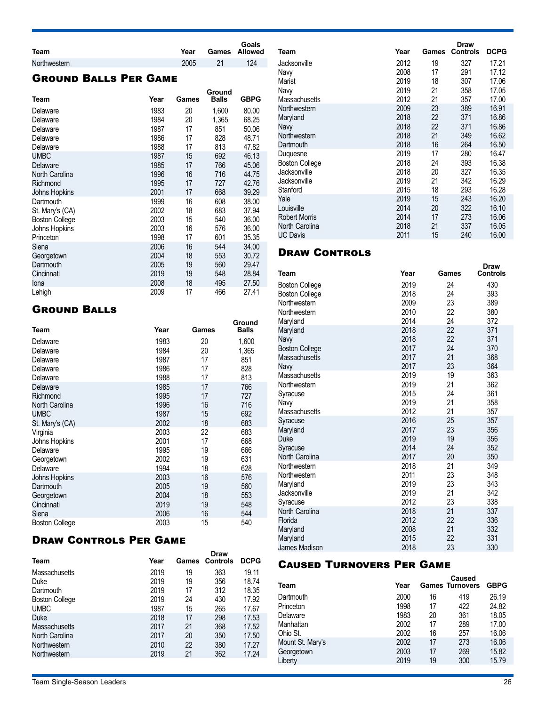| Team         | Year |    | Goals<br><b>Games</b> Allowed |
|--------------|------|----|-------------------------------|
| Northwestern | 2005 | 21 | 124                           |

### Ground Balls Per Game

| Team                  | Year | Games | Ground<br><b>Balls</b> | <b>GBPG</b> |
|-----------------------|------|-------|------------------------|-------------|
| Delaware              | 1983 | 20    | 1,600                  | 80.00       |
| Delaware              | 1984 | 20    | 1,365                  | 68.25       |
| Delaware              | 1987 | 17    | 851                    | 50.06       |
| Delaware              | 1986 | 17    | 828                    | 48.71       |
| Delaware              | 1988 | 17    | 813                    | 47.82       |
| <b>UMBC</b>           | 1987 | 15    | 692                    | 46.13       |
| Delaware              | 1985 | 17    | 766                    | 45.06       |
| North Carolina        | 1996 | 16    | 716                    | 44.75       |
| Richmond              | 1995 | 17    | 727                    | 42.76       |
| Johns Hopkins         | 2001 | 17    | 668                    | 39.29       |
| Dartmouth             | 1999 | 16    | 608                    | 38.00       |
| St. Mary's (CA)       | 2002 | 18    | 683                    | 37.94       |
| <b>Boston College</b> | 2003 | 15    | 540                    | 36.00       |
| Johns Hopkins         | 2003 | 16    | 576                    | 36.00       |
| Princeton             | 1998 | 17    | 601                    | 35.35       |
| Siena                 | 2006 | 16    | 544                    | 34.00       |
| Georgetown            | 2004 | 18    | 553                    | 30.72       |
| Dartmouth             | 2005 | 19    | 560                    | 29.47       |
| Cincinnati            | 2019 | 19    | 548                    | 28.84       |
| Iona                  | 2008 | 18    | 495                    | 27.50       |
| Lehigh                | 2009 | 17    | 466                    | 27.41       |

### Ground Balls

| Team                  | Year | Games | Ground<br><b>Balls</b> |
|-----------------------|------|-------|------------------------|
| Delaware              | 1983 | 20    | 1,600                  |
| Delaware              | 1984 | 20    | 1,365                  |
| Delaware              | 1987 | 17    | 851                    |
| Delaware              | 1986 | 17    | 828                    |
| Delaware              | 1988 | 17    | 813                    |
| Delaware              | 1985 | 17    | 766                    |
| Richmond              | 1995 | 17    | 727                    |
| North Carolina        | 1996 | 16    | 716                    |
| <b>UMBC</b>           | 1987 | 15    | 692                    |
| St. Mary's (CA)       | 2002 | 18    | 683                    |
| Virginia              | 2003 | 22    | 683                    |
| Johns Hopkins         | 2001 | 17    | 668                    |
| Delaware              | 1995 | 19    | 666                    |
| Georgetown            | 2002 | 19    | 631                    |
| Delaware              | 1994 | 18    | 628                    |
| Johns Hopkins         | 2003 | 16    | 576                    |
| Dartmouth             | 2005 | 19    | 560                    |
| Georgetown            | 2004 | 18    | 553                    |
| Cincinnati            | 2019 | 19    | 548                    |
| Siena                 | 2006 | 16    | 544                    |
| <b>Boston College</b> | 2003 | 15    | 540                    |

### Draw Controls Per Game

| Team                  | Year | Games | <b>Draw</b><br><b>Controls</b> | <b>DCPG</b> |
|-----------------------|------|-------|--------------------------------|-------------|
| Massachusetts         | 2019 | 19    | 363                            | 19.11       |
| Duke                  | 2019 | 19    | 356                            | 18.74       |
| Dartmouth             | 2019 | 17    | 312                            | 18.35       |
| <b>Boston College</b> | 2019 | 24    | 430                            | 17.92       |
| <b>UMBC</b>           | 1987 | 15    | 265                            | 17.67       |
| <b>Duke</b>           | 2018 | 17    | 298                            | 17.53       |
| Massachusetts         | 2017 | 21    | 368                            | 17.52       |
| North Carolina        | 2017 | 20    | 350                            | 17.50       |
| Northwestern          | 2010 | 22    | 380                            | 17.27       |
| Northwestern          | 2019 | 21    | 362                            | 17.24       |
|                       |      |       |                                |             |

| Team                  | Year | Games | Draw<br><b>Controls</b> | <b>DCPG</b> |
|-----------------------|------|-------|-------------------------|-------------|
| Jacksonville          | 2012 | 19    | 327                     | 17.21       |
| Navy                  | 2008 | 17    | 291                     | 17.12       |
| Marist                | 2019 | 18    | 307                     | 17.06       |
| Navy                  | 2019 | 21    | 358                     | 17.05       |
| Massachusetts         | 2012 | 21    | 357                     | 17.00       |
| Northwestern          | 2009 | 23    | 389                     | 16.91       |
| Maryland              | 2018 | 22    | 371                     | 16.86       |
| Navy                  | 2018 | 22    | 371                     | 16.86       |
| Northwestern          | 2018 | 21    | 349                     | 16.62       |
| Dartmouth             | 2018 | 16    | 264                     | 16.50       |
| Duguesne              | 2019 | 17    | 280                     | 16.47       |
| <b>Boston College</b> | 2018 | 24    | 393                     | 16.38       |
| Jacksonville          | 2018 | 20    | 327                     | 16.35       |
| Jacksonville          | 2019 | 21    | 342                     | 16.29       |
| Stanford              | 2015 | 18    | 293                     | 16.28       |
| Yale                  | 2019 | 15    | 243                     | 16.20       |
| Louisville            | 2014 | 20    | 322                     | 16.10       |
| <b>Robert Morris</b>  | 2014 | 17    | 273                     | 16.06       |
| North Carolina        | 2018 | 21    | 337                     | 16.05       |
| <b>UC Davis</b>       | 2011 | 15    | 240                     | 16.00       |

### **DRAW CONTROLS**

| Team                  | Year | Games | <b>Draw</b><br><b>Controls</b> |
|-----------------------|------|-------|--------------------------------|
| <b>Boston College</b> | 2019 | 24    | 430                            |
| <b>Boston College</b> | 2018 | 24    | 393                            |
| Northwestern          | 2009 | 23    | 389                            |
| Northwestern          | 2010 | 22    | 380                            |
| Maryland              | 2014 | 24    | 372                            |
| Maryland              | 2018 | 22    | 371                            |
| Navy                  | 2018 | 22    | 371                            |
| <b>Boston College</b> | 2017 | 24    | 370                            |
| <b>Massachusetts</b>  | 2017 | 21    | 368                            |
| Navy                  | 2017 | 23    | 364                            |
| Massachusetts         | 2019 | 19    | 363                            |
| Northwestern          | 2019 | 21    | 362                            |
| Syracuse              | 2015 | 24    | 361                            |
| Navy                  | 2019 | 21    | 358                            |
| Massachusetts         | 2012 | 21    | 357                            |
| Syracuse              | 2016 | 25    | 357                            |
| Maryland              | 2017 | 23    | 356                            |
| Duke                  | 2019 | 19    | 356                            |
| Syracuse              | 2014 | 24    | 352                            |
| North Carolina        | 2017 | 20    | 350                            |
| Northwestern          | 2018 | 21    | 349                            |
| Northwestern          | 2011 | 23    | 348                            |
| Maryland              | 2019 | 23    | 343                            |
| Jacksonville          | 2019 | 21    | 342                            |
| Syracuse              | 2012 | 23    | 338                            |
| North Carolina        | 2018 | 21    | 337                            |
| Florida               | 2012 | 22    | 336                            |
| Maryland              | 2008 | 21    | 332                            |
| Maryland              | 2015 | 22    | 331                            |
| James Madison         | 2018 | 23    | 330                            |

### Caused Turnovers Per Game

| Team             | Year |    | <b>Caused</b><br><b>Games Turnovers</b> | <b>GBPG</b> |
|------------------|------|----|-----------------------------------------|-------------|
| Dartmouth        | 2000 | 16 | 419                                     | 26.19       |
| Princeton        | 1998 | 17 | 422                                     | 24.82       |
| Delaware         | 1983 | 20 | 361                                     | 18.05       |
| Manhattan        | 2002 | 17 | 289                                     | 17.00       |
| Ohio St.         | 2002 | 16 | 257                                     | 16.06       |
| Mount St. Mary's | 2002 | 17 | 273                                     | 16.06       |
| Georgetown       | 2003 | 17 | 269                                     | 15.82       |
| Liberty          | 2019 | 19 | 300                                     | 15.79       |
|                  |      |    |                                         |             |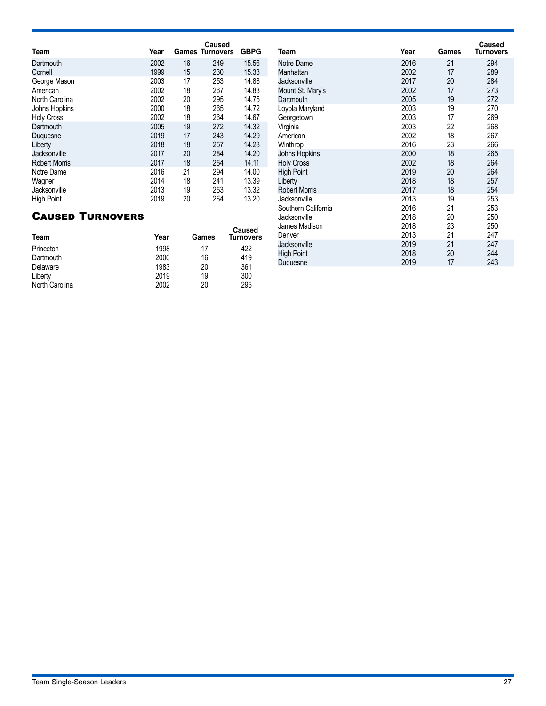| Team                 | Year |    | <b>Caused</b><br><b>Games Turnovers</b> | <b>GBPG</b> |
|----------------------|------|----|-----------------------------------------|-------------|
| Dartmouth            | 2002 | 16 | 249                                     | 15.56       |
| Cornell              | 1999 | 15 | 230                                     | 15.33       |
| George Mason         | 2003 | 17 | 253                                     | 14.88       |
| American             | 2002 | 18 | 267                                     | 14.83       |
| North Carolina       | 2002 | 20 | 295                                     | 14.75       |
| Johns Hopkins        | 2000 | 18 | 265                                     | 14.72       |
| <b>Holy Cross</b>    | 2002 | 18 | 264                                     | 14.67       |
| Dartmouth            | 2005 | 19 | 272                                     | 14.32       |
| Duquesne             | 2019 | 17 | 243                                     | 14.29       |
| Liberty              | 2018 | 18 | 257                                     | 14.28       |
| Jacksonville         | 2017 | 20 | 284                                     | 14.20       |
| <b>Robert Morris</b> | 2017 | 18 | 254                                     | 14.11       |
| Notre Dame           | 2016 | 21 | 294                                     | 14.00       |
| Wagner               | 2014 | 18 | 241                                     | 13.39       |
| Jacksonville         | 2013 | 19 | 253                                     | 13.32       |
| <b>High Point</b>    | 2019 | 20 | 264                                     | 13.20       |

### Caused Turnovers

| Team           | Year | Games | Caused<br>Turnovers |
|----------------|------|-------|---------------------|
| Princeton      | 1998 | 17    | 422                 |
| Dartmouth      | 2000 | 16    | 419                 |
| Delaware       | 1983 | 20    | 361                 |
| Liberty        | 2019 | 19    | 300                 |
| North Carolina | 2002 | 20    | 295                 |

| Team                 | Year | Games | <b>Caused</b><br><b>Turnovers</b> |
|----------------------|------|-------|-----------------------------------|
| Notre Dame           | 2016 | 21    | 294                               |
| Manhattan            | 2002 | 17    | 289                               |
| Jacksonville         | 2017 | 20    | 284                               |
| Mount St. Mary's     | 2002 | 17    | 273                               |
| Dartmouth            | 2005 | 19    | 272                               |
| Loyola Maryland      | 2003 | 19    | 270                               |
| Georgetown           | 2003 | 17    | 269                               |
| Virginia             | 2003 | 22    | 268                               |
| American             | 2002 | 18    | 267                               |
| Winthrop             | 2016 | 23    | 266                               |
| Johns Hopkins        | 2000 | 18    | 265                               |
| <b>Holy Cross</b>    | 2002 | 18    | 264                               |
| <b>High Point</b>    | 2019 | 20    | 264                               |
| Liberty              | 2018 | 18    | 257                               |
| <b>Robert Morris</b> | 2017 | 18    | 254                               |
| Jacksonville         | 2013 | 19    | 253                               |
| Southern California  | 2016 | 21    | 253                               |
| Jacksonville         | 2018 | 20    | 250                               |
| James Madison        | 2018 | 23    | 250                               |
| Denver               | 2013 | 21    | 247                               |
| Jacksonville         | 2019 | 21    | 247                               |
| <b>High Point</b>    | 2018 | 20    | 244                               |
| Duquesne             | 2019 | 17    | 243                               |
|                      |      |       |                                   |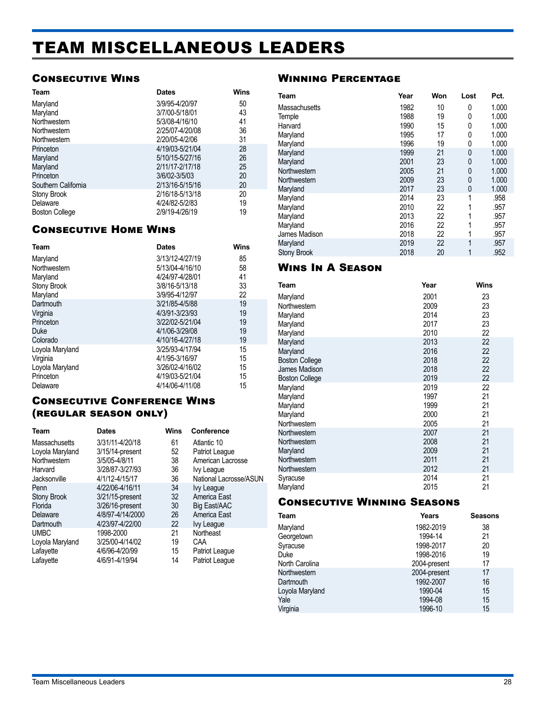## <span id="page-27-0"></span>TEAM MISCELLANEOUS LEADERS

### Consecutive Wins

| Team                  | <b>Dates</b>    | Wins |
|-----------------------|-----------------|------|
| Maryland              | 3/9/95-4/20/97  | 50   |
| Maryland              | 3/7/00-5/18/01  | 43   |
| Northwestern          | 5/3/08-4/16/10  | 41   |
| Northwestern          | 2/25/07-4/20/08 | 36   |
| Northwestern          | 2/20/05-4/2/06  | 31   |
| Princeton             | 4/19/03-5/21/04 | 28   |
| Maryland              | 5/10/15-5/27/16 | 26   |
| Maryland              | 2/11/17-2/17/18 | 25   |
| Princeton             | 3/6/02-3/5/03   | 20   |
| Southern California   | 2/13/16-5/15/16 | 20   |
| Stony Brook           | 2/16/18-5/13/18 | 20   |
| Delaware              | 4/24/82-5/2/83  | 19   |
| <b>Boston College</b> | 2/9/19-4/26/19  | 19   |

### Consecutive Home Wins

| Team               | <b>Dates</b>    | Wins |
|--------------------|-----------------|------|
| Maryland           | 3/13/12-4/27/19 | 85   |
| Northwestern       | 5/13/04-4/16/10 | 58   |
| Maryland           | 4/24/97-4/28/01 | 41   |
| <b>Stony Brook</b> | 3/8/16-5/13/18  | 33   |
| Maryland           | 3/9/95-4/12/97  | 22   |
| Dartmouth          | 3/21/85-4/5/88  | 19   |
| Virginia           | 4/3/91-3/23/93  | 19   |
| Princeton          | 3/22/02-5/21/04 | 19   |
| Duke               | 4/1/06-3/29/08  | 19   |
| Colorado           | 4/10/16-4/27/18 | 19   |
| Loyola Maryland    | 3/25/93-4/17/94 | 15   |
| Virginia           | 4/1/95-3/16/97  | 15   |
| Loyola Maryland    | 3/26/02-4/16/02 | 15   |
| Princeton          | 4/19/03-5/21/04 | 15   |
| Delaware           | 4/14/06-4/11/08 | 15   |

### Consecutive Conference Wins (regular season only)

| Team            | <b>Dates</b>     | <b>Wins</b> | Conference             |
|-----------------|------------------|-------------|------------------------|
| Massachusetts   | 3/31/11-4/20/18  | 61          | Atlantic 10            |
| Loyola Maryland | 3/15/14-present  | 52          | Patriot League         |
| Northwestern    | 3/5/05-4/8/11    | 38          | American Lacrosse      |
| Harvard         | 3/28/87-3/27/93  | 36          | Ivy League             |
| Jacksonville    | 4/1/12-4/15/17   | 36          | National Lacrosse/ASUN |
| Penn            | 4/22/06-4/16/11  | 34          | Ivy League             |
| Stony Brook     | 3/21/15-present  | 32          | America East           |
| Florida         | 3/26/16-present  | 30          | Big East/AAC           |
| Delaware        | 4/8/97-4/14/2000 | 26          | America East           |
| Dartmouth       | 4/23/97-4/22/00  | 22          | Ivy League             |
| <b>UMBC</b>     | 1998-2000        | 21          | Northeast              |
| Loyola Maryland | 3/25/00-4/14/02  | 19          | CAA                    |
| Lafayette       | 4/6/96-4/20/99   | 15          | Patriot League         |
| Lafayette       | 4/6/91-4/19/94   | 14          | Patriot League         |

### Winning Percentage

| Team               | Year | Won | Lost | Pct.  |
|--------------------|------|-----|------|-------|
| Massachusetts      | 1982 | 10  | 0    | 1.000 |
| Temple             | 1988 | 19  | 0    | 1.000 |
| Harvard            | 1990 | 15  | 0    | 1.000 |
| Maryland           | 1995 | 17  | 0    | 1.000 |
| Maryland           | 1996 | 19  | 0    | 1.000 |
| Maryland           | 1999 | 21  | 0    | 1.000 |
| Maryland           | 2001 | 23  | 0    | 1.000 |
| Northwestern       | 2005 | 21  | 0    | 1.000 |
| Northwestern       | 2009 | 23  | 0    | 1.000 |
| Maryland           | 2017 | 23  | 0    | 1.000 |
| Maryland           | 2014 | 23  | 1    | .958  |
| Maryland           | 2010 | 22  | 1    | .957  |
| Maryland           | 2013 | 22  | 1    | .957  |
| Maryland           | 2016 | 22  | 1    | .957  |
| James Madison      | 2018 | 22  | 1    | .957  |
| Maryland           | 2019 | 22  | 1    | .957  |
| <b>Stony Brook</b> | 2018 | 20  | 1    | .952  |

### Wins In A Season

| Team                  | Year | <b>Wins</b> |
|-----------------------|------|-------------|
| Maryland              | 2001 | 23          |
| Northwestern          | 2009 | 23          |
| Maryland              | 2014 | 23          |
| Maryland              | 2017 | 23          |
| Maryland              | 2010 | 22          |
| Maryland              | 2013 | 22          |
| Maryland              | 2016 | 22          |
| <b>Boston College</b> | 2018 | 22          |
| James Madison         | 2018 | 22          |
| <b>Boston College</b> | 2019 | 22          |
| Maryland              | 2019 | 22          |
| Maryland              | 1997 | 21          |
| Maryland              | 1999 | 21          |
| Maryland              | 2000 | 21          |
| Northwestern          | 2005 | 21          |
| Northwestern          | 2007 | 21          |
| Northwestern          | 2008 | 21          |
| Maryland              | 2009 | 21          |
| Northwestern          | 2011 | 21          |
| Northwestern          | 2012 | 21          |
| Syracuse              | 2014 | 21          |
| Maryland              | 2015 | 21          |

### Consecutive Winning Seasons

| Team            | Years        | <b>Seasons</b> |
|-----------------|--------------|----------------|
| Maryland        | 1982-2019    | 38             |
| Georgetown      | 1994-14      | 21             |
| Syracuse        | 1998-2017    | 20             |
| Duke            | 1998-2016    | 19             |
| North Carolina  | 2004-present | 17             |
| Northwestern    | 2004-present | 17             |
| Dartmouth       | 1992-2007    | 16             |
| Loyola Maryland | 1990-04      | 15             |
| Yale            | 1994-08      | 15             |
| Virginia        | 1996-10      | 15             |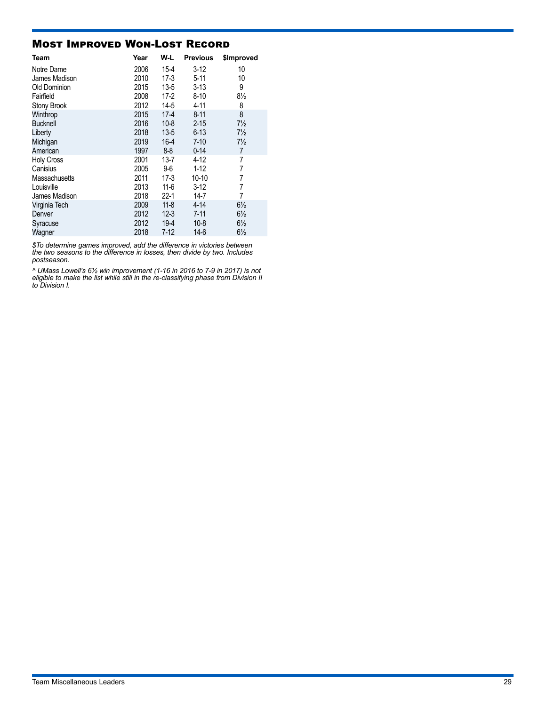### Most Improved Won-Lost Record

| Team            | Year | W-L      | <b>Previous</b> | \$Improved     |
|-----------------|------|----------|-----------------|----------------|
| Notre Dame      | 2006 | $15-4$   | $3-12$          | 10             |
| James Madison   | 2010 | 17-3     | $5-11$          | 10             |
| Old Dominion    | 2015 | $13 - 5$ | $3 - 13$        | 9              |
| Fairfield       | 2008 | $17-2$   | $8 - 10$        | $8\frac{1}{2}$ |
| Stony Brook     | 2012 | $14-5$   | 4-11            | 8              |
| Winthrop        | 2015 | $17-4$   | $8 - 11$        | 8              |
| <b>Bucknell</b> | 2016 | $10 - 8$ | $2 - 15$        | $7\frac{1}{2}$ |
| Liberty         | 2018 | $13 - 5$ | $6 - 13$        | $7\frac{1}{2}$ |
| Michigan        | 2019 | $16-4$   | $7 - 10$        | $7\frac{1}{2}$ |
| American        | 1997 | $8 - 8$  | $0 - 14$        | 7              |
| Holy Cross      | 2001 | $13 - 7$ | $4 - 12$        | 7              |
| Canisius        | 2005 | 9-6      | $1 - 12$        | 7              |
| Massachusetts   | 2011 | 17-3     | 10-10           | 7              |
| Louisville      | 2013 | 11-6     | $3-12$          | 7              |
| James Madison   | 2018 | 22-1     | $14 - 7$        | 7              |
| Virginia Tech   | 2009 | $11 - 8$ | $4 - 14$        | $6\frac{1}{2}$ |
| Denver          | 2012 | $12 - 3$ | $7 - 11$        | $6\frac{1}{2}$ |
| Syracuse        | 2012 | $19 - 4$ | $10 - 8$        | $6\frac{1}{2}$ |
| Wagner          | 2018 | $7-12$   | $14-6$          | $6\frac{1}{2}$ |

*\$To determine games improved, add the difference in victories between the two seasons to the difference in losses, then divide by two. Includes postseason.*

*^ UMass Lowell's 6½ win improvement (1-16 in 2016 to 7-9 in 2017) is not eligible to make the list while still in the re-classifying phase from Division II to Division I.*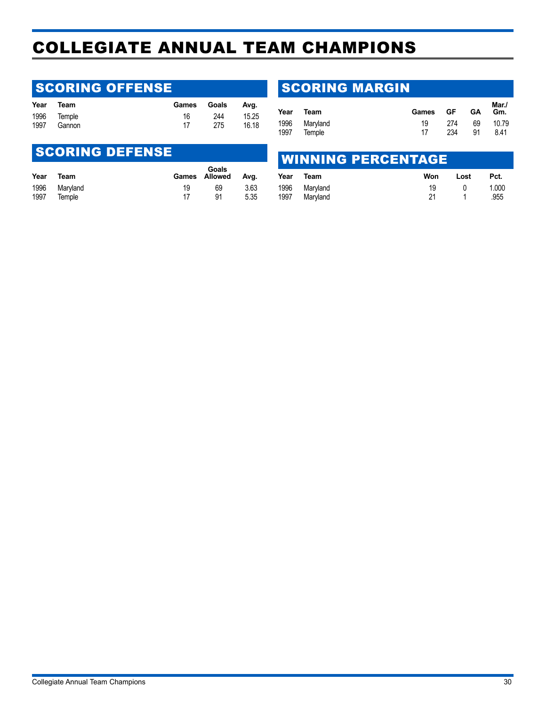## <span id="page-29-0"></span>COLLEGIATE ANNUAL TEAM CHAMPIONS

### **SCORING OFFENSE**

| Year | Team        | Games | Goals | Ava.  |
|------|-------------|-------|-------|-------|
|      | 1996 Temple | 16    | 244   | 15.25 |
| 1997 | Gannon      | 17    | 275   | 16.18 |

### **SCORING DEFENSE**

| Year | Team     |    | Goals<br>Games Allowed | Ava. |
|------|----------|----|------------------------|------|
| 1996 | Maryland | 19 | 69                     | 3.63 |
| 1997 | Temple   | 17 | 91                     | 5.35 |

### SCORING MARGIN

| Team          | Games |     | <b>GA</b> | Mar./<br>Gm. |
|---------------|-------|-----|-----------|--------------|
| 1996 Maryland | 19    | 274 | 69        | 10.79        |
| Temple        | 17    | 234 | 91        | 8.41         |
|               |       |     |           | ∗ GF i       |

### WINNING PERCENTAGE

| Year | Team     | Won | Lost | Pct.  |
|------|----------|-----|------|-------|
| 1996 | Maryland | 19  |      | 1.000 |
| 1997 | Maryland | 21  |      | .955  |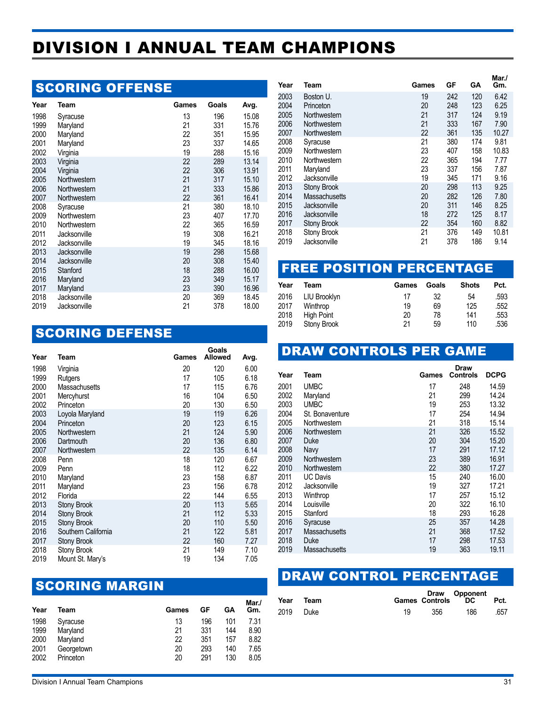## <span id="page-30-0"></span>DIVISION I ANNUAL TEAM CHAMPIONS

### **SCORING OFFENSE**

| Year | Team         | Games | Goals | Avg.  |
|------|--------------|-------|-------|-------|
| 1998 | Syracuse     | 13    | 196   | 15.08 |
| 1999 | Maryland     | 21    | 331   | 15.76 |
| 2000 | Maryland     | 22    | 351   | 15.95 |
| 2001 | Maryland     | 23    | 337   | 14.65 |
| 2002 | Virginia     | 19    | 288   | 15.16 |
| 2003 | Virginia     | 22    | 289   | 13.14 |
| 2004 | Virginia     | 22    | 306   | 13.91 |
| 2005 | Northwestern | 21    | 317   | 15.10 |
| 2006 | Northwestern | 21    | 333   | 15.86 |
| 2007 | Northwestern | 22    | 361   | 16.41 |
| 2008 | Syracuse     | 21    | 380   | 18.10 |
| 2009 | Northwestern | 23    | 407   | 17.70 |
| 2010 | Northwestern | 22    | 365   | 16.59 |
| 2011 | Jacksonville | 19    | 308   | 16.21 |
| 2012 | Jacksonville | 19    | 345   | 18.16 |
| 2013 | Jacksonville | 19    | 298   | 15.68 |
| 2014 | Jacksonville | 20    | 308   | 15.40 |
| 2015 | Stanford     | 18    | 288   | 16.00 |
| 2016 | Maryland     | 23    | 349   | 15.17 |
| 2017 | Maryland     | 23    | 390   | 16.96 |
| 2018 | Jacksonville | 20    | 369   | 18.45 |
| 2019 | Jacksonville | 21    | 378   | 18.00 |

### SCORING DEFENSE

| Year         | Team                | Games    | Goals<br><b>Allowed</b> | Avg.         |
|--------------|---------------------|----------|-------------------------|--------------|
| 1998         | Virginia            | 20       | 120                     | 6.00         |
| 1999         | Rutgers             | 17       | 105                     | 6.18         |
| 2000         | Massachusetts       | 17       | 115                     | 6.76         |
| 2001         | Mercyhurst          | 16       | 104                     | 6.50         |
| 2002         | Princeton           | 20       | 130                     | 6.50         |
| 2003         | Loyola Maryland     | 19       | 119                     | 6.26         |
| 2004         | Princeton           | 20       | 123                     | 6.15         |
| 2005         | Northwestern        | 21       | 124                     | 5.90         |
| 2006         | Dartmouth           | 20       | 136                     | 6.80         |
| 2007         | Northwestern        | 22       | 135                     | 6.14         |
| 2008         | Penn                | 18       | 120                     | 6.67         |
| 2009         | Penn                | 18       | 112                     | 6.22         |
| 2010         | Maryland            | 23       | 158                     | 6.87         |
| 2011<br>2012 | Maryland<br>Florida | 23<br>22 | 156<br>144              | 6.78<br>6.55 |
| 2013         | <b>Stony Brook</b>  | 20       | 113                     | 5.65         |
| 2014         | <b>Stony Brook</b>  | 21       | 112                     | 5.33         |
| 2015         | <b>Stony Brook</b>  | 20       | 110                     | 5.50         |
| 2016         | Southern California | 21       | 122                     | 5.81         |
| 2017         | Stony Brook         | 22       | 160                     | 7.27         |
| 2018         | Stony Brook         | 21       | 149                     | 7.10         |
| 2019         | Mount St. Mary's    | 19       | 134                     | 7.05         |

### **SCORING MARGIN**

| Year | Team       | Games | GF  | GА  | Mar./<br>Gm. |
|------|------------|-------|-----|-----|--------------|
| 1998 | Syracuse   | 13    | 196 | 101 | 7.31         |
| 1999 | Maryland   | 21    | 331 | 144 | 8.90         |
| 2000 | Maryland   | 22    | 351 | 157 | 8.82         |
| 2001 | Georgetown | 20    | 293 | 140 | 7.65         |
| 2002 | Princeton  | 20    | 291 | 130 | 8.05         |

| Year | Team               | Games | GF  | GΑ  | Mar./<br>Gm. |
|------|--------------------|-------|-----|-----|--------------|
| 2003 | Boston U.          | 19    | 242 | 120 | 6.42         |
| 2004 | Princeton          | 20    | 248 | 123 | 6.25         |
| 2005 | Northwestern       | 21    | 317 | 124 | 9.19         |
| 2006 | Northwestern       | 21    | 333 | 167 | 7.90         |
| 2007 | Northwestern       | 22    | 361 | 135 | 10.27        |
| 2008 | Syracuse           | 21    | 380 | 174 | 9.81         |
| 2009 | Northwestern       | 23    | 407 | 158 | 10.83        |
| 2010 | Northwestern       | 22    | 365 | 194 | 7.77         |
| 2011 | Maryland           | 23    | 337 | 156 | 7.87         |
| 2012 | Jacksonville       | 19    | 345 | 171 | 9.16         |
| 2013 | <b>Stony Brook</b> | 20    | 298 | 113 | 9.25         |
| 2014 | Massachusetts      | 20    | 282 | 126 | 7.80         |
| 2015 | Jacksonville       | 20    | 311 | 146 | 8.25         |
| 2016 | Jacksonville       | 18    | 272 | 125 | 8.17         |
| 2017 | Stony Brook        | 22    | 354 | 160 | 8.82         |
| 2018 | <b>Stony Brook</b> | 21    | 376 | 149 | 10.81        |
| 2019 | Jacksonville       | 21    | 378 | 186 | 9.14         |

### FREE POSITION PERCENTAGE

| Year | Team         | Games | Goals | <b>Shots</b> | Pct. |
|------|--------------|-------|-------|--------------|------|
| 2016 | LIU Brooklyn | 17    | 32    | 54           | .593 |
| 2017 | Winthrop     | 19    | 69    | 125          | .552 |
| 2018 | High Point   | 20    | 78    | 141          | .553 |
| 2019 | Stony Brook  | 21    | 59    | 110          | .536 |

### DRAW CONTROLS PER GAME

| Year | Team            | Games | <b>Draw</b><br><b>Controls</b> | <b>DCPG</b> |  |
|------|-----------------|-------|--------------------------------|-------------|--|
| 2001 | <b>UMBC</b>     | 17    | 248                            | 14.59       |  |
| 2002 | Maryland        | 21    | 299                            | 14.24       |  |
| 2003 | <b>UMBC</b>     | 19    | 253                            | 13.32       |  |
| 2004 | St. Bonaventure | 17    | 254                            | 14.94       |  |
| 2005 | Northwestern    | 21    | 318                            | 15.14       |  |
| 2006 | Northwestern    | 21    | 326                            | 15.52       |  |
| 2007 | Duke            | 20    | 304                            | 15.20       |  |
| 2008 | Navy            | 17    | 291                            | 17.12       |  |
| 2009 | Northwestern    | 23    | 389                            | 16.91       |  |
| 2010 | Northwestern    | 22    | 380                            | 17.27       |  |
| 2011 | <b>UC Davis</b> | 15    | 240                            | 16.00       |  |
| 2012 | Jacksonville    | 19    | 327                            | 17.21       |  |
| 2013 | Winthrop        | 17    | 257                            | 15.12       |  |
| 2014 | Louisville      | 20    | 322                            | 16.10       |  |
| 2015 | Stanford        | 18    | 293                            | 16.28       |  |
| 2016 | Syracuse        | 25    | 357                            | 14.28       |  |
| 2017 | Massachusetts   | 21    | 368                            | 17.52       |  |
| 2018 | Duke            | 17    | 298                            | 17.53       |  |
| 2019 | Massachusetts   | 19    | 363                            | 19.11       |  |
|      |                 |       |                                |             |  |

### DRAW CONTROL PERCENTAGE

| Year      | Team |     |     | Draw Opponent<br>Games Controls DC | Pct. |
|-----------|------|-----|-----|------------------------------------|------|
| 2019 Duke |      | 19. | 356 | 186                                | .657 |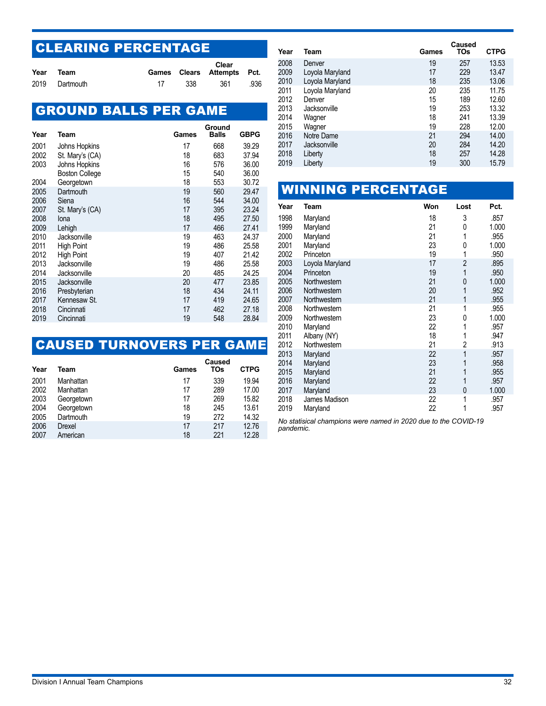## CLEARING PERCENTAGE

| Year | Team           |     | Clear<br>Games Clears Attempts Pct. |      |
|------|----------------|-----|-------------------------------------|------|
|      | 2019 Dartmouth | 338 | 361                                 | .936 |

## GROUND BALLS PER GAME

| Year | Team                  | Games | Ground<br><b>Balls</b> | GBPG  |
|------|-----------------------|-------|------------------------|-------|
| 2001 | Johns Hopkins         | 17    | 668                    | 39.29 |
| 2002 | St. Mary's (CA)       | 18    | 683                    | 37.94 |
| 2003 | Johns Hopkins         | 16    | 576                    | 36.00 |
|      | <b>Boston College</b> | 15    | 540                    | 36.00 |
| 2004 | Georgetown            | 18    | 553                    | 30.72 |
| 2005 | Dartmouth             | 19    | 560                    | 29.47 |
| 2006 | Siena                 | 16    | 544                    | 34.00 |
| 2007 | St. Mary's (CA)       | 17    | 395                    | 23.24 |
| 2008 | lona                  | 18    | 495                    | 27.50 |
| 2009 | Lehigh                | 17    | 466                    | 27.41 |
| 2010 | Jacksonville          | 19    | 463                    | 24.37 |
| 2011 | <b>High Point</b>     | 19    | 486                    | 25.58 |
| 2012 | <b>High Point</b>     | 19    | 407                    | 21.42 |
| 2013 | Jacksonville          | 19    | 486                    | 25.58 |
| 2014 | Jacksonville          | 20    | 485                    | 24.25 |
| 2015 | Jacksonville          | 20    | 477                    | 23.85 |
| 2016 | Presbyterian          | 18    | 434                    | 24.11 |
| 2017 | Kennesaw St.          | 17    | 419                    | 24.65 |
| 2018 | Cincinnati            | 17    | 462                    | 27.18 |
| 2019 | Cincinnati            | 19    | 548                    | 28.84 |

## CAUSED TURNOVERS PER GAME

| Year | Team       | Games | Caused<br>TOs | <b>CTPG</b> |
|------|------------|-------|---------------|-------------|
| 2001 | Manhattan  | 17    | 339           | 19.94       |
| 2002 | Manhattan  | 17    | 289           | 17.00       |
| 2003 | Georgetown | 17    | 269           | 15.82       |
| 2004 | Georgetown | 18    | 245           | 13.61       |
| 2005 | Dartmouth  | 19    | 272           | 14.32       |
| 2006 | Drexel     | 17    | 217           | 12.76       |
| 2007 | American   | 18    | 221           | 12.28       |

| Year | Team            | Games | Caused<br>TOs | <b>CTPG</b> |
|------|-----------------|-------|---------------|-------------|
| 2008 | Denver          | 19    | 257           | 13.53       |
| 2009 | Loyola Maryland | 17    | 229           | 13.47       |
| 2010 | Loyola Maryland | 18    | 235           | 13.06       |
| 2011 | Loyola Maryland | 20    | 235           | 11.75       |
| 2012 | Denver          | 15    | 189           | 12.60       |
| 2013 | Jacksonville    | 19    | 253           | 13.32       |
| 2014 | Wagner          | 18    | 241           | 13.39       |
| 2015 | Wagner          | 19    | 228           | 12.00       |
| 2016 | Notre Dame      | 21    | 294           | 14.00       |
| 2017 | Jacksonville    | 20    | 284           | 14.20       |
| 2018 | Liberty         | 18    | 257           | 14.28       |
| 2019 | Liberty         | 19    | 300           | 15.79       |
|      |                 |       |               |             |

|              |                              | <b>WINNING PERCENTAGE</b> |          |                |              |
|--------------|------------------------------|---------------------------|----------|----------------|--------------|
| Year         | Team                         |                           | Won      | Lost           | Pct.         |
| 1998         | Maryland                     |                           | 18       | 3              | .857         |
| 1999         | Maryland                     |                           | 21       | 0              | 1.000        |
| 2000         | Maryland                     |                           | 21       | 1              | .955         |
| 2001         | Maryland                     |                           | 23       | 0              | 1.000        |
| 2002         | Princeton                    |                           | 19       | 1              | .950         |
| 2003         | Loyola Maryland              |                           | 17       | $\overline{2}$ | .895         |
| 2004         | Princeton                    |                           | 19       | 1              | .950         |
| 2005         | Northwestern                 |                           | 21       | 0              | 1.000        |
| 2006         | Northwestern                 |                           | 20       | 1              | .952         |
| 2007<br>2008 | Northwestern<br>Northwestern |                           | 21<br>21 | 1<br>1         | .955<br>.955 |
| 2009         | Northwestern                 |                           | 23       | 0              | 1.000        |
| 2010         | Maryland                     |                           | 22       | 1              | .957         |
| 2011         | Albany (NY)                  |                           | 18       | 1              | .947         |
| 2012         | Northwestern                 |                           | 21       | $\overline{2}$ | .913         |
| 2013         | Maryland                     |                           | 22       | 1              | .957         |
| 2014         | Maryland                     |                           | 23       | 1              | .958         |
| 2015         | Maryland                     |                           | 21       | 1              | .955         |
| 2016         | Maryland                     |                           | 22       | 1              | .957         |
| 2017         | Maryland                     |                           | 23       | 0              | 1.000        |
| 2018         | James Madison                |                           | 22       | 1              | .957         |
| 2019         | Maryland                     |                           | 22       | 1              | .957         |

*No statisical champions were named in 2020 due to the COVID-19 pandemic.*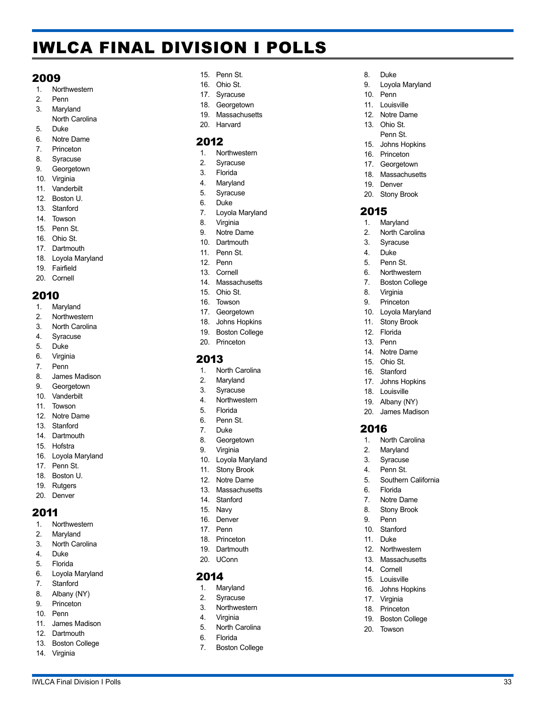## <span id="page-32-0"></span>IWLCA FINAL DIVISION I POLLS

#### 2009

- 1. Northwestern
- 2. Penn 3. Maryland
- North Carolina
- 5. Duke
- 6. Notre Dame
- 7. Princeton
- 8. Syracuse
- 9. Georgetown
- 10. Virginia
- 11. Vanderbilt 12. Boston U.
- 
- 13. Stanford
- 14. Towson 15. Penn St.
- 16. Ohio St.
- 17. Dartmouth
- 18. Loyola Maryland
- 19. Fairfield
- 20. Cornell

### 2010

- 1. Maryland
- 2. Northwestern
- 3. North Carolina
- 4. Syracuse
- 5. Duke
- 6. Virginia
- 7. Penn
- 8. James Madison
- 9. Georgetown
- 10. Vanderbilt
- 11. Towson
- 12. Notre Dame
- 13. Stanford
- 14. Dartmouth
- 15. Hofstra
- 16. Loyola Maryland
- 17. Penn St.
- 18. Boston U.
- 19. Rutgers
- 20. Denver

#### 2011

- 1. Northwestern
- 2. Maryland
- 3. North Carolina
- 4. Duke<br>5. Florid
- 5. Florida
- 6. Loyola Maryland
- 7. Stanford
- 8. Albany (NY)
- 9. Princeton
- 10. Penn
- 11. James Madison
- 12. Dartmouth
- 13. Boston College
- 14. Virginia
- 15. Penn St.
- 16. Ohio St.
- 17. Syracuse
- 18. Georgetown

8. Duke

10. Penn 11. Louisville 12. Notre Dame 13. Ohio St. Penn St. 15. Johns Hopkins 16. Princeton 17. Georgetown 18. Massachusetts 19. Denver 20. Stony Brook

2015 1. Maryland 2. North Carolina 3. Syracuse 4. Duke 5. Penn St. 6. Northwestern 7. Boston College 8. Virginia 9. Princeton 10. Loyola Maryland 11. Stony Brook 12. Florida 13. Penn 14. Notre Dame 15. Ohio St. 16. Stanford 17. Johns Hopkins 18. Louisville 19. Albany (NY) 20. James Madison

2016

1. North Carolina 2. Maryland 3. Syracuse 4. Penn St.

5. Southern California

6. Florida 7. Notre Dame 8. Stony Brook 9. Penn 10. Stanford 11. Duke 12. Northwestern 13. Massachusetts 14. Cornell 15. Louisville 16. Johns Hopkins 17. Virginia 18. Princeton 19. Boston College 20. Towson

9. Loyola Maryland

- 19. Massachusetts
- 20. Harvard

### 2012

- 1. Northwestern
- 2. Syracuse
- 3. Florida
- 4. Maryland 5. Syracuse
- 
- 6. Duke
- 7. Loyola Maryland
- 8. Virginia
- 9. Notre Dame
- 10. Dartmouth
- 11. Penn St.
- 12. Penn
- 13. Cornell
- 14. Massachusetts 15. Ohio St.
- 16. Towson
- 
- 17. Georgetown 18. Johns Hopkins
- 19. Boston College
- 20. Princeton

### 2013

- 1. North Carolina
- 2. Maryland
- 3. Syracuse
- 4. Northwestern
- 5. Florida
- 6. Penn St.
- 7. Duke
- 8. Georgetown
- 9. Virginia
- 10. Loyola Maryland
- 11. Stony Brook
- 12. Notre Dame
- 13. Massachusetts

IWLCA Final Division I Polls 33

- 14. Stanford
- 15. Navy
- 16. Denver

19. Dartmouth 20. UConn

17. Penn 18. Princeton

2014 1. Maryland 2. Syracuse 3. Northwestern 4. Virginia 5. North Carolina 6. Florida 7. Boston College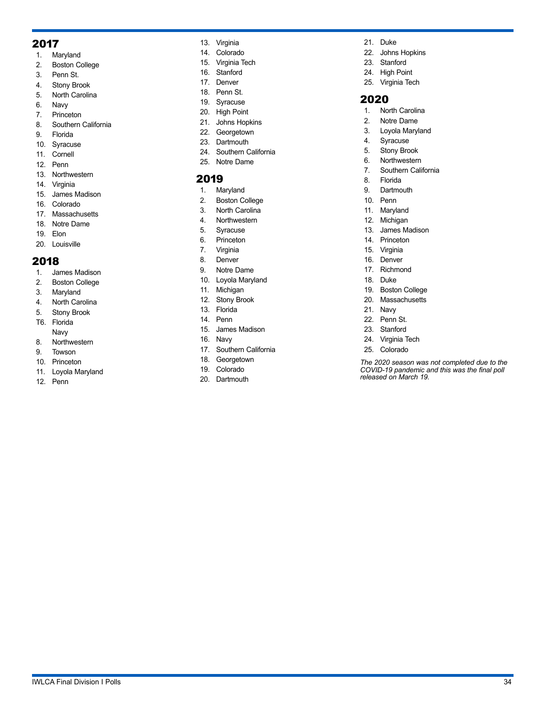### 2017

- 1. Maryland
- 2. Boston College
- 3. Penn St.
- 4. Stony Brook
- 5. North Carolina
- 6. Navy
- 7. Princeton
- 8. Southern California
- 9. Florida
- 10. Syracuse
- 11. Cornell
- 12. Penn
- 13. Northwestern
- 14. Virginia
- 15. James Madison
- 16. Colorado
- 17. Massachusetts
- 18. Notre Dame
- 19. Elon
- 20. Louisville

### 2018

- 1. James Madison
- 2. Boston College
- 3. Maryland
- 4. North Carolina
- 5. Stony Brook
- T6. Florida Navy
- 8. Northwestern
- 9. Towson
- 10. Princeton
- 11. Loyola Maryland
- 12. Penn
- 13. Virginia
- 14. Colorado
- 15. Virginia Tech
- 16. Stanford
- 17. Denver
- 18. Penn St.
- 19. Syracuse
- 20. High Point
- 21. Johns Hopkins 22. Georgetown
- 23. Dartmouth
- 24. Southern California
- 25. Notre Dame

### 2019

- 1. Maryland
- 2. Boston College
- 3. North Carolina
- 4. Northwestern
- 5. Syracuse
- 6. Princeton
- 7. Virginia
- 8. Denver
- 9. Notre Dame
- 10. Loyola Maryland
- 11. Michigan
- 12. Stony Brook
- 13. Florida 14. Penn
- 15. James Madison
- 16. Navy
- 17. Southern California
- 18. Georgetown
- 19. Colorado
- 20. Dartmouth
- 21. Duke
- 22. Johns Hopkins
- 23. Stanford
- 24. High Point
- 25. Virginia Tech

### 2020

- 1. North Carolina
- 2. Notre Dame
- 3. Loyola Maryland
- 4. Syracuse
- 5. Stony Brook
- 6. Northwestern
- 7. Southern California
- 8. Florida
- 9. Dartmouth
- 10. Penn
- 11. Maryland
- 12. Michigan
- 13. James Madison
- 14. Princeton
- 15. Virginia
- 16. Denver
- 17. Richmond
- 18. Duke
- 19. Boston College
- 20. Massachusetts
- 21. Navy
- 22. Penn St.
- 23. Stanford
- 24. Virginia Tech
- 25. Colorado

*The 2020 season was not completed due to the COVID-19 pandemic and this was the final poll released on March 19.*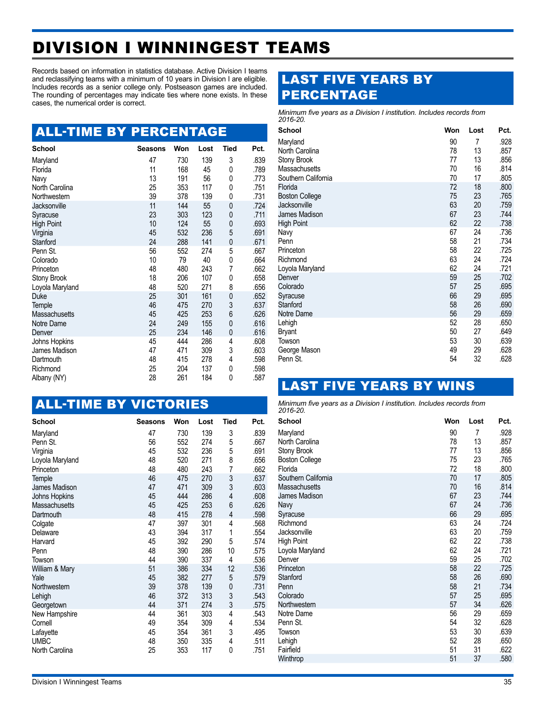## <span id="page-34-0"></span>DIVISION I WINNINGEST TEAMS

Records based on information in statistics database. Active Division I teams and reclassifying teams with a minimum of 10 years in Division I are eligible. Includes records as a senior college only. Postseason games are included. The rounding of percentages may indicate ties where none exists. In these cases, the numerical order is correct.

## ALL-TIME BY PERCENTAGE

| <b>School</b>         | <b>Seasons</b> | Won       | Lost      | <b>Tied</b> | Pct.         |
|-----------------------|----------------|-----------|-----------|-------------|--------------|
| Maryland              | 47             | 730       | 139       | 3           | .839         |
| Florida               | 11             | 168       | 45        | 0           | .789         |
| Navy                  | 13             | 191       | 56        | 0           | .773         |
| North Carolina        | 25             | 353       | 117       | 0           | .751         |
| Northwestern          | 39             | 378       | 139       | 0           | .731         |
| Jacksonville          | 11             | 144       | 55        | 0           | .724         |
| Syracuse              | 23             | 303       | 123       | 0           | .711         |
| <b>High Point</b>     | 10             | 124       | 55        | 0           | .693         |
| Virginia              | 45             | 532       | 236       | 5           | .691         |
| Stanford              | 24             | 288       | 141       | 0           | .671         |
| Penn St.              | 56             | 552<br>79 | 274<br>40 | 5           | .667         |
| Colorado<br>Princeton | 10<br>48       | 480       | 243       | 0<br>7      | .664<br>.662 |
| <b>Stony Brook</b>    | 18             | 206       | 107       | 0           | .658         |
| Loyola Maryland       | 48             | 520       | 271       | 8           | .656         |
| Duke                  | 25             | 301       | 161       | 0           | .652         |
| Temple                | 46             | 475       | 270       | 3           | .637         |
| Massachusetts         | 45             | 425       | 253       | 6           | .626         |
| Notre Dame            | 24             | 249       | 155       | 0           | .616         |
| Denver                | 25             | 234       | 146       | 0           | .616         |
| Johns Hopkins         | 45             | 444       | 286       | 4           | .608         |
| James Madison         | 47             | 471       | 309       | 3           | .603         |
| Dartmouth             | 48             | 415       | 278       | 4           | .598         |
| Richmond              | 25             | 204       | 137       | 0           | .598         |
| Albany (NY)           | 28             | 261       | 184       | 0           | .587         |

### ALL-TIME BY VICTORIES

| <b>School</b>        | <b>Seasons</b> | Won | Lost | <b>Tied</b>    | Pct. |
|----------------------|----------------|-----|------|----------------|------|
| Maryland             | 47             | 730 | 139  | 3              | .839 |
| Penn St.             | 56             | 552 | 274  | 5              | .667 |
| Virginia             | 45             | 532 | 236  | 5              | .691 |
| Loyola Maryland      | 48             | 520 | 271  | 8              | .656 |
| Princeton            | 48             | 480 | 243  | 7              | .662 |
| Temple               | 46             | 475 | 270  | $\frac{3}{3}$  | .637 |
| James Madison        | 47             | 471 | 309  |                | .603 |
| Johns Hopkins        | 45             | 444 | 286  | $\overline{4}$ | .608 |
| <b>Massachusetts</b> | 45             | 425 | 253  | 6              | .626 |
| Dartmouth            | 48             | 415 | 278  | $\overline{4}$ | .598 |
| Colgate              | 47             | 397 | 301  | 4              | .568 |
| Delaware             | 43             | 394 | 317  | 1              | .554 |
| Harvard              | 45             | 392 | 290  | 5              | .574 |
| Penn                 | 48             | 390 | 286  | 10             | .575 |
| Towson               | 44             | 390 | 337  | 4              | .536 |
| William & Mary       | 51             | 386 | 334  | 12             | .536 |
| Yale                 | 45             | 382 | 277  | 5              | .579 |
| Northwestern         | 39             | 378 | 139  | $\mathbf{0}$   | .731 |
| Lehigh               | 46             | 372 | 313  | 3              | .543 |
| Georgetown           | 44             | 371 | 274  | 3              | .575 |
| New Hampshire        | 44             | 361 | 303  | 4              | .543 |
| Cornell              | 49             | 354 | 309  | 4              | .534 |
| Lafayette            | 45             | 354 | 361  | 3              | .495 |
| <b>UMBC</b>          | 48             | 350 | 335  | 4              | .511 |
| North Carolina       | 25             | 353 | 117  | 0              | .751 |

### LAST FIVE YEARS BY PERCENTAGE

*Minimum five years as a Division I institution. Includes records from 2016-20.*

| <b>School</b>             | Won      | Lost     | Pct.         |
|---------------------------|----------|----------|--------------|
| Maryland                  | 90       | 7        | .928         |
| North Carolina            | 78       | 13       | .857         |
| Stony Brook               | 77       | 13       | .856         |
| Massachusetts             | 70       | 16       | .814         |
| Southern California       | 70       | 17       | .805         |
| Florida                   | 72       | 18       | .800         |
| <b>Boston College</b>     | 75       | 23       | .765         |
| Jacksonville              | 63       | 20       | .759         |
| James Madison             | 67<br>62 | 23<br>22 | .744<br>.738 |
| <b>High Point</b><br>Navy | 67       | 24       | .736         |
| Penn                      | 58       | 21       | .734         |
| Princeton                 | 58       | 22       | .725         |
| Richmond                  | 63       | 24       | .724         |
| Loyola Maryland           | 62       | 24       | .721         |
| Denver                    | 59       | 25       | .702         |
| Colorado                  | 57       | 25       | .695         |
| Syracuse                  | 66       | 29       | .695         |
| <b>Stanford</b>           | 58       | 26       | .690         |
| Notre Dame                | 56       | 29       | .659         |
| Lehigh                    | 52       | 28       | .650         |
| Bryant                    | 50       | 27       | .649         |
| Towson                    | 53       | 30       | .639         |
| George Mason              | 49<br>54 | 29       | .628         |
| Penn St.                  |          | 32       | .628         |

### LAST FIVE YEARS BY WINS

*Minimum five years as a Division I institution. Includes records from 2016-20.*

| School                           | Won      | Lost     | Pct.         |
|----------------------------------|----------|----------|--------------|
| Maryland                         | 90       | 7        | .928         |
| North Carolina                   | 78       | 13       | .857         |
| Stony Brook                      | 77       | 13       | .856         |
| <b>Boston College</b><br>Florida | 75<br>72 | 23<br>18 | .765<br>.800 |
| Southern California              | 70       | 17       | .805         |
| Massachusetts                    | 70       | 16       | .814         |
| James Madison                    | 67       | 23       | .744         |
| Navy                             | 67       | 24       | .736         |
| Syracuse                         | 66       | 29       | .695         |
| Richmond<br>Jacksonville         | 63<br>63 | 24<br>20 | .724<br>.759 |
| <b>High Point</b>                | 62       | 22       | .738         |
| Loyola Maryland                  | 62       | 24       | .721         |
| Denver                           | 59       | 25       | .702         |
| Princeton                        | 58       | 22       | .725         |
| Stanford                         | 58       | 26       | .690         |
| Penn                             | 58       | 21       | .734         |
| Colorado<br>Northwestern         | 57<br>57 | 25<br>34 | .695<br>.626 |
| Notre Dame                       | 56       | 29       | .659         |
| Penn St.                         | 54       | 32       | .628         |
| Towson                           | 53       | 30       | .639         |
| Lehigh                           | 52       | 28       | .650         |
| Fairfield                        | 51       | 31       | .622         |
| Winthrop                         | 51       | 37       | .580         |